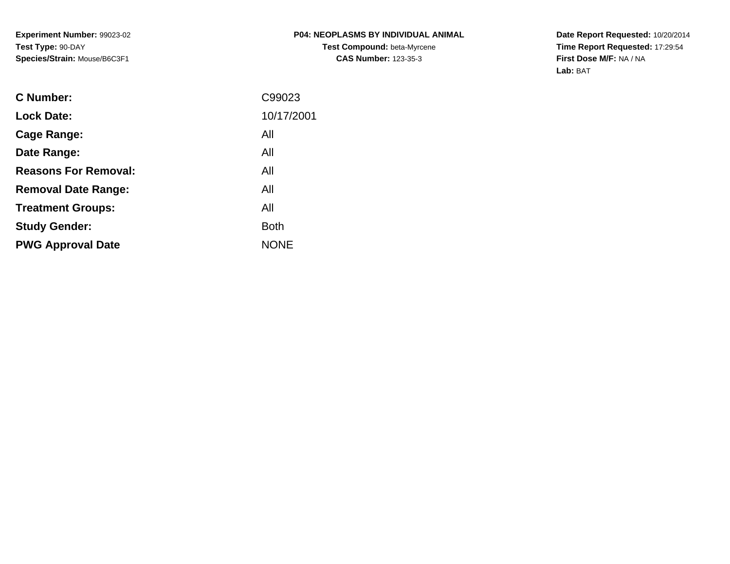**Date Report Requested:** 10/20/2014 **Time Report Requested:** 17:29:54**First Dose M/F:** NA / NA**Lab:** BAT

| C Number:                   | C99023      |
|-----------------------------|-------------|
| <b>Lock Date:</b>           | 10/17/2001  |
| Cage Range:                 | All         |
| Date Range:                 | All         |
| <b>Reasons For Removal:</b> | All         |
| <b>Removal Date Range:</b>  | All         |
| <b>Treatment Groups:</b>    | All         |
| <b>Study Gender:</b>        | <b>Both</b> |
| <b>PWG Approval Date</b>    | <b>NONE</b> |
|                             |             |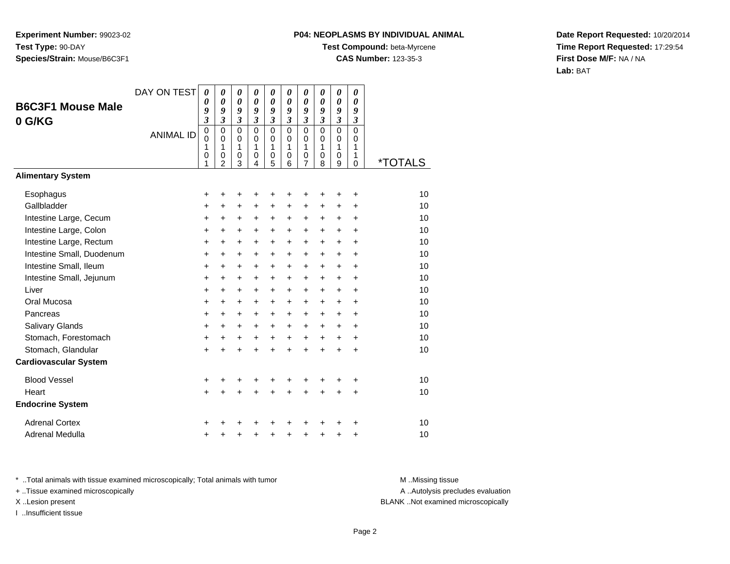# **P04: NEOPLASMS BY INDIVIDUAL ANIMAL**

**Test Compound:** beta-Myrcene

**CAS Number:** 123-35-3

**Date Report Requested:** 10/20/2014**Time Report Requested:** 17:29:54**First Dose M/F:** NA / NA**Lab:** BAT

|                              | DAY ON TEST      | $\boldsymbol{\theta}$      | 0                           | 0                | 0<br>0                  | $\boldsymbol{\theta}$ | 0<br>0                     | 0                   | 0<br>0                  | $\boldsymbol{\theta}$      | 0                    |                       |
|------------------------------|------------------|----------------------------|-----------------------------|------------------|-------------------------|-----------------------|----------------------------|---------------------|-------------------------|----------------------------|----------------------|-----------------------|
| <b>B6C3F1 Mouse Male</b>     |                  | $\boldsymbol{\theta}$<br>9 | 0<br>9                      | 0<br>9           | 9                       | 0<br>9                | 9                          | 0<br>9              | 9                       | $\boldsymbol{\theta}$<br>9 | 0<br>9               |                       |
| 0 G/KG                       |                  | $\mathfrak{z}$             | $\mathfrak{z}$              | $\mathfrak{z}$   | $\boldsymbol{\beta}$    | 3                     | $\boldsymbol{\beta}$       | 3                   | $\boldsymbol{\beta}$    | $\boldsymbol{\beta}$       | $\boldsymbol{\beta}$ |                       |
|                              | <b>ANIMAL ID</b> | $\pmb{0}$<br>$\Omega$      | $\mathbf 0$<br>$\Omega$     | $\mathbf 0$<br>0 | $\mathbf 0$<br>$\Omega$ | $\overline{0}$<br>0   | $\overline{0}$<br>$\Omega$ | 0<br>0              | $\mathbf 0$<br>$\Omega$ | $\overline{0}$<br>0        | $\mathbf 0$<br>0     |                       |
|                              |                  | 1                          | 1                           | 1                | 1                       | 1                     | 1                          | 1                   | 1                       | 1                          | 1                    |                       |
|                              |                  | 0<br>1                     | $\pmb{0}$<br>$\overline{2}$ | $\mathbf 0$<br>3 | 0<br>4                  | $\mathbf 0$<br>5      | 0<br>6                     | 0<br>$\overline{7}$ | 0<br>8                  | 0<br>9                     | 1<br>$\mathbf 0$     | <i><b>*TOTALS</b></i> |
| <b>Alimentary System</b>     |                  |                            |                             |                  |                         |                       |                            |                     |                         |                            |                      |                       |
| Esophagus                    |                  | +                          | +                           | +                | +                       | +                     | +                          | +                   | +                       | +                          | +                    | 10                    |
| Gallbladder                  |                  | $\ddot{}$                  | +                           | $\ddot{}$        | +                       | $\ddot{}$             | $\ddot{}$                  | $\ddot{}$           | $\ddot{}$               | $\ddot{}$                  | +                    | 10                    |
| Intestine Large, Cecum       |                  | +                          | +                           | +                | +                       | $\ddot{}$             | $\ddot{}$                  | +                   | +                       | $\ddot{}$                  | $\ddot{}$            | 10                    |
| Intestine Large, Colon       |                  | $\ddot{}$                  | $\ddot{}$                   | $\ddot{}$        | $\ddot{}$               | $+$                   | $+$                        | $\ddot{}$           | $\ddot{}$               | $\ddot{}$                  | $\ddot{}$            | 10                    |
| Intestine Large, Rectum      |                  | +                          | $\ddot{}$                   | $\ddot{}$        | $\ddot{}$               | $\ddot{}$             | $\ddot{}$                  | $\ddot{}$           | $\ddot{}$               | $\ddot{}$                  | $\ddot{}$            | 10                    |
| Intestine Small, Duodenum    |                  | $\ddot{}$                  | $\ddot{}$                   | $\ddot{}$        | $\ddot{}$               | $\ddot{}$             | $\ddot{}$                  | $\ddot{}$           | $\ddot{}$               | $\ddot{}$                  | $\ddot{}$            | 10                    |
| Intestine Small, Ileum       |                  | +                          | $\ddot{}$                   | $\ddot{}$        | $\ddot{}$               | $\ddot{}$             | $\ddot{}$                  | $\ddot{}$           | $\ddot{}$               | $\ddot{}$                  | $\ddot{}$            | 10                    |
| Intestine Small, Jejunum     |                  | $\ddot{}$                  | $\ddot{}$                   | $\ddot{}$        | $\ddot{}$               | $\ddot{}$             | $\ddot{}$                  | $\ddot{}$           | $\ddot{}$               | $\ddot{}$                  | +                    | 10                    |
| Liver                        |                  | $\ddot{}$                  | $\ddot{}$                   | $\ddot{}$        | $\ddot{}$               | $+$                   | $+$                        | $\ddot{}$           | $\ddot{}$               | $+$                        | $\ddot{}$            | 10                    |
| Oral Mucosa                  |                  | $\ddot{}$                  | +                           | +                | +                       | $\ddot{}$             | $\ddot{}$                  | +                   | +                       | $\ddot{}$                  | +                    | 10                    |
| Pancreas                     |                  | +                          | $\ddot{}$                   | $\ddot{}$        | $\ddot{}$               | $+$                   | $\ddot{}$                  | $\ddot{}$           | $\ddot{}$               | $\ddot{}$                  | $\ddot{}$            | 10                    |
| Salivary Glands              |                  | $\ddot{}$                  | $\ddot{}$                   | $\ddot{}$        | $\ddot{}$               | $+$                   | $\ddot{}$                  | $\ddot{}$           | $\ddot{}$               | $\ddot{}$                  | $\ddot{}$            | 10                    |
| Stomach, Forestomach         |                  | $\ddot{}$                  | $\ddot{}$                   | +                | $\ddot{}$               | $\ddot{}$             | $\ddot{}$                  | $\ddot{}$           | $\ddot{}$               | $\ddot{}$                  | +                    | 10                    |
| Stomach, Glandular           |                  | $\ddot{}$                  | $\ddot{}$                   | $\ddot{}$        | $\ddot{}$               | $\ddot{}$             | $\ddot{}$                  | $\ddot{}$           | $\ddot{}$               | $\ddot{}$                  | $\ddot{}$            | 10                    |
| <b>Cardiovascular System</b> |                  |                            |                             |                  |                         |                       |                            |                     |                         |                            |                      |                       |
| <b>Blood Vessel</b>          |                  | +                          |                             | +                | +                       |                       |                            |                     |                         |                            | +                    | 10                    |
| Heart                        |                  | $\ddot{}$                  | $\ddot{}$                   | $\ddot{}$        | $\ddot{}$               | $\ddot{}$             | $\ddot{}$                  | $\ddot{}$           | $\ddot{}$               | $\ddot{}$                  | $\ddot{}$            | 10                    |
| <b>Endocrine System</b>      |                  |                            |                             |                  |                         |                       |                            |                     |                         |                            |                      |                       |
| <b>Adrenal Cortex</b>        |                  |                            |                             |                  |                         |                       |                            |                     |                         |                            |                      | 10                    |
| Adrenal Medulla              |                  | +                          |                             | +                | +                       | $\ddot{}$             | +                          | +                   | +                       | +                          | +                    | 10                    |

\* ..Total animals with tissue examined microscopically; Total animals with tumor **M** . Missing tissue M ..Missing tissue

+ ..Tissue examined microscopically

I ..Insufficient tissue

A ..Autolysis precludes evaluation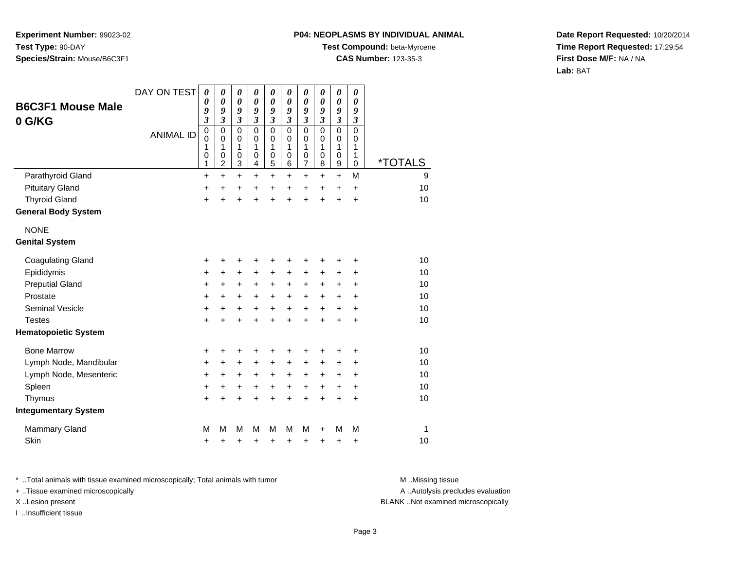#### **P04: NEOPLASMS BY INDIVIDUAL ANIMAL**

**Test Compound:** beta-Myrcene

**CAS Number:** 123-35-3

**Date Report Requested:** 10/20/2014**Time Report Requested:** 17:29:54**First Dose M/F:** NA / NA**Lab:** BAT

| <b>B6C3F1 Mouse Male</b>    | DAY ON TEST      | $\boldsymbol{\theta}$<br>0    | $\boldsymbol{\theta}$<br>0                   | 0<br>$\boldsymbol{\theta}$      | $\pmb{\theta}$<br>0             | 0<br>0                | 0<br>0                | $\boldsymbol{\theta}$<br>0      | $\boldsymbol{\theta}$<br>0      | $\boldsymbol{\theta}$<br>0                     | $\boldsymbol{\theta}$<br>0 |                       |
|-----------------------------|------------------|-------------------------------|----------------------------------------------|---------------------------------|---------------------------------|-----------------------|-----------------------|---------------------------------|---------------------------------|------------------------------------------------|----------------------------|-----------------------|
| 0 G/KG                      |                  | 9<br>$\overline{\mathbf{3}}$  | 9<br>3                                       | 9<br>3                          | 9<br>3                          | 9<br>3                | 9<br>3                | 9<br>3                          | 9<br>$\boldsymbol{\beta}$       | 9<br>3                                         | 9<br>$\boldsymbol{\beta}$  |                       |
|                             | <b>ANIMAL ID</b> | $\pmb{0}$<br>0<br>1<br>0<br>1 | $\mathbf 0$<br>0<br>1<br>0<br>$\overline{c}$ | $\mathbf 0$<br>0<br>1<br>0<br>3 | $\mathbf 0$<br>0<br>1<br>0<br>4 | 0<br>0<br>1<br>0<br>5 | 0<br>0<br>1<br>0<br>6 | $\mathbf 0$<br>0<br>1<br>0<br>7 | $\mathbf 0$<br>0<br>1<br>0<br>8 | $\mathbf 0$<br>0<br>1<br>0<br>$\boldsymbol{9}$ | 0<br>0<br>1<br>1<br>0      | <i><b>*TOTALS</b></i> |
| Parathyroid Gland           |                  | $\ddot{}$                     | $\ddot{}$                                    | $\ddot{}$                       | $\ddot{}$                       | $\ddot{}$             | $\ddot{}$             | $\ddot{}$                       | $\ddot{}$                       | $\ddot{}$                                      | M                          | 9                     |
| <b>Pituitary Gland</b>      |                  | +                             | +                                            | +                               | +                               | +                     | +                     | $\ddot{}$                       | +                               | +                                              | +                          | 10                    |
| <b>Thyroid Gland</b>        |                  | $\ddot{}$                     | $\ddot{}$                                    | $\ddot{}$                       | $\ddot{}$                       | $\ddot{}$             | $\ddot{}$             | $\ddot{}$                       | $\ddot{}$                       | $\ddot{}$                                      | $\ddot{}$                  | 10                    |
| <b>General Body System</b>  |                  |                               |                                              |                                 |                                 |                       |                       |                                 |                                 |                                                |                            |                       |
| <b>NONE</b>                 |                  |                               |                                              |                                 |                                 |                       |                       |                                 |                                 |                                                |                            |                       |
| <b>Genital System</b>       |                  |                               |                                              |                                 |                                 |                       |                       |                                 |                                 |                                                |                            |                       |
| <b>Coagulating Gland</b>    |                  | +                             | +                                            | +                               | +                               | +                     | +                     | +                               | ٠                               | +                                              | +                          | 10                    |
| Epididymis                  |                  | $\ddot{}$                     | $\ddot{}$                                    | $\ddot{}$                       | $\ddot{}$                       | $+$                   | $\ddot{}$             | $\ddot{}$                       | $\ddot{}$                       | $\ddot{}$                                      | +                          | 10                    |
| <b>Preputial Gland</b>      |                  | +                             | +                                            | +                               | +                               | +                     | +                     | +                               | +                               | +                                              | +                          | 10                    |
| Prostate                    |                  | $\ddot{}$                     | +                                            | +                               | +                               | +                     | +                     | +                               | $\ddot{}$                       | +                                              | +                          | 10                    |
| <b>Seminal Vesicle</b>      |                  | +                             | $\ddot{}$                                    | $\ddot{}$                       | $\ddot{}$                       | $\ddot{}$             | $\ddot{}$             | $\ddot{}$                       | $\ddot{}$                       | $\ddot{}$                                      | $\ddot{}$                  | 10                    |
| <b>Testes</b>               |                  | +                             | $\ddot{}$                                    | $\ddot{}$                       | $\ddot{}$                       | $\ddot{}$             | $\ddot{}$             | $\ddot{}$                       | $\ddot{}$                       | $\ddot{}$                                      | +                          | 10                    |
| <b>Hematopoietic System</b> |                  |                               |                                              |                                 |                                 |                       |                       |                                 |                                 |                                                |                            |                       |
| <b>Bone Marrow</b>          |                  | +                             | +                                            | +                               | +                               | +                     | +                     | +                               | +                               | +                                              | +                          | 10                    |
| Lymph Node, Mandibular      |                  | +                             | $\ddot{}$                                    | +                               | +                               | +                     | +                     | +                               | +                               | +                                              | +                          | 10                    |
| Lymph Node, Mesenteric      |                  | $\ddot{}$                     | $\ddot{}$                                    | $\ddot{}$                       | $\ddot{}$                       | $\ddot{}$             | $\ddot{}$             | $\ddot{}$                       | $\ddot{}$                       | $\ddot{}$                                      | $\ddot{}$                  | 10                    |
| Spleen                      |                  | +                             | +                                            | +                               | $\ddot{}$                       | $\ddot{}$             | $\ddot{}$             | $\ddot{}$                       | $\ddot{}$                       | $\ddot{}$                                      | +                          | 10                    |
| Thymus                      |                  | $\ddot{}$                     | $\ddot{}$                                    | $\ddot{}$                       | $\ddot{}$                       | $\ddot{}$             | $\ddot{}$             | $\ddot{}$                       | $\ddot{}$                       | $\ddot{}$                                      | +                          | 10                    |
| <b>Integumentary System</b> |                  |                               |                                              |                                 |                                 |                       |                       |                                 |                                 |                                                |                            |                       |
| <b>Mammary Gland</b>        |                  | M                             | М                                            | M                               | М                               | M                     | M                     | M                               | ٠                               | M                                              | M                          | 1                     |
| Skin                        |                  | +                             | +                                            | +                               | +                               | +                     | +                     | +                               | +                               | +                                              | +                          | 10                    |

\* ..Total animals with tissue examined microscopically; Total animals with tumor **M** . Missing tissue M ..Missing tissue

+ ..Tissue examined microscopically

I ..Insufficient tissue

A ..Autolysis precludes evaluation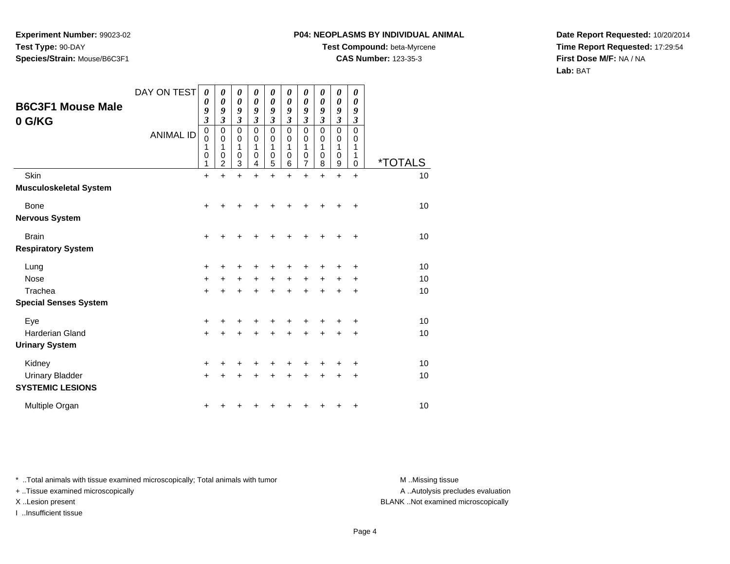### **P04: NEOPLASMS BY INDIVIDUAL ANIMAL**

**Test Compound:** beta-Myrcene

**CAS Number:** 123-35-3

**Date Report Requested:** 10/20/2014**Time Report Requested:** 17:29:54**First Dose M/F:** NA / NA**Lab:** BAT

|                                                   | DAY ON TEST      | $\boldsymbol{\theta}$<br>0                        | $\boldsymbol{\theta}$<br>0      | 0<br>0                          | 0<br>$\boldsymbol{\theta}$                | 0<br>$\boldsymbol{\theta}$      | 0<br>$\boldsymbol{\theta}$                         | 0<br>0                                                             | $\pmb{\theta}$<br>$\boldsymbol{\theta}$                   | $\boldsymbol{\theta}$<br>0                                                  | 0<br>$\boldsymbol{\theta}$                                             |                       |
|---------------------------------------------------|------------------|---------------------------------------------------|---------------------------------|---------------------------------|-------------------------------------------|---------------------------------|----------------------------------------------------|--------------------------------------------------------------------|-----------------------------------------------------------|-----------------------------------------------------------------------------|------------------------------------------------------------------------|-----------------------|
| <b>B6C3F1 Mouse Male</b><br>0 G/KG                | <b>ANIMAL ID</b> | 9<br>3<br>$\pmb{0}$<br>$\mathbf 0$<br>1<br>0<br>1 | 9<br>3<br>0<br>0<br>1<br>0<br>2 | 9<br>3<br>0<br>0<br>1<br>0<br>3 | 9<br>3<br>$\mathbf 0$<br>0<br>1<br>0<br>4 | 9<br>3<br>0<br>0<br>1<br>0<br>5 | 9<br>$\boldsymbol{\beta}$<br>0<br>0<br>1<br>0<br>6 | 9<br>$\overline{\mathbf{3}}$<br>0<br>0<br>1<br>0<br>$\overline{7}$ | 9<br>$\boldsymbol{\mathfrak{z}}$<br>0<br>0<br>1<br>0<br>8 | 9<br>$\boldsymbol{\beta}$<br>$\mathbf 0$<br>0<br>1<br>0<br>$\boldsymbol{9}$ | 9<br>$\boldsymbol{\beta}$<br>$\mathbf 0$<br>0<br>1<br>1<br>$\mathbf 0$ | <i><b>*TOTALS</b></i> |
| Skin                                              |                  | $\ddot{}$                                         | $\ddot{}$                       | $\ddot{}$                       | $\ddot{}$                                 | $\ddot{}$                       | $\ddot{}$                                          | $\ddot{}$                                                          | $\ddot{}$                                                 | $\ddot{}$                                                                   | $+$                                                                    | 10                    |
| <b>Musculoskeletal System</b>                     |                  |                                                   |                                 |                                 |                                           |                                 |                                                    |                                                                    |                                                           |                                                                             |                                                                        |                       |
| <b>Bone</b>                                       |                  | +                                                 |                                 |                                 |                                           |                                 |                                                    |                                                                    | +                                                         |                                                                             | ÷                                                                      | 10                    |
| <b>Nervous System</b>                             |                  |                                                   |                                 |                                 |                                           |                                 |                                                    |                                                                    |                                                           |                                                                             |                                                                        |                       |
| <b>Brain</b>                                      |                  | +                                                 |                                 |                                 |                                           |                                 | +                                                  | +                                                                  | +                                                         | +                                                                           | +                                                                      | 10                    |
| <b>Respiratory System</b>                         |                  |                                                   |                                 |                                 |                                           |                                 |                                                    |                                                                    |                                                           |                                                                             |                                                                        |                       |
| Lung                                              |                  | +                                                 |                                 |                                 | +                                         | +                               | +                                                  | +                                                                  | +                                                         | +                                                                           | $\ddot{}$                                                              | 10                    |
| <b>Nose</b>                                       |                  | $\ddot{}$                                         |                                 | $\pm$                           | $\ddot{}$                                 | $+$                             | $\ddot{}$                                          | $+$                                                                | $\ddot{}$                                                 | $\pm$                                                                       | $\ddot{}$                                                              | 10                    |
| Trachea                                           |                  | $\ddot{}$                                         |                                 |                                 | $\ddot{}$                                 | $\ddot{}$                       | $\ddot{}$                                          | +                                                                  | $\ddot{}$                                                 |                                                                             | $\ddot{}$                                                              | 10                    |
| <b>Special Senses System</b>                      |                  |                                                   |                                 |                                 |                                           |                                 |                                                    |                                                                    |                                                           |                                                                             |                                                                        |                       |
| Eye                                               |                  | +                                                 |                                 |                                 |                                           |                                 | +                                                  |                                                                    | +                                                         |                                                                             | $\ddot{}$                                                              | 10                    |
| <b>Harderian Gland</b>                            |                  | $\ddot{}$                                         |                                 |                                 | $\ddot{}$                                 | $\ddot{}$                       | $\ddot{}$                                          | $\ddot{}$                                                          | $\ddot{}$                                                 | $\ddot{}$                                                                   | $\ddot{}$                                                              | 10                    |
| <b>Urinary System</b>                             |                  |                                                   |                                 |                                 |                                           |                                 |                                                    |                                                                    |                                                           |                                                                             |                                                                        |                       |
| Kidney                                            |                  | +                                                 |                                 |                                 | +                                         | +                               | +                                                  | +                                                                  | +                                                         | +                                                                           | +                                                                      | 10                    |
| <b>Urinary Bladder</b><br><b>SYSTEMIC LESIONS</b> |                  | $\ddot{}$                                         |                                 |                                 | +                                         | +                               | +                                                  | +                                                                  | +                                                         | +                                                                           | $\ddot{}$                                                              | 10                    |
| Multiple Organ                                    |                  |                                                   |                                 |                                 |                                           |                                 |                                                    |                                                                    |                                                           |                                                                             | +                                                                      | 10                    |

\* ..Total animals with tissue examined microscopically; Total animals with tumor **M** . Missing tissue M ..Missing tissue

+ ..Tissue examined microscopically

I ..Insufficient tissue

A ..Autolysis precludes evaluation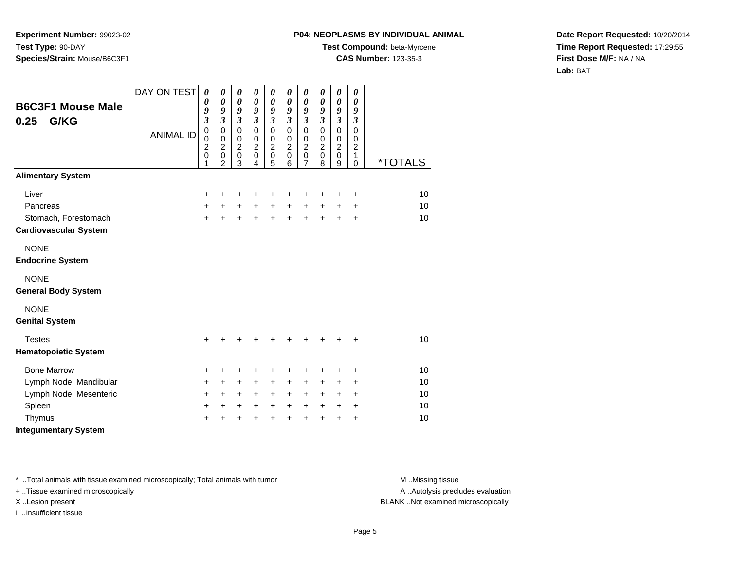## **P04: NEOPLASMS BY INDIVIDUAL ANIMAL**

**Test Compound:** beta-Myrcene

**CAS Number:** 123-35-3

**Date Report Requested:** 10/20/2014**Time Report Requested:** 17:29:55**First Dose M/F:** NA / NA**Lab:** BAT

| <b>B6C3F1 Mouse Male</b><br>0.25<br>G/KG | DAY ON TEST      | $\boldsymbol{\theta}$<br>0<br>9<br>$\overline{\mathbf{3}}$ | 0<br>$\boldsymbol{\theta}$<br>9<br>$\overline{\mathbf{3}}$             | $\boldsymbol{\theta}$<br>$\boldsymbol{\theta}$<br>9<br>$\overline{\mathbf{3}}$ | 0<br>$\boldsymbol{\theta}$<br>9<br>$\overline{\mathbf{3}}$ | $\boldsymbol{\theta}$<br>$\boldsymbol{\theta}$<br>9<br>$\mathfrak{z}$ | $\boldsymbol{\theta}$<br>0<br>9<br>$\mathfrak{z}$      | $\pmb{\theta}$<br>$\boldsymbol{\theta}$<br>9<br>$\boldsymbol{\beta}$ | $\pmb{\theta}$<br>$\boldsymbol{\theta}$<br>9<br>$\mathfrak{z}$ | $\boldsymbol{\theta}$<br>$\boldsymbol{\theta}$<br>9<br>$\boldsymbol{\mathfrak{z}}$ | 0<br>0<br>9<br>$\boldsymbol{\mathfrak{z}}$   |                       |
|------------------------------------------|------------------|------------------------------------------------------------|------------------------------------------------------------------------|--------------------------------------------------------------------------------|------------------------------------------------------------|-----------------------------------------------------------------------|--------------------------------------------------------|----------------------------------------------------------------------|----------------------------------------------------------------|------------------------------------------------------------------------------------|----------------------------------------------|-----------------------|
|                                          | <b>ANIMAL ID</b> | $\mathbf 0$<br>0<br>$\overline{c}$<br>$\overline{0}$<br>1  | $\mathbf 0$<br>0<br>$\overline{c}$<br>$\overline{0}$<br>$\overline{2}$ | $\mathbf 0$<br>0<br>$\overline{c}$<br>$\pmb{0}$<br>3                           | $\mathbf 0$<br>0<br>$\overline{c}$<br>$\mathbf 0$<br>4     | $\mathbf 0$<br>0<br>$\boldsymbol{2}$<br>$\mathbf 0$<br>5              | $\mathbf 0$<br>0<br>$\overline{2}$<br>$\mathbf 0$<br>6 | $\mathbf 0$<br>0<br>$\boldsymbol{2}$<br>$\pmb{0}$<br>$\overline{7}$  | $\mathbf 0$<br>0<br>$\overline{c}$<br>$\mathbf 0$<br>8         | $\mathbf 0$<br>0<br>$\overline{c}$<br>$\pmb{0}$<br>9                               | $\mathbf 0$<br>0<br>$\overline{c}$<br>1<br>0 | <i><b>*TOTALS</b></i> |
| <b>Alimentary System</b>                 |                  |                                                            |                                                                        |                                                                                |                                                            |                                                                       |                                                        |                                                                      |                                                                |                                                                                    |                                              |                       |
| Liver                                    |                  | +                                                          | +                                                                      | +                                                                              | +                                                          | +                                                                     | +                                                      | +                                                                    | +                                                              | +                                                                                  | +                                            | 10                    |
| Pancreas                                 |                  | $\ddot{}$                                                  | $+$                                                                    | $\ddot{}$                                                                      | $\ddot{}$                                                  | $\ddot{}$                                                             | $\ddot{}$                                              | $\ddot{}$                                                            | $+$                                                            | $\pm$                                                                              | $\ddot{}$                                    | 10                    |
| Stomach, Forestomach                     |                  | $\ddot{}$                                                  | +                                                                      | +                                                                              | $\ddot{}$                                                  | $+$                                                                   | $\ddot{}$                                              | $\ddot{}$                                                            | $\ddot{}$                                                      | $\ddot{}$                                                                          | $\ddot{}$                                    | 10                    |
| <b>Cardiovascular System</b>             |                  |                                                            |                                                                        |                                                                                |                                                            |                                                                       |                                                        |                                                                      |                                                                |                                                                                    |                                              |                       |
| <b>NONE</b>                              |                  |                                                            |                                                                        |                                                                                |                                                            |                                                                       |                                                        |                                                                      |                                                                |                                                                                    |                                              |                       |
| <b>Endocrine System</b>                  |                  |                                                            |                                                                        |                                                                                |                                                            |                                                                       |                                                        |                                                                      |                                                                |                                                                                    |                                              |                       |
| <b>NONE</b>                              |                  |                                                            |                                                                        |                                                                                |                                                            |                                                                       |                                                        |                                                                      |                                                                |                                                                                    |                                              |                       |
| <b>General Body System</b>               |                  |                                                            |                                                                        |                                                                                |                                                            |                                                                       |                                                        |                                                                      |                                                                |                                                                                    |                                              |                       |
| <b>NONE</b>                              |                  |                                                            |                                                                        |                                                                                |                                                            |                                                                       |                                                        |                                                                      |                                                                |                                                                                    |                                              |                       |
| <b>Genital System</b>                    |                  |                                                            |                                                                        |                                                                                |                                                            |                                                                       |                                                        |                                                                      |                                                                |                                                                                    |                                              |                       |
| <b>Testes</b>                            |                  | +                                                          | +                                                                      | +                                                                              | +                                                          | +                                                                     | ٠                                                      | $\ddot{}$                                                            | $\ddot{}$                                                      | +                                                                                  | $\ddot{}$                                    | 10                    |
| <b>Hematopoietic System</b>              |                  |                                                            |                                                                        |                                                                                |                                                            |                                                                       |                                                        |                                                                      |                                                                |                                                                                    |                                              |                       |
| <b>Bone Marrow</b>                       |                  | +                                                          | +                                                                      | +                                                                              | +                                                          | +                                                                     | +                                                      | +                                                                    | +                                                              | +                                                                                  | +                                            | 10                    |
| Lymph Node, Mandibular                   |                  | +                                                          | +                                                                      | $\ddot{}$                                                                      | +                                                          | $\ddot{}$                                                             | +                                                      | +                                                                    | ٠                                                              | ÷                                                                                  | $\ddot{}$                                    | 10                    |
| Lymph Node, Mesenteric                   |                  | +                                                          | $\ddot{}$                                                              | $\ddot{}$                                                                      | $\ddot{}$                                                  | $\ddot{}$                                                             | $\ddot{}$                                              | $\ddot{}$                                                            | $\ddot{}$                                                      | $\ddot{}$                                                                          | +                                            | 10                    |
| Spleen                                   |                  | +                                                          | +                                                                      | +                                                                              | +                                                          | $\ddot{}$                                                             | $\ddot{}$                                              | $\ddot{}$                                                            | $\ddot{}$                                                      | $\ddot{}$                                                                          | +                                            | 10                    |
| Thymus                                   |                  | +                                                          | +                                                                      | +                                                                              | +                                                          | +                                                                     | +                                                      | $\ddot{}$                                                            | +                                                              | +                                                                                  | +                                            | 10                    |
| <b>Integumentary System</b>              |                  |                                                            |                                                                        |                                                                                |                                                            |                                                                       |                                                        |                                                                      |                                                                |                                                                                    |                                              |                       |

\* ..Total animals with tissue examined microscopically; Total animals with tumor **M** . Missing tissue M ..Missing tissue

+ ..Tissue examined microscopically

I ..Insufficient tissue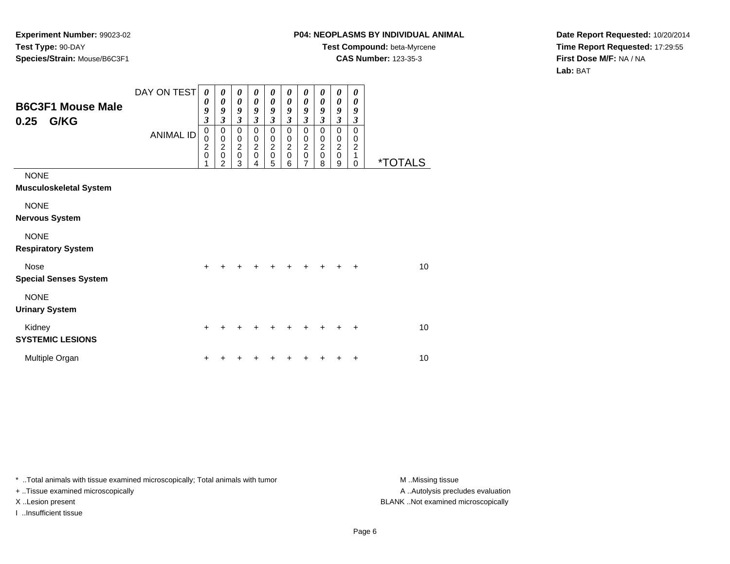## **P04: NEOPLASMS BY INDIVIDUAL ANIMAL**

**Test Compound:** beta-Myrcene**CAS Number:** 123-35-3

**Date Report Requested:** 10/20/2014**Time Report Requested:** 17:29:55**First Dose M/F:** NA / NA**Lab:** BAT

| <b>B6C3F1 Mouse Male</b><br>G/KG<br>0.25     | DAY ON TEST<br><b>ANIMAL ID</b> | $\boldsymbol{\theta}$<br>0<br>9<br>$\mathfrak{z}$<br>0<br>0<br>$\overline{c}$<br>$\mathbf 0$<br>1 | 0<br>0<br>9<br>3<br>$\mathbf 0$<br>$\pmb{0}$<br>$\boldsymbol{2}$<br>$\pmb{0}$<br>$\overline{2}$ | 0<br>$\boldsymbol{\theta}$<br>9<br>$\boldsymbol{\mathfrak{z}}$<br>$\mathbf 0$<br>$\,0\,$<br>$\boldsymbol{2}$<br>$\pmb{0}$<br>3 | 0<br>$\boldsymbol{\theta}$<br>9<br>$\overline{\mathbf{3}}$<br>$\mathbf 0$<br>0<br>$\boldsymbol{2}$<br>$\mathbf 0$<br>4 | 0<br>$\boldsymbol{\theta}$<br>9<br>$\mathfrak{z}$<br>$\mathbf 0$<br>$\pmb{0}$<br>$\overline{2}$<br>$\pmb{0}$<br>5 | 0<br>0<br>9<br>$\mathfrak{z}$<br>0<br>0<br>$\boldsymbol{2}$<br>$\pmb{0}$<br>6 | 0<br>0<br>9<br>$\mathfrak{z}$<br>$\pmb{0}$<br>$\,0\,$<br>$\overline{2}$<br>$\pmb{0}$<br>$\overline{7}$ | 0<br>0<br>9<br>$\overline{\mathbf{3}}$<br>$\mathbf 0$<br>0<br>$\overline{c}$<br>$\pmb{0}$<br>8 | 0<br>0<br>9<br>$\mathfrak{z}$<br>$\mathbf 0$<br>0<br>$\boldsymbol{2}$<br>$\pmb{0}$<br>9 | $\boldsymbol{\theta}$<br>0<br>9<br>$\mathfrak{z}$<br>$\mathbf 0$<br>0<br>$\overline{c}$<br>1<br>$\mathbf 0$ | <i><b>*TOTALS</b></i> |
|----------------------------------------------|---------------------------------|---------------------------------------------------------------------------------------------------|-------------------------------------------------------------------------------------------------|--------------------------------------------------------------------------------------------------------------------------------|------------------------------------------------------------------------------------------------------------------------|-------------------------------------------------------------------------------------------------------------------|-------------------------------------------------------------------------------|--------------------------------------------------------------------------------------------------------|------------------------------------------------------------------------------------------------|-----------------------------------------------------------------------------------------|-------------------------------------------------------------------------------------------------------------|-----------------------|
| <b>NONE</b><br><b>Musculoskeletal System</b> |                                 |                                                                                                   |                                                                                                 |                                                                                                                                |                                                                                                                        |                                                                                                                   |                                                                               |                                                                                                        |                                                                                                |                                                                                         |                                                                                                             |                       |
| <b>NONE</b><br><b>Nervous System</b>         |                                 |                                                                                                   |                                                                                                 |                                                                                                                                |                                                                                                                        |                                                                                                                   |                                                                               |                                                                                                        |                                                                                                |                                                                                         |                                                                                                             |                       |
| <b>NONE</b><br><b>Respiratory System</b>     |                                 |                                                                                                   |                                                                                                 |                                                                                                                                |                                                                                                                        |                                                                                                                   |                                                                               |                                                                                                        |                                                                                                |                                                                                         |                                                                                                             |                       |
| Nose<br><b>Special Senses System</b>         |                                 | $\ddot{}$                                                                                         |                                                                                                 |                                                                                                                                |                                                                                                                        |                                                                                                                   |                                                                               |                                                                                                        |                                                                                                | +                                                                                       | $\ddot{}$                                                                                                   | 10                    |
| <b>NONE</b><br><b>Urinary System</b>         |                                 |                                                                                                   |                                                                                                 |                                                                                                                                |                                                                                                                        |                                                                                                                   |                                                                               |                                                                                                        |                                                                                                |                                                                                         |                                                                                                             |                       |
| Kidney<br><b>SYSTEMIC LESIONS</b>            |                                 | $\ddot{}$                                                                                         |                                                                                                 |                                                                                                                                |                                                                                                                        |                                                                                                                   |                                                                               |                                                                                                        |                                                                                                | +                                                                                       | $\ddot{}$                                                                                                   | 10                    |
| Multiple Organ                               |                                 | ٠                                                                                                 |                                                                                                 |                                                                                                                                |                                                                                                                        |                                                                                                                   |                                                                               |                                                                                                        |                                                                                                |                                                                                         | +                                                                                                           | 10                    |

\* ..Total animals with tissue examined microscopically; Total animals with tumor **M** . Missing tissue M ..Missing tissue

+ ..Tissue examined microscopically

I ..Insufficient tissue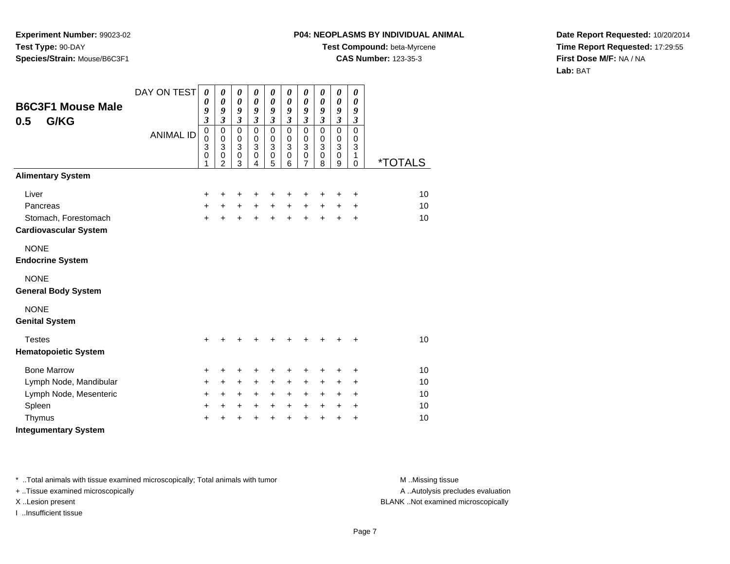## **P04: NEOPLASMS BY INDIVIDUAL ANIMAL**

**Test Compound:** beta-Myrcene

**CAS Number:** 123-35-3

**Date Report Requested:** 10/20/2014**Time Report Requested:** 17:29:55**First Dose M/F:** NA / NA**Lab:** BAT

| <b>B6C3F1 Mouse Male</b><br>G/KG<br>0.5              | DAY ON TEST      | $\boldsymbol{\theta}$<br>0<br>9<br>$\overline{\mathbf{3}}$ | 0<br>$\boldsymbol{\theta}$<br>9<br>3                 | $\boldsymbol{\theta}$<br>$\boldsymbol{\theta}$<br>9<br>$\mathfrak{z}$ | 0<br>$\boldsymbol{\theta}$<br>9<br>$\boldsymbol{\beta}$ | $\boldsymbol{\theta}$<br>$\boldsymbol{\theta}$<br>9<br>$\boldsymbol{\beta}$ | $\pmb{\theta}$<br>0<br>9<br>$\boldsymbol{\beta}$     | $\pmb{\theta}$<br>$\boldsymbol{\theta}$<br>9<br>$\boldsymbol{\beta}$ | 0<br>0<br>9<br>$\boldsymbol{\beta}$                  | $\pmb{\theta}$<br>$\pmb{\theta}$<br>9<br>$\boldsymbol{\mathfrak{z}}$ | 0<br>0<br>9<br>3                          |         |
|------------------------------------------------------|------------------|------------------------------------------------------------|------------------------------------------------------|-----------------------------------------------------------------------|---------------------------------------------------------|-----------------------------------------------------------------------------|------------------------------------------------------|----------------------------------------------------------------------|------------------------------------------------------|----------------------------------------------------------------------|-------------------------------------------|---------|
|                                                      | <b>ANIMAL ID</b> | $\mathbf 0$<br>0<br>3<br>0<br>1                            | $\mathbf 0$<br>0<br>3<br>$\pmb{0}$<br>$\overline{2}$ | $\mathbf 0$<br>0<br>$\mathbf{3}$<br>$\pmb{0}$<br>3                    | $\mathbf 0$<br>0<br>$\mathbf{3}$<br>$\pmb{0}$<br>4      | $\mathbf 0$<br>0<br>3<br>$\mathbf 0$<br>5                                   | $\mathbf 0$<br>0<br>$\mathbf{3}$<br>$\mathbf 0$<br>6 | $\mathbf 0$<br>0<br>3<br>$\mathbf 0$<br>$\overline{7}$               | $\mathbf 0$<br>0<br>$\mathbf{3}$<br>$\mathbf 0$<br>8 | $\mathbf 0$<br>0<br>$\overline{3}$<br>$\mathbf 0$<br>9               | $\mathbf 0$<br>0<br>3<br>1<br>$\mathbf 0$ | *TOTALS |
| <b>Alimentary System</b>                             |                  |                                                            |                                                      |                                                                       |                                                         |                                                                             |                                                      |                                                                      |                                                      |                                                                      |                                           |         |
| Liver                                                |                  | +                                                          | +                                                    | $\ddot{}$                                                             | +                                                       | +                                                                           | +                                                    | +                                                                    | +                                                    | +                                                                    | $\ddot{}$                                 | 10      |
| Pancreas                                             |                  | $\ddot{}$                                                  | $+$                                                  | $+$                                                                   | $+$                                                     | $\ddot{}$                                                                   | $+$                                                  | $\ddot{}$                                                            | $\ddot{}$                                            | $\ddot{}$                                                            | $\ddot{}$                                 | 10      |
| Stomach, Forestomach<br><b>Cardiovascular System</b> |                  | $+$                                                        | $\ddot{}$                                            | $\ddot{}$                                                             | $+$                                                     | $+$                                                                         | $\ddot{}$                                            | $+$                                                                  | $+$                                                  | $+$                                                                  | $\ddot{}$                                 | 10      |
| <b>NONE</b><br><b>Endocrine System</b>               |                  |                                                            |                                                      |                                                                       |                                                         |                                                                             |                                                      |                                                                      |                                                      |                                                                      |                                           |         |
| <b>NONE</b><br><b>General Body System</b>            |                  |                                                            |                                                      |                                                                       |                                                         |                                                                             |                                                      |                                                                      |                                                      |                                                                      |                                           |         |
| <b>NONE</b><br><b>Genital System</b>                 |                  |                                                            |                                                      |                                                                       |                                                         |                                                                             |                                                      |                                                                      |                                                      |                                                                      |                                           |         |
| <b>Testes</b><br><b>Hematopoietic System</b>         |                  | $\ddot{}$                                                  | +                                                    | +                                                                     | ٠                                                       | +                                                                           | +                                                    | +                                                                    | $\ddot{}$                                            | +                                                                    | $\ddot{}$                                 | 10      |
| <b>Bone Marrow</b>                                   |                  | +                                                          | +                                                    | +                                                                     | +                                                       | +                                                                           | +                                                    | +                                                                    | +                                                    | +                                                                    | $\ddot{}$                                 | 10      |
| Lymph Node, Mandibular                               |                  | +                                                          | +                                                    | +                                                                     | +                                                       | $\ddot{}$                                                                   | +                                                    | +                                                                    | $\ddot{}$                                            | $\ddot{}$                                                            | +                                         | 10      |
| Lymph Node, Mesenteric                               |                  | +                                                          | $\ddot{}$                                            | +                                                                     | $\ddot{}$                                               | $\ddot{}$                                                                   | $+$                                                  | $\ddot{}$                                                            | $\ddot{}$                                            | $\ddot{}$                                                            | $\ddot{}$                                 | 10      |
| Spleen                                               |                  | +                                                          | +                                                    | +                                                                     | $\ddot{}$                                               | $\ddot{}$                                                                   | $\ddot{}$                                            | $\ddot{}$                                                            | $+$                                                  | $\pm$                                                                | $\pm$                                     | 10      |
| Thymus                                               |                  | +                                                          |                                                      | +                                                                     |                                                         | +                                                                           | +                                                    | $\ddot{}$                                                            | +                                                    | +                                                                    | +                                         | 10      |
| <b>Integumentary System</b>                          |                  |                                                            |                                                      |                                                                       |                                                         |                                                                             |                                                      |                                                                      |                                                      |                                                                      |                                           |         |

\* ..Total animals with tissue examined microscopically; Total animals with tumor **M** . Missing tissue M ..Missing tissue

+ ..Tissue examined microscopically

I ..Insufficient tissue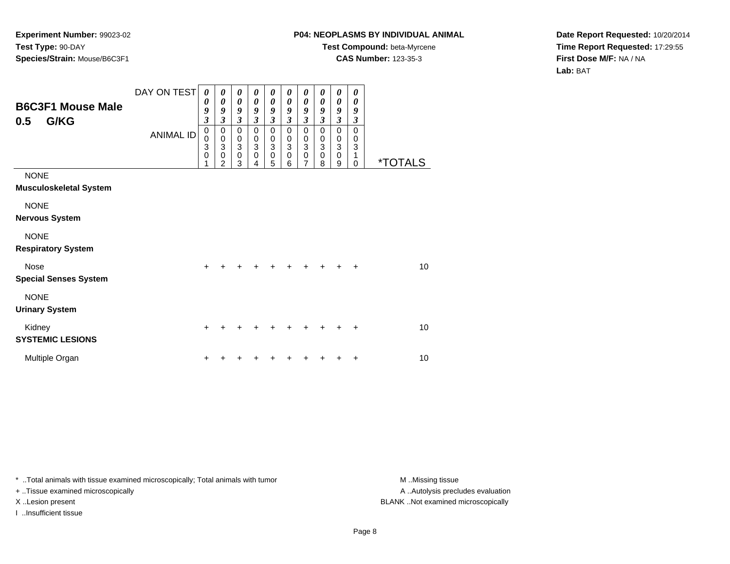## **P04: NEOPLASMS BY INDIVIDUAL ANIMAL**

**Test Compound:** beta-Myrcene**CAS Number:** 123-35-3

**Date Report Requested:** 10/20/2014**Time Report Requested:** 17:29:55**First Dose M/F:** NA / NA**Lab:** BAT

| <b>B6C3F1 Mouse Male</b><br>G/KG<br>0.5      | DAY ON TEST<br><b>ANIMAL ID</b> | 0<br>0<br>9<br>$\mathfrak{z}$<br>$\boldsymbol{0}$<br>0<br>3 | 0<br>0<br>9<br>3<br>$\pmb{0}$<br>$\mathbf 0$<br>$\ensuremath{\mathsf{3}}$ | 0<br>$\boldsymbol{\theta}$<br>9<br>$\mathfrak{z}$<br>0<br>$\pmb{0}$<br>$\mathbf 3$ | 0<br>$\boldsymbol{\theta}$<br>9<br>$\overline{\mathbf{3}}$<br>$\mathbf 0$<br>$\mathbf 0$<br>$\ensuremath{\mathsf{3}}$ | 0<br>$\boldsymbol{\theta}$<br>9<br>$\mathfrak{z}$<br>0<br>$_3^0$ | 0<br>$\boldsymbol{\theta}$<br>9<br>$\mathfrak{z}$<br>0<br>$\pmb{0}$<br>$\ensuremath{\mathsf{3}}$ | 0<br>0<br>9<br>$\boldsymbol{\beta}$<br>$\,0\,$<br>$_3^0$ | 0<br>0<br>9<br>3<br>0<br>0<br>$\ensuremath{\mathsf{3}}$ | 0<br>0<br>9<br>$\boldsymbol{\mathfrak{z}}$<br>0<br>0<br>$\ensuremath{\mathsf{3}}$ | 0<br>0<br>9<br>3<br>$\mathbf 0$<br>0<br>3 |                       |
|----------------------------------------------|---------------------------------|-------------------------------------------------------------|---------------------------------------------------------------------------|------------------------------------------------------------------------------------|-----------------------------------------------------------------------------------------------------------------------|------------------------------------------------------------------|--------------------------------------------------------------------------------------------------|----------------------------------------------------------|---------------------------------------------------------|-----------------------------------------------------------------------------------|-------------------------------------------|-----------------------|
|                                              |                                 | $\mathbf 0$<br>1                                            | $\pmb{0}$<br>$\overline{2}$                                               | $\pmb{0}$<br>3                                                                     | $\mathbf 0$<br>4                                                                                                      | $\pmb{0}$<br>5                                                   | $\pmb{0}$<br>6                                                                                   | $\mathsf 0$<br>$\overline{7}$                            | $\mathbf 0$<br>8                                        | $\mathbf 0$<br>9                                                                  | 1<br>$\Omega$                             | <i><b>*TOTALS</b></i> |
| <b>NONE</b><br><b>Musculoskeletal System</b> |                                 |                                                             |                                                                           |                                                                                    |                                                                                                                       |                                                                  |                                                                                                  |                                                          |                                                         |                                                                                   |                                           |                       |
| <b>NONE</b><br><b>Nervous System</b>         |                                 |                                                             |                                                                           |                                                                                    |                                                                                                                       |                                                                  |                                                                                                  |                                                          |                                                         |                                                                                   |                                           |                       |
| <b>NONE</b><br><b>Respiratory System</b>     |                                 |                                                             |                                                                           |                                                                                    |                                                                                                                       |                                                                  |                                                                                                  |                                                          |                                                         |                                                                                   |                                           |                       |
| Nose<br><b>Special Senses System</b>         |                                 | $\ddot{}$                                                   |                                                                           |                                                                                    |                                                                                                                       |                                                                  |                                                                                                  |                                                          |                                                         | +                                                                                 | +                                         | 10                    |
| <b>NONE</b><br><b>Urinary System</b>         |                                 |                                                             |                                                                           |                                                                                    |                                                                                                                       |                                                                  |                                                                                                  |                                                          |                                                         |                                                                                   |                                           |                       |
| Kidney<br><b>SYSTEMIC LESIONS</b>            |                                 | $\ddot{}$                                                   |                                                                           |                                                                                    |                                                                                                                       |                                                                  |                                                                                                  |                                                          |                                                         | ٠                                                                                 | $\ddot{}$                                 | 10                    |
| Multiple Organ                               |                                 | ٠                                                           |                                                                           |                                                                                    |                                                                                                                       |                                                                  |                                                                                                  |                                                          |                                                         |                                                                                   | +                                         | 10                    |

\* ..Total animals with tissue examined microscopically; Total animals with tumor **M** . Missing tissue M ..Missing tissue

+ ..Tissue examined microscopically

I ..Insufficient tissue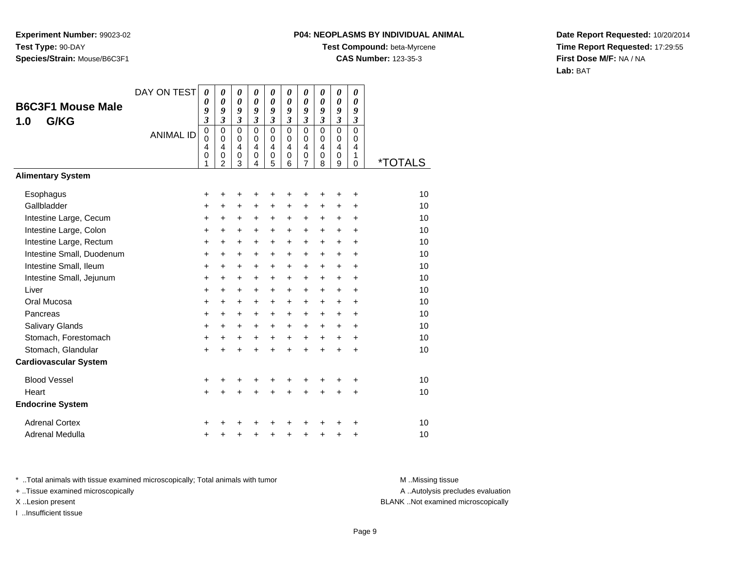## **P04: NEOPLASMS BY INDIVIDUAL ANIMAL**

**Test Compound:** beta-Myrcene

**CAS Number:** 123-35-3

**Date Report Requested:** 10/20/2014**Time Report Requested:** 17:29:55**First Dose M/F:** NA / NA**Lab:** BAT

| <b>B6C3F1 Mouse Male</b><br>G/KG<br>1.0 | DAY ON TEST<br><b>ANIMAL ID</b> | 0<br>$\boldsymbol{\theta}$<br>9<br>$\mathfrak{z}$<br>$\pmb{0}$<br>$\mathbf 0$<br>4<br>$\mathbf 0$ | 0<br>$\boldsymbol{\theta}$<br>9<br>$\mathfrak{z}$<br>$\mathbf 0$<br>$\Omega$<br>$\overline{4}$<br>$\pmb{0}$ | 0<br>0<br>9<br>$\boldsymbol{\beta}$<br>$\Omega$<br>$\mathbf 0$<br>$\overline{4}$<br>$\mathbf 0$ | 0<br>0<br>9<br>$\boldsymbol{\beta}$<br>$\mathbf 0$<br>$\Omega$<br>$\overline{4}$<br>$\mathbf 0$ | 0<br>0<br>9<br>3<br>$\mathbf 0$<br>$\mathbf 0$<br>4<br>$\mathbf 0$ | 0<br>0<br>9<br>3<br>0<br>$\Omega$<br>4<br>0 | 0<br>0<br>9<br>3<br>$\mathbf 0$<br>0<br>4<br>0 | $\boldsymbol{\theta}$<br>$\boldsymbol{\theta}$<br>9<br>$\boldsymbol{\beta}$<br>$\mathbf 0$<br>$\Omega$<br>4<br>$\mathbf 0$ | 0<br>0<br>9<br>$\mathfrak{z}$<br>$\mathbf 0$<br>$\mathbf 0$<br>$\overline{4}$<br>$\mathbf 0$ | 0<br>$\boldsymbol{\theta}$<br>9<br>$\boldsymbol{\beta}$<br>$\mathbf 0$<br>0<br>4<br>1 |         |
|-----------------------------------------|---------------------------------|---------------------------------------------------------------------------------------------------|-------------------------------------------------------------------------------------------------------------|-------------------------------------------------------------------------------------------------|-------------------------------------------------------------------------------------------------|--------------------------------------------------------------------|---------------------------------------------|------------------------------------------------|----------------------------------------------------------------------------------------------------------------------------|----------------------------------------------------------------------------------------------|---------------------------------------------------------------------------------------|---------|
|                                         |                                 | 1                                                                                                 | $\overline{2}$                                                                                              | 3                                                                                               | 4                                                                                               | 5                                                                  | 6                                           | 7                                              | 8                                                                                                                          | 9                                                                                            | 0                                                                                     | *TOTALS |
| <b>Alimentary System</b>                |                                 |                                                                                                   |                                                                                                             |                                                                                                 |                                                                                                 |                                                                    |                                             |                                                |                                                                                                                            |                                                                                              |                                                                                       |         |
| Esophagus                               |                                 | +                                                                                                 | +                                                                                                           | +                                                                                               | +                                                                                               | +                                                                  | +                                           | +                                              | +                                                                                                                          | +                                                                                            | $\ddot{}$                                                                             | 10      |
| Gallbladder                             |                                 | $\ddot{}$                                                                                         | +                                                                                                           | +                                                                                               | +                                                                                               | $\ddot{}$                                                          | +                                           | $\ddot{}$                                      | $\ddot{}$                                                                                                                  | $\ddot{}$                                                                                    | +                                                                                     | 10      |
| Intestine Large, Cecum                  |                                 | +                                                                                                 | +                                                                                                           | +                                                                                               | +                                                                                               | +                                                                  | +                                           | +                                              | $\ddot{}$                                                                                                                  | $\ddot{}$                                                                                    | $\ddot{}$                                                                             | 10      |
| Intestine Large, Colon                  |                                 | $\ddot{}$                                                                                         | $\ddot{}$                                                                                                   | $\ddot{}$                                                                                       | $\ddot{}$                                                                                       | $\ddot{}$                                                          | +                                           | +                                              | $\ddot{}$                                                                                                                  | $+$                                                                                          | $\ddot{}$                                                                             | 10      |
| Intestine Large, Rectum                 |                                 | +                                                                                                 | $\ddot{}$                                                                                                   | $\ddot{}$                                                                                       | $\ddot{}$                                                                                       | $\ddot{}$                                                          | +                                           | $\ddot{}$                                      | $\ddot{}$                                                                                                                  | $\ddot{}$                                                                                    | $\ddot{}$                                                                             | 10      |
| Intestine Small, Duodenum               |                                 | $\ddot{}$                                                                                         | $\ddot{}$                                                                                                   | $\ddot{}$                                                                                       | $\ddot{}$                                                                                       | $\ddot{}$                                                          | $\ddot{}$                                   | $\ddot{}$                                      | $\ddot{}$                                                                                                                  | $\ddot{}$                                                                                    | ÷                                                                                     | 10      |
| Intestine Small, Ileum                  |                                 | +                                                                                                 | $\ddot{}$                                                                                                   | $\ddot{}$                                                                                       | $\ddot{}$                                                                                       | +                                                                  | +                                           | +                                              | $\ddot{}$                                                                                                                  | $\ddot{}$                                                                                    | $\ddot{}$                                                                             | 10      |
| Intestine Small, Jejunum                |                                 | $\ddot{}$                                                                                         | $\ddot{}$                                                                                                   | $\ddot{}$                                                                                       | $\ddot{}$                                                                                       | +                                                                  | +                                           | +                                              | $\ddot{}$                                                                                                                  | $\ddot{}$                                                                                    | +                                                                                     | 10      |
| Liver                                   |                                 | $\ddot{}$                                                                                         | $\ddot{}$                                                                                                   | $\ddot{}$                                                                                       | $\ddot{}$                                                                                       | $\ddot{}$                                                          | $\ddot{}$                                   | $\ddot{}$                                      | $\ddot{}$                                                                                                                  | $+$                                                                                          | $\ddot{}$                                                                             | 10      |
| Oral Mucosa                             |                                 | +                                                                                                 | $\ddot{}$                                                                                                   | $\ddot{}$                                                                                       | +                                                                                               | +                                                                  | +                                           | $\ddot{}$                                      | $\ddot{}$                                                                                                                  | +                                                                                            | +                                                                                     | 10      |
| Pancreas                                |                                 | +                                                                                                 | $\ddot{}$                                                                                                   | $\ddot{}$                                                                                       | $\ddot{}$                                                                                       | $+$                                                                | $\ddot{}$                                   | $\ddot{}$                                      | $\ddot{}$                                                                                                                  | $\ddot{}$                                                                                    | $\ddot{}$                                                                             | 10      |
| <b>Salivary Glands</b>                  |                                 | +                                                                                                 | $\ddot{}$                                                                                                   | $\ddot{}$                                                                                       | $\ddot{}$                                                                                       | $\ddot{}$                                                          | $\ddot{}$                                   | +                                              | $\ddot{}$                                                                                                                  | $\ddot{}$                                                                                    | $\ddot{}$                                                                             | 10      |
| Stomach, Forestomach                    |                                 | +                                                                                                 | $\ddot{}$                                                                                                   | +                                                                                               | +                                                                                               | $\ddot{}$                                                          | +                                           | +                                              | $\ddot{}$                                                                                                                  | $\ddot{}$                                                                                    | +                                                                                     | 10      |
| Stomach, Glandular                      |                                 | $\ddot{}$                                                                                         | $\ddot{}$                                                                                                   | $\ddot{}$                                                                                       | $\ddot{}$                                                                                       | $\ddot{}$                                                          | $\ddot{}$                                   | $\ddot{}$                                      | $\ddot{}$                                                                                                                  | $\ddot{}$                                                                                    | $\ddot{}$                                                                             | 10      |
| <b>Cardiovascular System</b>            |                                 |                                                                                                   |                                                                                                             |                                                                                                 |                                                                                                 |                                                                    |                                             |                                                |                                                                                                                            |                                                                                              |                                                                                       |         |
| <b>Blood Vessel</b>                     |                                 | +                                                                                                 |                                                                                                             | +                                                                                               |                                                                                                 |                                                                    |                                             |                                                |                                                                                                                            |                                                                                              | +                                                                                     | 10      |
| Heart                                   |                                 | $\ddot{}$                                                                                         | $\ddot{}$                                                                                                   | $\ddot{}$                                                                                       | $\ddot{}$                                                                                       | $\ddot{}$                                                          | $\ddot{}$                                   | $\ddot{}$                                      | $\ddot{}$                                                                                                                  | $\ddot{}$                                                                                    | $\ddot{}$                                                                             | 10      |
| <b>Endocrine System</b>                 |                                 |                                                                                                   |                                                                                                             |                                                                                                 |                                                                                                 |                                                                    |                                             |                                                |                                                                                                                            |                                                                                              |                                                                                       |         |
| <b>Adrenal Cortex</b>                   |                                 |                                                                                                   |                                                                                                             |                                                                                                 |                                                                                                 |                                                                    |                                             |                                                |                                                                                                                            |                                                                                              | ٠                                                                                     | 10      |
| Adrenal Medulla                         |                                 | +                                                                                                 |                                                                                                             | +                                                                                               | +                                                                                               | +                                                                  | +                                           | +                                              | +                                                                                                                          | +                                                                                            | +                                                                                     | 10      |

\* ..Total animals with tissue examined microscopically; Total animals with tumor **M** . Missing tissue M ..Missing tissue

+ ..Tissue examined microscopically

I ..Insufficient tissue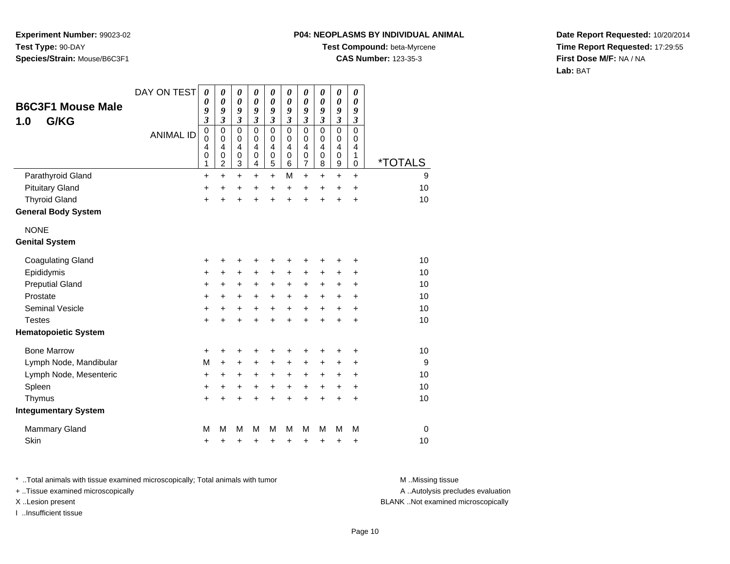#### **P04: NEOPLASMS BY INDIVIDUAL ANIMAL**

**Test Compound:** beta-Myrcene

**CAS Number:** 123-35-3

**Date Report Requested:** 10/20/2014**Time Report Requested:** 17:29:55**First Dose M/F:** NA / NA**Lab:** BAT

|                             | DAY ON TEST      | $\boldsymbol{\theta}$<br>0                                           | $\pmb{\theta}$<br>$\boldsymbol{\theta}$                   | $\boldsymbol{\theta}$<br>$\boldsymbol{\theta}$ | $\pmb{\theta}$<br>0                               | $\pmb{\theta}$<br>0        | $\pmb{\theta}$<br>$\boldsymbol{\theta}$ | $\boldsymbol{\theta}$<br>$\boldsymbol{\theta}$ | $\boldsymbol{\theta}$<br>0                                       | $\boldsymbol{\theta}$<br>0                        | $\pmb{\theta}$<br>$\boldsymbol{\theta}$                 |                       |
|-----------------------------|------------------|----------------------------------------------------------------------|-----------------------------------------------------------|------------------------------------------------|---------------------------------------------------|----------------------------|-----------------------------------------|------------------------------------------------|------------------------------------------------------------------|---------------------------------------------------|---------------------------------------------------------|-----------------------|
| <b>B6C3F1 Mouse Male</b>    |                  | 9                                                                    | 9<br>$\mathfrak{z}$                                       | 9                                              | 9                                                 | 9                          | 9<br>$\boldsymbol{\beta}$               | 9<br>$\boldsymbol{\beta}$                      | 9<br>$\mathfrak{z}$                                              | 9                                                 | 9                                                       |                       |
| G/KG<br>1.0                 | <b>ANIMAL ID</b> | $\boldsymbol{\beta}$<br>$\mathbf 0$<br>0<br>$\overline{4}$<br>0<br>1 | $\mathbf 0$<br>0<br>$\overline{4}$<br>0<br>$\overline{2}$ | 3<br>$\mathbf 0$<br>0<br>4<br>$\mathbf 0$<br>3 | 3<br>$\mathbf 0$<br>0<br>$\overline{4}$<br>0<br>4 | 3<br>0<br>0<br>4<br>0<br>5 | $\mathbf 0$<br>0<br>4<br>0<br>6         | $\mathbf 0$<br>0<br>$\overline{4}$<br>0<br>7   | $\mathbf 0$<br>$\mathbf 0$<br>$\overline{4}$<br>$\mathbf 0$<br>8 | 3<br>$\mathbf 0$<br>0<br>$\overline{4}$<br>0<br>9 | $\boldsymbol{\beta}$<br>$\mathbf 0$<br>0<br>4<br>1<br>0 | <i><b>*TOTALS</b></i> |
| Parathyroid Gland           |                  | $\ddot{}$                                                            | $\ddot{}$                                                 | $\ddot{}$                                      | $\ddot{}$                                         | $\ddot{}$                  | M                                       | $\ddot{}$                                      | $\ddot{}$                                                        | $\ddot{}$                                         | $\ddot{}$                                               | 9                     |
| <b>Pituitary Gland</b>      |                  | +                                                                    | +                                                         | +                                              | +                                                 | +                          | +                                       | +                                              | +                                                                | +                                                 | +                                                       | 10                    |
| <b>Thyroid Gland</b>        |                  | $\ddot{}$                                                            | $\ddot{}$                                                 | $\ddot{}$                                      | $\ddot{}$                                         | $\ddot{}$                  | $\ddot{}$                               | $\ddot{}$                                      | $\ddot{}$                                                        | $\ddot{}$                                         | $\ddot{}$                                               | 10                    |
| <b>General Body System</b>  |                  |                                                                      |                                                           |                                                |                                                   |                            |                                         |                                                |                                                                  |                                                   |                                                         |                       |
| <b>NONE</b>                 |                  |                                                                      |                                                           |                                                |                                                   |                            |                                         |                                                |                                                                  |                                                   |                                                         |                       |
| <b>Genital System</b>       |                  |                                                                      |                                                           |                                                |                                                   |                            |                                         |                                                |                                                                  |                                                   |                                                         |                       |
| <b>Coagulating Gland</b>    |                  | +                                                                    | +                                                         | +                                              | ٠                                                 | +                          | +                                       | +                                              | +                                                                | ٠                                                 | +                                                       | 10                    |
| Epididymis                  |                  | +                                                                    | +                                                         | $\ddot{}$                                      | $\pm$                                             | +                          | +                                       | +                                              | +                                                                | $\pm$                                             | +                                                       | 10                    |
| <b>Preputial Gland</b>      |                  | $\ddot{}$                                                            | +                                                         | $\ddot{}$                                      | $\ddot{}$                                         | +                          | +                                       | $\ddot{}$                                      | +                                                                | $\pm$                                             | +                                                       | 10                    |
| Prostate                    |                  | $\ddot{}$                                                            | +                                                         | $\ddot{}$                                      | $\ddot{}$                                         | $\ddot{}$                  | $\ddot{}$                               | $\ddot{}$                                      | $\ddot{}$                                                        | +                                                 | +                                                       | 10                    |
| <b>Seminal Vesicle</b>      |                  | +                                                                    | +                                                         | $\ddot{}$                                      | $\ddot{}$                                         | $\ddot{}$                  | $\ddot{}$                               | $\ddot{}$                                      | $\ddot{}$                                                        | $\ddot{}$                                         | +                                                       | 10                    |
| <b>Testes</b>               |                  | $\ddot{}$                                                            | $\ddot{}$                                                 | $\ddot{}$                                      | $\ddot{}$                                         | $\ddot{}$                  | ÷                                       | $\ddot{}$                                      | $\ddot{}$                                                        | $\ddot{}$                                         | +                                                       | 10                    |
| <b>Hematopoietic System</b> |                  |                                                                      |                                                           |                                                |                                                   |                            |                                         |                                                |                                                                  |                                                   |                                                         |                       |
| <b>Bone Marrow</b>          |                  | $\ddot{}$                                                            | ٠                                                         | ٠                                              | ٠                                                 | ٠                          | ٠                                       | ٠                                              | ٠                                                                | ٠                                                 | +                                                       | 10                    |
| Lymph Node, Mandibular      |                  | M                                                                    | +                                                         | +                                              | +                                                 | +                          | +                                       | +                                              | +                                                                | +                                                 | +                                                       | 9                     |
| Lymph Node, Mesenteric      |                  | $\ddot{}$                                                            | +                                                         | $\ddot{}$                                      | $\ddot{}$                                         | +                          | $\ddot{}$                               | +                                              | $\ddot{}$                                                        | +                                                 | $\ddot{}$                                               | 10                    |
| Spleen                      |                  | $\ddot{}$                                                            | $\ddot{}$                                                 | $+$                                            | $\ddot{}$                                         | $\ddot{}$                  | $\ddot{}$                               | $\ddot{}$                                      | $\ddot{}$                                                        | $\ddot{}$                                         | +                                                       | 10                    |
| Thymus                      |                  | $\ddot{}$                                                            | +                                                         | $\pm$                                          | +                                                 | $\ddot{}$                  | +                                       | +                                              | +                                                                | +                                                 | +                                                       | 10                    |
| <b>Integumentary System</b> |                  |                                                                      |                                                           |                                                |                                                   |                            |                                         |                                                |                                                                  |                                                   |                                                         |                       |
| <b>Mammary Gland</b>        |                  | M                                                                    | М                                                         | M                                              | М                                                 | M                          | M                                       | M                                              | M                                                                | M                                                 | M                                                       | $\mathbf 0$           |
| Skin                        |                  | +                                                                    | +                                                         | +                                              | +                                                 | +                          | +                                       | +                                              | +                                                                | +                                                 | +                                                       | 10                    |

\* ..Total animals with tissue examined microscopically; Total animals with tumor **M** . Missing tissue M ..Missing tissue

+ ..Tissue examined microscopically

I ..Insufficient tissue

A ..Autolysis precludes evaluation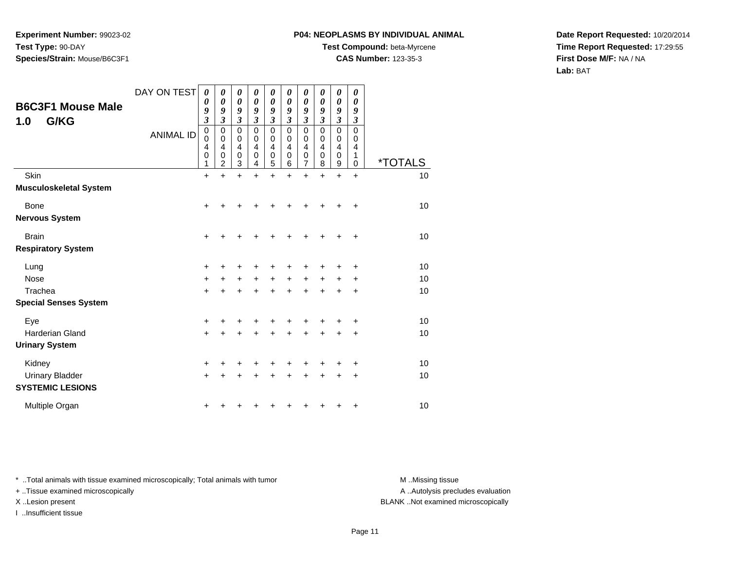### **P04: NEOPLASMS BY INDIVIDUAL ANIMAL**

**Test Compound:** beta-Myrcene

**CAS Number:** 123-35-3

**Date Report Requested:** 10/20/2014**Time Report Requested:** 17:29:55**First Dose M/F:** NA / NA**Lab:** BAT

|                                         | DAY ON TEST      | 0<br>0                          | 0<br>0                             | 0<br>0                | $\boldsymbol{\theta}$<br>0      | 0<br>$\boldsymbol{\theta}$         | 0<br>0                | $\pmb{\theta}$<br>0   | $\boldsymbol{\theta}$<br>$\boldsymbol{\theta}$ | 0<br>$\boldsymbol{\theta}$           | 0<br>0                          |                       |
|-----------------------------------------|------------------|---------------------------------|------------------------------------|-----------------------|---------------------------------|------------------------------------|-----------------------|-----------------------|------------------------------------------------|--------------------------------------|---------------------------------|-----------------------|
| <b>B6C3F1 Mouse Male</b><br>G/KG<br>1.0 |                  | 9<br>$\boldsymbol{\beta}$       | 9<br>3                             | 9<br>3                | 9<br>3                          | 9<br>$\overline{\mathbf{3}}$       | 9<br>$\mathfrak{z}$   | 9<br>3                | 9<br>$\mathfrak{z}$                            | 9<br>3                               | 9<br>$\boldsymbol{\beta}$       |                       |
|                                         | <b>ANIMAL ID</b> | 0<br>$\mathbf 0$<br>4<br>0<br>1 | 0<br>0<br>4<br>0<br>$\overline{2}$ | 0<br>0<br>4<br>0<br>3 | $\mathbf 0$<br>0<br>4<br>0<br>4 | 0<br>0<br>$\overline{4}$<br>0<br>5 | 0<br>0<br>4<br>0<br>6 | 0<br>0<br>4<br>0<br>7 | $\mathbf 0$<br>0<br>4<br>0<br>8                | 0<br>0<br>4<br>0<br>$\boldsymbol{9}$ | 0<br>0<br>4<br>1<br>$\mathbf 0$ | <i><b>*TOTALS</b></i> |
| Skin                                    |                  | $\ddot{}$                       | $\ddot{}$                          | $\ddot{}$             | $\ddot{}$                       | $\ddot{}$                          | $\ddot{}$             | $\ddot{}$             | $\ddot{}$                                      | $\ddot{}$                            | $\ddot{}$                       | 10                    |
| <b>Musculoskeletal System</b>           |                  |                                 |                                    |                       |                                 |                                    |                       |                       |                                                |                                      |                                 |                       |
| <b>Bone</b>                             |                  | +                               |                                    |                       |                                 |                                    |                       |                       |                                                |                                      | ÷                               | 10                    |
| <b>Nervous System</b>                   |                  |                                 |                                    |                       |                                 |                                    |                       |                       |                                                |                                      |                                 |                       |
| <b>Brain</b>                            |                  | $\ddot{}$                       |                                    | +                     |                                 |                                    | ٠                     | +                     | +                                              |                                      | +                               | 10                    |
| <b>Respiratory System</b>               |                  |                                 |                                    |                       |                                 |                                    |                       |                       |                                                |                                      |                                 |                       |
| Lung                                    |                  | +                               |                                    | +                     | ٠                               | ٠                                  | +                     | +                     | +                                              |                                      | +                               | 10                    |
| <b>Nose</b>                             |                  | $+$                             |                                    | $\ddot{}$             | $\ddot{}$                       | $+$                                | $\ddot{}$             | $\pm$                 | $\ddot{}$                                      | $\ddot{}$                            | +                               | 10                    |
| Trachea                                 |                  | $\ddot{}$                       |                                    | +                     | ÷                               |                                    | $\ddot{}$             | +                     | +                                              |                                      | +                               | 10                    |
| <b>Special Senses System</b>            |                  |                                 |                                    |                       |                                 |                                    |                       |                       |                                                |                                      |                                 |                       |
| Eye                                     |                  | $\ddot{}$                       |                                    |                       |                                 |                                    | +                     | +                     | +                                              |                                      | +                               | 10                    |
| <b>Harderian Gland</b>                  |                  | $\ddot{}$                       |                                    | +                     | $\ddot{}$                       | $\ddot{}$                          | $\ddot{}$             | $\ddot{}$             | $\ddot{}$                                      | $\ddot{}$                            | +                               | 10                    |
| <b>Urinary System</b>                   |                  |                                 |                                    |                       |                                 |                                    |                       |                       |                                                |                                      |                                 |                       |
| Kidney                                  |                  | +                               |                                    | +                     | ٠                               | ٠                                  | +                     | +                     | +                                              | +                                    | +                               | 10                    |
| <b>Urinary Bladder</b>                  |                  | $+$                             |                                    | +                     | $\ddot{}$                       | +                                  | $\ddot{}$             | ٠                     | $\ddot{}$                                      | +                                    | +                               | 10                    |
| <b>SYSTEMIC LESIONS</b>                 |                  |                                 |                                    |                       |                                 |                                    |                       |                       |                                                |                                      |                                 |                       |
| Multiple Organ                          |                  |                                 |                                    |                       |                                 |                                    |                       |                       |                                                |                                      | +                               | 10                    |

\* ..Total animals with tissue examined microscopically; Total animals with tumor **M** . Missing tissue M ..Missing tissue

+ ..Tissue examined microscopically

I ..Insufficient tissue

A ..Autolysis precludes evaluation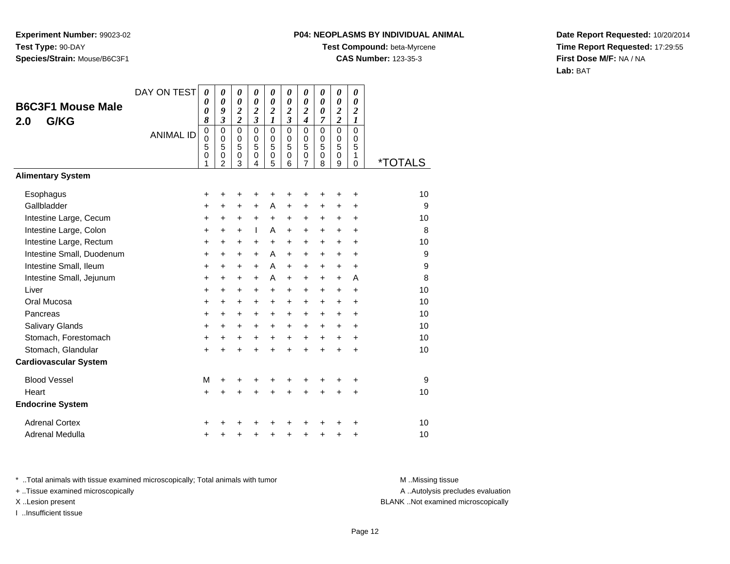# **P04: NEOPLASMS BY INDIVIDUAL ANIMAL**

**Test Compound:** beta-Myrcene

**CAS Number:** 123-35-3

**Date Report Requested:** 10/20/2014**Time Report Requested:** 17:29:55**First Dose M/F:** NA / NA**Lab:** BAT

| <b>B6C3F1 Mouse Male</b><br>G/KG<br>2.0 | DAY ON TEST      |                                                     | 0<br>0<br>9<br>$\mathfrak{z}$                                    | 0<br>0<br>$\boldsymbol{2}$<br>$\boldsymbol{2}$    | 0<br>$\boldsymbol{\theta}$<br>$\boldsymbol{2}$<br>$\mathfrak{z}$ | 0<br>$\boldsymbol{\theta}$<br>$\overline{\mathbf{c}}$<br>1        | 0<br>0<br>$\overline{\mathbf{c}}$<br>$\overline{\mathbf{3}}$ | 0<br>0<br>$\overline{\mathbf{c}}$<br>4 | 0<br>$\boldsymbol{\theta}$<br>0<br>7      | 0<br>0<br>$\overline{2}$<br>$\overline{c}$ | 0<br>$\boldsymbol{\theta}$<br>$\overline{2}$<br>1 |         |
|-----------------------------------------|------------------|-----------------------------------------------------|------------------------------------------------------------------|---------------------------------------------------|------------------------------------------------------------------|-------------------------------------------------------------------|--------------------------------------------------------------|----------------------------------------|-------------------------------------------|--------------------------------------------|---------------------------------------------------|---------|
|                                         | <b>ANIMAL ID</b> | $\mathbf 0$<br>$\mathbf 0$<br>5<br>$\mathbf 0$<br>1 | $\mathbf 0$<br>$\mathbf 0$<br>5<br>$\mathbf 0$<br>$\overline{2}$ | $\mathbf 0$<br>$\mathbf 0$<br>5<br>$\pmb{0}$<br>3 | $\mathbf 0$<br>$\mathbf 0$<br>5<br>$\pmb{0}$<br>4                | $\mathbf 0$<br>$\begin{matrix}0\\5\end{matrix}$<br>$\pmb{0}$<br>5 | $\mathbf 0$<br>$\mathbf 0$<br>5<br>0<br>6                    | $\mathbf 0$<br>0<br>5<br>0<br>7        | $\mathbf 0$<br>0<br>5<br>$\mathbf 0$<br>8 | $\mathbf 0$<br>0<br>5<br>$\mathbf 0$<br>9  | 0<br>0<br>5<br>1<br>0                             | *TOTALS |
| <b>Alimentary System</b>                |                  |                                                     |                                                                  |                                                   |                                                                  |                                                                   |                                                              |                                        |                                           |                                            |                                                   |         |
| Esophagus                               |                  | +                                                   | +                                                                | +                                                 | +                                                                | +                                                                 | +                                                            | +                                      |                                           | ٠                                          | +                                                 | 10      |
| Gallbladder                             |                  | +                                                   | +                                                                | +                                                 | +                                                                | A                                                                 | +                                                            | +                                      | +                                         | +                                          | +                                                 | 9       |
| Intestine Large, Cecum                  |                  | +                                                   | $\ddot{}$                                                        | $\ddot{}$                                         | $\ddot{}$                                                        | $\ddot{}$                                                         | $\ddot{}$                                                    | +                                      | $\ddot{}$                                 | $\ddot{}$                                  | $\ddot{}$                                         | 10      |
| Intestine Large, Colon                  |                  | +                                                   | $\ddot{}$                                                        | $\ddot{}$                                         | T                                                                | A                                                                 | $\ddot{}$                                                    | $\ddot{}$                              | $\ddot{}$                                 | $\ddot{}$                                  | $\ddot{}$                                         | 8       |
| Intestine Large, Rectum                 |                  | +                                                   | $\ddot{}$                                                        | $\ddot{}$                                         | $\ddot{}$                                                        | $\pm$                                                             | $\ddot{}$                                                    | +                                      | $\ddot{}$                                 | $\ddot{}$                                  | $\ddot{}$                                         | 10      |
| Intestine Small, Duodenum               |                  | $\ddot{}$                                           | +                                                                | $\ddot{}$                                         | $\ddot{}$                                                        | A                                                                 | +                                                            | $\ddot{}$                              | $\ddot{}$                                 | $\ddot{}$                                  | +                                                 | 9       |
| Intestine Small, Ileum                  |                  | +                                                   | $\ddot{}$                                                        | $\ddot{}$                                         | $\ddot{}$                                                        | A                                                                 | $\ddot{}$                                                    | +                                      | $\ddot{}$                                 | $\ddot{}$                                  | $\ddot{}$                                         | 9       |
| Intestine Small, Jejunum                |                  | $\ddot{}$                                           | $\ddot{}$                                                        | $\ddot{}$                                         | $\ddot{}$                                                        | A                                                                 | $+$                                                          | +                                      | $\ddot{}$                                 | $\ddot{}$                                  | A                                                 | 8       |
| Liver                                   |                  | +                                                   | $\ddot{}$                                                        | $\ddot{}$                                         | $\ddot{}$                                                        | $\ddot{}$                                                         | +                                                            | $\ddot{}$                              | $\ddot{}$                                 | $\ddot{}$                                  | $\ddot{}$                                         | 10      |
| Oral Mucosa                             |                  | $\ddot{}$                                           | $\ddot{}$                                                        | $\ddot{}$                                         | +                                                                | $\ddot{}$                                                         | +                                                            | $\ddot{}$                              | $\ddot{}$                                 | $\ddot{}$                                  | $\ddot{}$                                         | 10      |
| Pancreas                                |                  | +                                                   | $\ddot{}$                                                        | $\ddot{}$                                         | $\ddot{}$                                                        | $+$                                                               | +                                                            | $\ddot{}$                              | $\ddot{}$                                 | $\ddot{}$                                  | $\ddot{}$                                         | 10      |
| Salivary Glands                         |                  | $\ddot{}$                                           | $\ddot{}$                                                        | $\ddot{}$                                         | $\ddot{}$                                                        | $\ddot{}$                                                         | $\ddot{}$                                                    | $\ddot{}$                              | $\ddot{}$                                 | $\ddot{}$                                  | $\ddot{}$                                         | 10      |
| Stomach, Forestomach                    |                  | +                                                   | $\ddot{}$                                                        | +                                                 | +                                                                | +                                                                 | +                                                            | +                                      | $\ddot{}$                                 | $\ddot{}$                                  | +                                                 | 10      |
| Stomach, Glandular                      |                  | $\ddot{}$                                           | ÷                                                                | $\ddot{}$                                         | $\ddot{}$                                                        | $\ddot{}$                                                         | $\ddot{}$                                                    | $\ddot{}$                              | $\ddot{}$                                 | $\ddot{}$                                  | +                                                 | 10      |
| <b>Cardiovascular System</b>            |                  |                                                     |                                                                  |                                                   |                                                                  |                                                                   |                                                              |                                        |                                           |                                            |                                                   |         |
| <b>Blood Vessel</b>                     |                  | M                                                   |                                                                  | +                                                 |                                                                  |                                                                   |                                                              |                                        |                                           |                                            | +                                                 | 9       |
| Heart                                   |                  | $\ddot{}$                                           | $\ddot{}$                                                        | $\ddot{}$                                         | $\ddot{}$                                                        | $\ddot{}$                                                         | $\ddot{}$                                                    | $\ddot{}$                              | $\ddot{}$                                 | $\ddot{}$                                  | +                                                 | 10      |
| <b>Endocrine System</b>                 |                  |                                                     |                                                                  |                                                   |                                                                  |                                                                   |                                                              |                                        |                                           |                                            |                                                   |         |
| <b>Adrenal Cortex</b>                   |                  |                                                     |                                                                  |                                                   |                                                                  |                                                                   |                                                              |                                        |                                           |                                            | ٠                                                 | 10      |
| Adrenal Medulla                         |                  | +                                                   |                                                                  | +                                                 | +                                                                | +                                                                 | +                                                            | +                                      | +                                         | +                                          | +                                                 | 10      |

\* ..Total animals with tissue examined microscopically; Total animals with tumor **M** . Missing tissue M ..Missing tissue

+ ..Tissue examined microscopically

I ..Insufficient tissue

A ..Autolysis precludes evaluation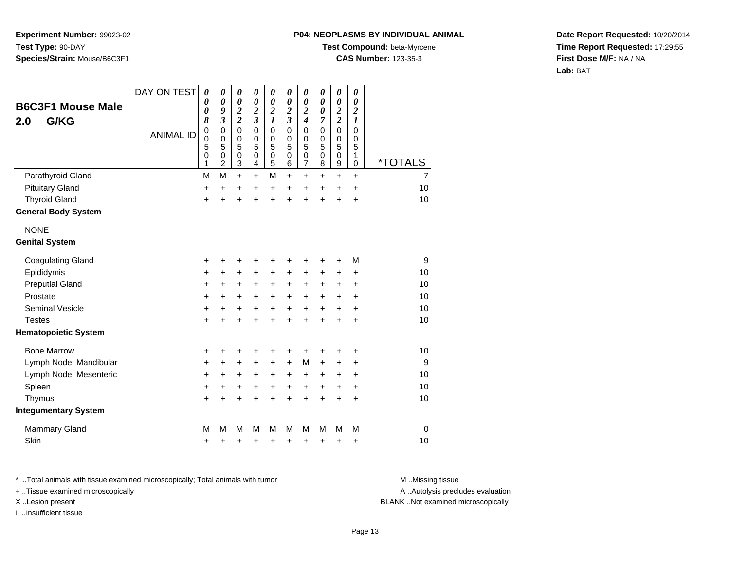#### **P04: NEOPLASMS BY INDIVIDUAL ANIMAL**

**Test Compound:** beta-Myrcene

**CAS Number:** 123-35-3

**Date Report Requested:** 10/20/2014**Time Report Requested:** 17:29:55**First Dose M/F:** NA / NA**Lab:** BAT

| <b>B6C3F1 Mouse Male</b>             | DAY ON TEST      | 0<br>0<br>0                                  | 0<br>0<br>9                                                                       | 0<br>$\boldsymbol{\theta}$<br>$\boldsymbol{2}$    | 0<br>0<br>$\overline{\mathbf{c}}$                        | 0<br>$\boldsymbol{\theta}$<br>$\overline{\mathbf{c}}$ | 0<br>0<br>$\overline{\mathbf{c}}$<br>$\overline{\mathbf{3}}$ | 0<br>0<br>$\overline{\mathbf{c}}$                                          | 0<br>$\boldsymbol{\theta}$<br>$\boldsymbol{\theta}$ | 0<br>$\boldsymbol{\theta}$<br>$\overline{2}$                                             | 0<br>0<br>$\overline{c}$                       |                       |
|--------------------------------------|------------------|----------------------------------------------|-----------------------------------------------------------------------------------|---------------------------------------------------|----------------------------------------------------------|-------------------------------------------------------|--------------------------------------------------------------|----------------------------------------------------------------------------|-----------------------------------------------------|------------------------------------------------------------------------------------------|------------------------------------------------|-----------------------|
| G/KG<br>2.0                          | <b>ANIMAL ID</b> | 8<br>$\pmb{0}$<br>$\mathbf 0$<br>5<br>0<br>1 | $\overline{\mathbf{3}}$<br>$\mathbf 0$<br>$\mathbf 0$<br>5<br>0<br>$\overline{2}$ | $\overline{2}$<br>$\mathbf 0$<br>0<br>5<br>0<br>3 | 3<br>$\mathbf 0$<br>$\mathbf 0$<br>5<br>$\mathbf 0$<br>4 | 1<br>$\pmb{0}$<br>$\mathbf 0$<br>5<br>$\pmb{0}$<br>5  | $\mathsf 0$<br>$\mathbf 0$<br>5<br>0<br>6                    | $\boldsymbol{4}$<br>$\mathsf 0$<br>$\mathbf 0$<br>5<br>0<br>$\overline{7}$ | 7<br>0<br>0<br>5<br>$\mathbf 0$<br>8                | $\overline{\mathbf{c}}$<br>$\mathbf 0$<br>$\mathbf 0$<br>5<br>$\mathbf 0$<br>$\mathsf g$ | 1<br>$\mathbf 0$<br>0<br>5<br>1<br>$\mathbf 0$ | <i><b>*TOTALS</b></i> |
| Parathyroid Gland                    |                  | M                                            | M                                                                                 | $\ddot{}$                                         | $\ddot{}$                                                | M                                                     | $\ddot{}$                                                    | $\ddot{}$                                                                  | $\ddot{}$                                           | $\ddot{}$                                                                                | $+$                                            | $\overline{7}$        |
| <b>Pituitary Gland</b>               |                  | $\ddot{}$                                    | $\ddot{}$                                                                         | $\ddot{}$                                         | $\ddot{}$                                                | +                                                     | $\ddot{}$                                                    | $\ddot{}$                                                                  | $\ddot{}$                                           | $\ddot{}$                                                                                | $\ddot{}$                                      | 10                    |
| <b>Thyroid Gland</b>                 |                  | $\ddot{}$                                    | $\ddot{}$                                                                         | $\ddot{}$                                         | $\ddot{}$                                                | $\ddot{}$                                             | ÷                                                            | $\ddot{}$                                                                  | $\ddot{}$                                           | ÷                                                                                        | $\ddot{}$                                      | 10                    |
| <b>General Body System</b>           |                  |                                              |                                                                                   |                                                   |                                                          |                                                       |                                                              |                                                                            |                                                     |                                                                                          |                                                |                       |
| <b>NONE</b><br><b>Genital System</b> |                  |                                              |                                                                                   |                                                   |                                                          |                                                       |                                                              |                                                                            |                                                     |                                                                                          |                                                |                       |
|                                      |                  |                                              |                                                                                   |                                                   |                                                          |                                                       |                                                              |                                                                            |                                                     |                                                                                          |                                                |                       |
| <b>Coagulating Gland</b>             |                  | +                                            | +                                                                                 | +                                                 | +                                                        | +                                                     | +                                                            | +                                                                          | +                                                   | $\ddot{}$                                                                                | M                                              | 9                     |
| Epididymis                           |                  | $\ddot{}$                                    | +                                                                                 | +                                                 | $\pm$                                                    | $\ddot{}$                                             | $+$                                                          | $\ddot{}$                                                                  | $\pm$                                               | $\ddot{}$                                                                                | $\ddot{}$                                      | 10                    |
| <b>Preputial Gland</b>               |                  | +                                            | +                                                                                 | +                                                 | +                                                        | +                                                     | $\ddot{}$                                                    | +                                                                          | +                                                   | +                                                                                        | +                                              | 10                    |
| Prostate                             |                  | $\ddot{}$                                    | +                                                                                 | +                                                 | +                                                        | +                                                     | $\ddot{}$                                                    | +                                                                          | +                                                   | +                                                                                        | $\ddot{}$                                      | 10                    |
| <b>Seminal Vesicle</b>               |                  | +                                            | $\ddot{}$                                                                         | $\ddot{}$                                         | $\ddot{}$                                                | $+$                                                   | $+$                                                          | $\ddot{}$                                                                  | $+$                                                 | $\ddot{}$                                                                                | $\ddot{}$                                      | 10                    |
| <b>Testes</b>                        |                  | $\ddot{}$                                    | $\ddot{}$                                                                         | $\ddot{}$                                         | $\ddot{}$                                                | $\ddot{}$                                             | $+$                                                          | $\ddot{}$                                                                  | $\ddot{}$                                           | $\ddot{}$                                                                                | $\ddot{}$                                      | 10                    |
| <b>Hematopoietic System</b>          |                  |                                              |                                                                                   |                                                   |                                                          |                                                       |                                                              |                                                                            |                                                     |                                                                                          |                                                |                       |
| <b>Bone Marrow</b>                   |                  | +                                            | ٠                                                                                 | +                                                 | +                                                        | +                                                     | +                                                            | +                                                                          | ٠                                                   | ٠                                                                                        | +                                              | 10                    |
| Lymph Node, Mandibular               |                  | $\ddot{}$                                    | $\ddot{}$                                                                         | $\ddot{}$                                         | $\ddot{}$                                                | $+$                                                   | $+$                                                          | М                                                                          | $\ddot{}$                                           | $\ddot{}$                                                                                | $\ddot{}$                                      | 9                     |
| Lymph Node, Mesenteric               |                  | $\ddot{}$                                    | +                                                                                 | +                                                 | +                                                        | +                                                     | $\ddot{}$                                                    | +                                                                          | +                                                   | +                                                                                        | +                                              | 10                    |
| Spleen                               |                  | +                                            | +                                                                                 | +                                                 | +                                                        | $\ddot{}$                                             | $\ddot{}$                                                    | $\ddot{}$                                                                  | $\ddot{}$                                           | +                                                                                        | +                                              | 10                    |
| Thymus                               |                  | $\ddot{}$                                    | $\ddot{}$                                                                         | $\ddot{}$                                         | $\ddot{}$                                                | $\ddot{}$                                             | $\ddot{}$                                                    | $\ddot{}$                                                                  | $\ddot{}$                                           | $\ddot{}$                                                                                | $\ddot{}$                                      | 10                    |
| <b>Integumentary System</b>          |                  |                                              |                                                                                   |                                                   |                                                          |                                                       |                                                              |                                                                            |                                                     |                                                                                          |                                                |                       |
| <b>Mammary Gland</b>                 |                  | M                                            | M                                                                                 | M                                                 | М                                                        | M                                                     | м                                                            | M                                                                          | M                                                   | M                                                                                        | M                                              | 0                     |
| Skin                                 |                  | +                                            | +                                                                                 | +                                                 | +                                                        | +                                                     | +                                                            | +                                                                          | +                                                   | +                                                                                        | +                                              | 10                    |

\* ..Total animals with tissue examined microscopically; Total animals with tumor **M** . Missing tissue M ..Missing tissue

+ ..Tissue examined microscopically

I ..Insufficient tissue

A ..Autolysis precludes evaluation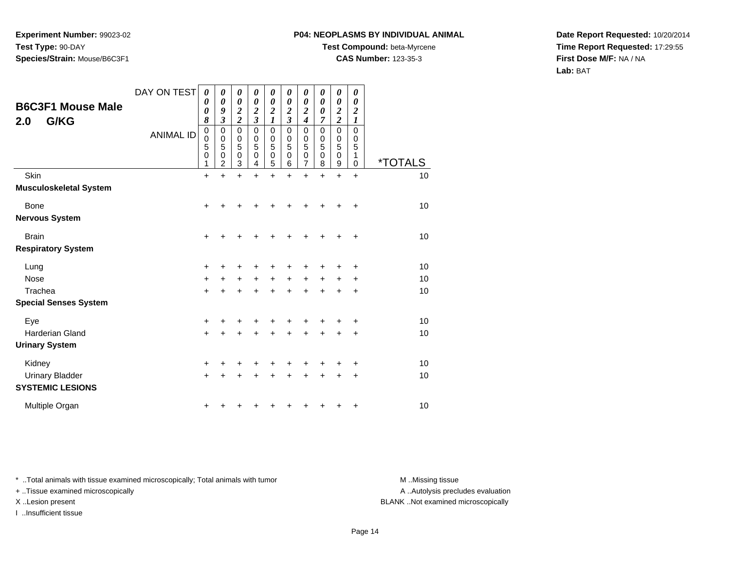### **P04: NEOPLASMS BY INDIVIDUAL ANIMAL**

**Test Compound:** beta-Myrcene

**CAS Number:** 123-35-3

**Date Report Requested:** 10/20/2014**Time Report Requested:** 17:29:55**First Dose M/F:** NA / NA**Lab:** BAT

| <b>B6C3F1 Mouse Male</b><br>G/KG<br>2.0           | DAY ON TEST<br><b>ANIMAL ID</b> | 0<br>0<br>0<br>8<br>$\mathbf 0$<br>0<br>5<br>$\mathbf 0$<br>1 | 0<br>$\boldsymbol{\theta}$<br>9<br>$\boldsymbol{\mathfrak{z}}$<br>$\pmb{0}$<br>0<br>5<br>$\mathbf 0$<br>2 | 0<br>0<br>$\boldsymbol{2}$<br>$\overline{\mathbf{c}}$<br>$\mathbf 0$<br>0<br>5<br>$\mathbf 0$<br>3 | 0<br>0<br>$\overline{\mathbf{c}}$<br>$\overline{\mathbf{3}}$<br>0<br>0<br>5<br>0<br>4 | 0<br>0<br>$\boldsymbol{2}$<br>$\boldsymbol{l}$<br>$\pmb{0}$<br>0<br>5<br>0<br>5 | 0<br>$\boldsymbol{\theta}$<br>$\overline{\mathbf{c}}$<br>$\overline{\mathbf{3}}$<br>$\mathbf 0$<br>0<br>5<br>0<br>6 | 0<br>0<br>2<br>$\boldsymbol{4}$<br>$\mathbf 0$<br>0<br>5<br>$\mathbf 0$<br>7 | 0<br>0<br>0<br>7<br>$\mathbf 0$<br>0<br>5<br>$\mathbf 0$<br>8 | 0<br>0<br>$\boldsymbol{2}$<br>$\overline{2}$<br>$\mathbf 0$<br>0<br>5<br>$\mathbf 0$<br>9 | 0<br>0<br>$\boldsymbol{2}$<br>1<br>$\mathbf 0$<br>0<br>5<br>1<br>0 | <i><b>*TOTALS</b></i> |
|---------------------------------------------------|---------------------------------|---------------------------------------------------------------|-----------------------------------------------------------------------------------------------------------|----------------------------------------------------------------------------------------------------|---------------------------------------------------------------------------------------|---------------------------------------------------------------------------------|---------------------------------------------------------------------------------------------------------------------|------------------------------------------------------------------------------|---------------------------------------------------------------|-------------------------------------------------------------------------------------------|--------------------------------------------------------------------|-----------------------|
| <b>Skin</b>                                       |                                 | $\ddot{}$                                                     | $\ddot{}$                                                                                                 | $\ddot{}$                                                                                          | $\ddot{}$                                                                             | $\ddot{}$                                                                       | $\ddot{}$                                                                                                           | $\ddot{}$                                                                    | $\ddot{}$                                                     | $\ddot{}$                                                                                 | $\ddot{}$                                                          | 10                    |
| <b>Musculoskeletal System</b>                     |                                 |                                                               |                                                                                                           |                                                                                                    |                                                                                       |                                                                                 |                                                                                                                     |                                                                              |                                                               |                                                                                           |                                                                    |                       |
| Bone                                              |                                 | +                                                             |                                                                                                           |                                                                                                    |                                                                                       |                                                                                 |                                                                                                                     |                                                                              |                                                               |                                                                                           | +                                                                  | 10                    |
| <b>Nervous System</b>                             |                                 |                                                               |                                                                                                           |                                                                                                    |                                                                                       |                                                                                 |                                                                                                                     |                                                                              |                                                               |                                                                                           |                                                                    |                       |
| <b>Brain</b>                                      |                                 | $\ddot{}$                                                     |                                                                                                           |                                                                                                    |                                                                                       | +                                                                               | ٠                                                                                                                   |                                                                              |                                                               |                                                                                           | ÷                                                                  | 10                    |
| <b>Respiratory System</b>                         |                                 |                                                               |                                                                                                           |                                                                                                    |                                                                                       |                                                                                 |                                                                                                                     |                                                                              |                                                               |                                                                                           |                                                                    |                       |
| Lung                                              |                                 | $\ddot{}$                                                     | ٠                                                                                                         | ٠                                                                                                  | ٠                                                                                     | +                                                                               | ٠                                                                                                                   | +                                                                            |                                                               |                                                                                           | ÷                                                                  | 10                    |
| <b>Nose</b>                                       |                                 | +                                                             | +                                                                                                         | $\ddot{}$                                                                                          | $\ddot{}$                                                                             | $+$                                                                             | $\ddot{}$                                                                                                           | $\ddot{}$                                                                    | $\ddot{}$                                                     | $\ddot{}$                                                                                 | +                                                                  | 10                    |
| Trachea                                           |                                 | $\ddot{}$                                                     |                                                                                                           | $\ddot{}$                                                                                          |                                                                                       | $\ddot{}$                                                                       | $\ddot{}$                                                                                                           | $\ddot{}$                                                                    |                                                               | $\div$                                                                                    | $\ddot{}$                                                          | 10                    |
| <b>Special Senses System</b>                      |                                 |                                                               |                                                                                                           |                                                                                                    |                                                                                       |                                                                                 |                                                                                                                     |                                                                              |                                                               |                                                                                           |                                                                    |                       |
| Eye                                               |                                 | +                                                             |                                                                                                           | +                                                                                                  |                                                                                       | +                                                                               |                                                                                                                     |                                                                              |                                                               |                                                                                           | +                                                                  | 10                    |
| <b>Harderian Gland</b>                            |                                 | +                                                             | +                                                                                                         | +                                                                                                  | +                                                                                     | $\ddot{}$                                                                       | $\ddot{}$                                                                                                           | $\ddot{}$                                                                    | $\ddot{}$                                                     | $\ddot{}$                                                                                 | +                                                                  | 10                    |
| <b>Urinary System</b>                             |                                 |                                                               |                                                                                                           |                                                                                                    |                                                                                       |                                                                                 |                                                                                                                     |                                                                              |                                                               |                                                                                           |                                                                    |                       |
| Kidney                                            |                                 | +                                                             |                                                                                                           | +                                                                                                  |                                                                                       |                                                                                 |                                                                                                                     |                                                                              |                                                               |                                                                                           | +                                                                  | 10                    |
| <b>Urinary Bladder</b><br><b>SYSTEMIC LESIONS</b> |                                 | +                                                             |                                                                                                           | +                                                                                                  |                                                                                       | +                                                                               | +                                                                                                                   |                                                                              |                                                               |                                                                                           | +                                                                  | 10                    |
| Multiple Organ                                    |                                 | +                                                             |                                                                                                           |                                                                                                    |                                                                                       |                                                                                 |                                                                                                                     |                                                                              |                                                               |                                                                                           | +                                                                  | 10                    |

\* ..Total animals with tissue examined microscopically; Total animals with tumor **M** . Missing tissue M ..Missing tissue

+ ..Tissue examined microscopically

I ..Insufficient tissue

A ..Autolysis precludes evaluation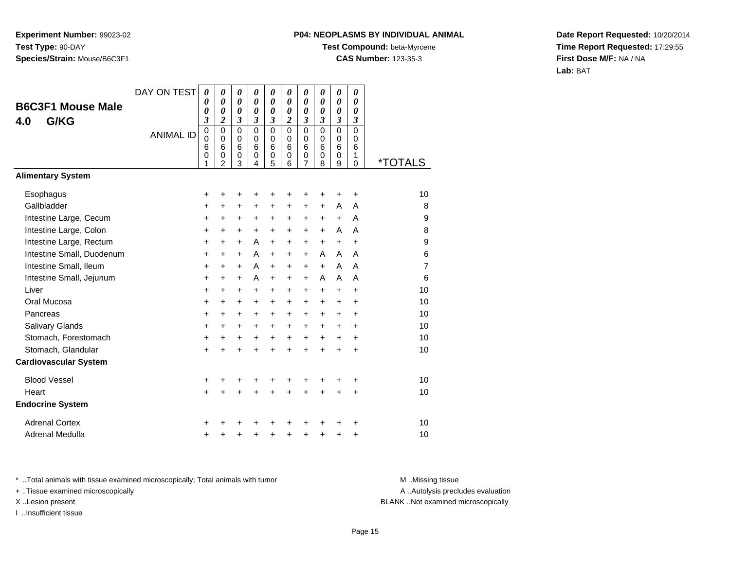## **P04: NEOPLASMS BY INDIVIDUAL ANIMAL**

**Test Compound:** beta-Myrcene

**CAS Number:** 123-35-3

**Date Report Requested:** 10/20/2014**Time Report Requested:** 17:29:55**First Dose M/F:** NA / NA**Lab:** BAT

| <b>B6C3F1 Mouse Male</b><br>G/KG<br>4.0 | DAY ON TEST      | 0<br>$\boldsymbol{\theta}$<br>0<br>3                | 0<br>0<br>0<br>2                                       | 0<br>0<br>0<br>3                              | 0<br>0<br>$\boldsymbol{\theta}$<br>3              | 0<br>0<br>0<br>3                | 0<br>0<br>0<br>2             | 0<br>0<br>0<br>3                | 0<br>$\boldsymbol{\theta}$<br>0<br>3 | 0<br>0<br>0<br>3                | 0<br>$\boldsymbol{\theta}$<br>$\boldsymbol{\theta}$<br>3 |                       |
|-----------------------------------------|------------------|-----------------------------------------------------|--------------------------------------------------------|-----------------------------------------------|---------------------------------------------------|---------------------------------|------------------------------|---------------------------------|--------------------------------------|---------------------------------|----------------------------------------------------------|-----------------------|
|                                         | <b>ANIMAL ID</b> | $\mathbf 0$<br>$\mathbf 0$<br>6<br>$\mathbf 0$<br>1 | $\mathbf 0$<br>$\mathbf 0$<br>6<br>0<br>$\overline{2}$ | $\mathbf 0$<br>0<br>$6\phantom{1}6$<br>0<br>3 | $\Omega$<br>$\Omega$<br>$6\phantom{1}6$<br>0<br>4 | $\mathbf 0$<br>0<br>6<br>0<br>5 | 0<br>$\Omega$<br>6<br>0<br>6 | $\mathbf 0$<br>0<br>6<br>0<br>7 | $\mathbf 0$<br>0<br>6<br>0<br>8      | $\mathbf 0$<br>0<br>6<br>0<br>9 | $\mathbf 0$<br>0<br>6<br>1<br>0                          | <i><b>*TOTALS</b></i> |
| <b>Alimentary System</b>                |                  |                                                     |                                                        |                                               |                                                   |                                 |                              |                                 |                                      |                                 |                                                          |                       |
| Esophagus                               |                  | +                                                   | +                                                      | +                                             | +                                                 | +                               | +                            | +                               | +                                    | +                               | +                                                        | 10                    |
| Gallbladder                             |                  | +                                                   | +                                                      | +                                             | +                                                 | +                               | +                            | +                               | $\ddot{}$                            | A                               | A                                                        | 8                     |
| Intestine Large, Cecum                  |                  | +                                                   | +                                                      | +                                             | +                                                 | +                               | +                            | +                               | $\ddot{}$                            | $\ddot{}$                       | A                                                        | 9                     |
| Intestine Large, Colon                  |                  | $\ddot{}$                                           | $\ddot{}$                                              | $\ddot{}$                                     | $\ddot{}$                                         | $\ddot{}$                       | +                            | +                               | $\ddot{}$                            | A                               | A                                                        | 8                     |
| Intestine Large, Rectum                 |                  | +                                                   | $\ddot{}$                                              | $\ddot{}$                                     | A                                                 | $\ddot{}$                       | $\ddot{}$                    | $\ddot{}$                       | $\ddot{}$                            | $\ddot{}$                       | $\ddot{}$                                                | 9                     |
| Intestine Small, Duodenum               |                  | $\ddot{}$                                           | $\ddot{}$                                              | $\ddot{}$                                     | A                                                 | +                               | $\ddot{}$                    | +                               | A                                    | A                               | A                                                        | 6                     |
| Intestine Small, Ileum                  |                  | $\ddot{}$                                           | +                                                      | +                                             | A                                                 | +                               | +                            | +                               | $\ddot{}$                            | A                               | A                                                        | $\overline{7}$        |
| Intestine Small, Jejunum                |                  | $\ddot{}$                                           | $\ddot{}$                                              | $\ddot{}$                                     | A                                                 | $\ddot{}$                       | +                            | $\ddot{}$                       | A                                    | A                               | A                                                        | 6                     |
| Liver                                   |                  | $\ddot{}$                                           | +                                                      | +                                             | +                                                 | +                               | +                            | +                               | $\ddot{}$                            | $\ddot{}$                       | +                                                        | 10                    |
| Oral Mucosa                             |                  | +                                                   | +                                                      | +                                             | +                                                 | +                               | +                            | $\ddot{}$                       | $\ddot{}$                            | $\ddot{}$                       | $\ddot{}$                                                | 10                    |
| Pancreas                                |                  | $\ddot{}$                                           | +                                                      | +                                             | +                                                 | +                               | +                            | +                               | $\ddot{}$                            | +                               | +                                                        | 10                    |
| Salivary Glands                         |                  | $\ddot{}$                                           | $\ddot{}$                                              | +                                             | $\ddot{}$                                         | $\ddot{}$                       | $\ddot{}$                    | +                               | $\ddot{}$                            | $\ddot{}$                       | $\ddot{}$                                                | 10                    |
| Stomach, Forestomach                    |                  | +                                                   | +                                                      | +                                             | $\ddot{}$                                         | +                               | +                            | +                               | $\ddot{}$                            | $\ddot{}$                       | $\ddot{}$                                                | 10                    |
| Stomach, Glandular                      |                  | $\ddot{}$                                           | ÷                                                      | $\ddot{}$                                     | $\ddot{}$                                         | $\ddot{}$                       | $\ddot{}$                    | $\ddot{}$                       | $\ddot{}$                            | $\ddot{}$                       | +                                                        | 10                    |
| <b>Cardiovascular System</b>            |                  |                                                     |                                                        |                                               |                                                   |                                 |                              |                                 |                                      |                                 |                                                          |                       |
| <b>Blood Vessel</b>                     |                  | +                                                   |                                                        | +                                             | +                                                 |                                 |                              |                                 |                                      |                                 | +                                                        | 10                    |
| Heart                                   |                  | $\ddot{}$                                           | $\ddot{}$                                              | $\ddot{}$                                     | $\ddot{}$                                         | $\ddot{}$                       | $\ddot{}$                    | $\ddot{}$                       | $\ddot{}$                            | $\ddot{}$                       | +                                                        | 10                    |
| <b>Endocrine System</b>                 |                  |                                                     |                                                        |                                               |                                                   |                                 |                              |                                 |                                      |                                 |                                                          |                       |
| <b>Adrenal Cortex</b>                   |                  |                                                     |                                                        |                                               |                                                   |                                 |                              |                                 |                                      |                                 | ٠                                                        | 10                    |
| Adrenal Medulla                         |                  | +                                                   |                                                        | +                                             | +                                                 | +                               | +                            | +                               | +                                    | +                               | +                                                        | 10                    |

\* ..Total animals with tissue examined microscopically; Total animals with tumor **M** . Missing tissue M ..Missing tissue

+ ..Tissue examined microscopically

I ..Insufficient tissue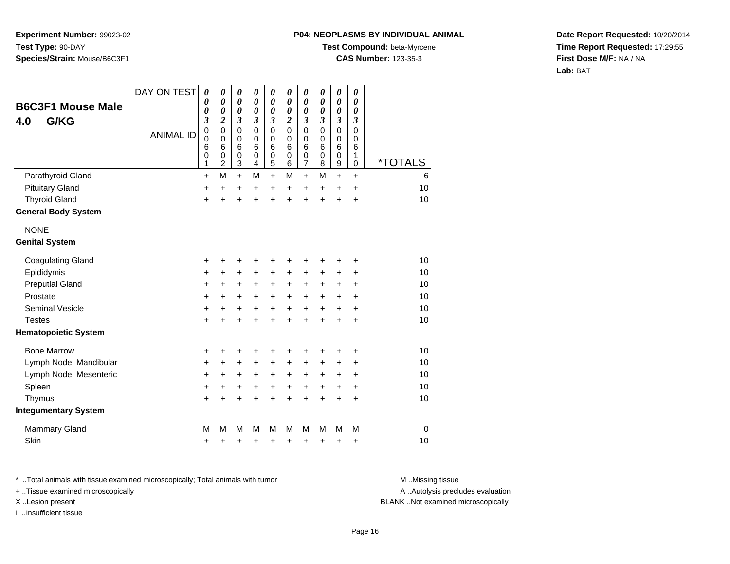#### **P04: NEOPLASMS BY INDIVIDUAL ANIMAL**

**Test Compound:** beta-Myrcene

**CAS Number:** 123-35-3

**Date Report Requested:** 10/20/2014**Time Report Requested:** 17:29:55**First Dose M/F:** NA / NA**Lab:** BAT

| <b>B6C3F1 Mouse Male</b><br>G/KG<br>4.0            | DAY ON TEST      | $\boldsymbol{\theta}$<br>0<br>0<br>3 | $\boldsymbol{\theta}$<br>$\boldsymbol{\theta}$<br>$\boldsymbol{\theta}$<br>2 | $\boldsymbol{\theta}$<br>$\boldsymbol{\theta}$<br>$\boldsymbol{\theta}$<br>3 | 0<br>0<br>0<br>3                | 0<br>0<br>0<br>3                | 0<br>$\boldsymbol{\theta}$<br>$\boldsymbol{\theta}$<br>$\boldsymbol{2}$ | $\boldsymbol{\theta}$<br>0<br>$\boldsymbol{\theta}$<br>3                       | 0<br>0<br>$\boldsymbol{\theta}$<br>$\boldsymbol{\beta}$           | $\boldsymbol{\theta}$<br>0<br>0<br>3      | $\boldsymbol{\theta}$<br>$\boldsymbol{\theta}$<br>0<br>$\boldsymbol{\beta}$ |                       |
|----------------------------------------------------|------------------|--------------------------------------|------------------------------------------------------------------------------|------------------------------------------------------------------------------|---------------------------------|---------------------------------|-------------------------------------------------------------------------|--------------------------------------------------------------------------------|-------------------------------------------------------------------|-------------------------------------------|-----------------------------------------------------------------------------|-----------------------|
|                                                    | <b>ANIMAL ID</b> | $\mathbf 0$<br>0<br>6<br>0<br>1      | $\mathbf 0$<br>0<br>6<br>0<br>$\overline{c}$                                 | $\mathbf 0$<br>0<br>$6\phantom{1}6$<br>$\mathbf 0$<br>$\mathbf{3}$           | $\mathbf 0$<br>0<br>6<br>0<br>4 | $\mathbf 0$<br>0<br>6<br>0<br>5 | $\mathbf 0$<br>0<br>6<br>0<br>6                                         | $\mathbf 0$<br>$\mathbf 0$<br>$6\phantom{1}6$<br>$\mathbf 0$<br>$\overline{7}$ | $\mathbf 0$<br>$\mathbf 0$<br>$6\phantom{1}6$<br>$\mathbf 0$<br>8 | $\mathbf 0$<br>0<br>6<br>$\mathbf 0$<br>9 | $\mathbf 0$<br>0<br>6<br>1<br>0                                             | <i><b>*TOTALS</b></i> |
| Parathyroid Gland                                  |                  | $\ddot{}$                            | M                                                                            | $+$                                                                          | M                               | $+$                             | M                                                                       | $\ddot{}$                                                                      | M                                                                 | $\ddot{}$                                 | $\ddot{}$                                                                   | 6                     |
| <b>Pituitary Gland</b>                             |                  | +                                    | +                                                                            | +                                                                            | +                               | +                               | +                                                                       | +                                                                              | +                                                                 | +                                         | +                                                                           | 10                    |
| <b>Thyroid Gland</b><br><b>General Body System</b> |                  | $\ddot{}$                            | ÷                                                                            | $\ddot{}$                                                                    | ÷                               | ÷                               | $\ddot{}$                                                               | ÷                                                                              | ÷                                                                 | $\ddot{}$                                 | $\ddot{}$                                                                   | 10                    |
| <b>NONE</b>                                        |                  |                                      |                                                                              |                                                                              |                                 |                                 |                                                                         |                                                                                |                                                                   |                                           |                                                                             |                       |
| <b>Genital System</b>                              |                  |                                      |                                                                              |                                                                              |                                 |                                 |                                                                         |                                                                                |                                                                   |                                           |                                                                             |                       |
| <b>Coagulating Gland</b>                           |                  | +                                    | +                                                                            | +                                                                            | +                               | +                               | +                                                                       | +                                                                              | +                                                                 | +                                         | +                                                                           | 10                    |
| Epididymis                                         |                  | $\ddot{}$                            | $\ddot{}$                                                                    | $\ddot{}$                                                                    | $\ddot{}$                       | $\ddot{}$                       | $\ddot{}$                                                               | $\ddot{}$                                                                      | $\ddot{}$                                                         | $\ddot{}$                                 | $\ddot{}$                                                                   | 10                    |
| <b>Preputial Gland</b>                             |                  | +                                    | +                                                                            | +                                                                            | +                               | $\ddot{}$                       | $\ddot{}$                                                               | +                                                                              | +                                                                 | +                                         | +                                                                           | 10                    |
| Prostate                                           |                  | $\ddot{}$                            | +                                                                            | $\ddot{}$                                                                    | $\ddot{}$                       | +                               | $\ddot{}$                                                               | +                                                                              | $\ddot{}$                                                         | +                                         | $\ddot{}$                                                                   | 10                    |
| <b>Seminal Vesicle</b>                             |                  | $\ddot{}$                            | $\ddot{}$                                                                    | $\ddot{}$                                                                    | $\ddot{}$                       | $+$                             | $\ddot{}$                                                               | $\ddot{}$                                                                      | $\ddot{}$                                                         | $\ddot{}$                                 | $\ddot{}$                                                                   | 10                    |
| <b>Testes</b>                                      |                  | $\ddot{}$                            | +                                                                            | $\ddot{}$                                                                    | $\ddot{}$                       | $\ddot{}$                       | +                                                                       | $\ddot{}$                                                                      | $\ddot{}$                                                         | $\ddot{}$                                 | +                                                                           | 10                    |
| <b>Hematopoietic System</b>                        |                  |                                      |                                                                              |                                                                              |                                 |                                 |                                                                         |                                                                                |                                                                   |                                           |                                                                             |                       |
| <b>Bone Marrow</b>                                 |                  | +                                    | +                                                                            | +                                                                            | +                               | +                               | +                                                                       | +                                                                              | +                                                                 | +                                         | +                                                                           | 10                    |
| Lymph Node, Mandibular                             |                  | $\ddot{}$                            | +                                                                            | $\ddot{}$                                                                    | $\ddot{}$                       | $\pm$                           | +                                                                       | $\ddot{}$                                                                      | $\ddot{}$                                                         | +                                         | +                                                                           | 10                    |
| Lymph Node, Mesenteric                             |                  | $\ddot{}$                            | +                                                                            | $\ddot{}$                                                                    | $\ddot{}$                       | +                               | $\ddot{}$                                                               | +                                                                              | $\ddot{}$                                                         | +                                         | $\ddot{}$                                                                   | 10                    |
| Spleen                                             |                  | $\ddot{}$                            | +                                                                            | $\ddot{}$                                                                    | $\ddot{}$                       | $\ddot{}$                       | $\ddot{}$                                                               | $\ddot{}$                                                                      | $\ddot{}$                                                         | $\ddot{}$                                 | $\ddot{}$                                                                   | 10                    |
| Thymus                                             |                  | $\ddot{}$                            | $\ddot{}$                                                                    | $\ddot{}$                                                                    | $\ddot{}$                       | $\ddot{}$                       | $\ddot{}$                                                               | $\ddot{}$                                                                      | $\ddot{}$                                                         | $\ddot{}$                                 | $\ddot{}$                                                                   | 10                    |
| <b>Integumentary System</b>                        |                  |                                      |                                                                              |                                                                              |                                 |                                 |                                                                         |                                                                                |                                                                   |                                           |                                                                             |                       |
| <b>Mammary Gland</b>                               |                  | M                                    | М                                                                            | M                                                                            | м                               | M                               | M                                                                       | M                                                                              | M                                                                 | M                                         | M                                                                           | 0                     |
| Skin                                               |                  | +                                    | +                                                                            | +                                                                            | +                               | +                               | +                                                                       | +                                                                              | +                                                                 | +                                         | +                                                                           | 10                    |

\* ..Total animals with tissue examined microscopically; Total animals with tumor **M** . Missing tissue M ..Missing tissue

+ ..Tissue examined microscopically

I ..Insufficient tissue

A ..Autolysis precludes evaluation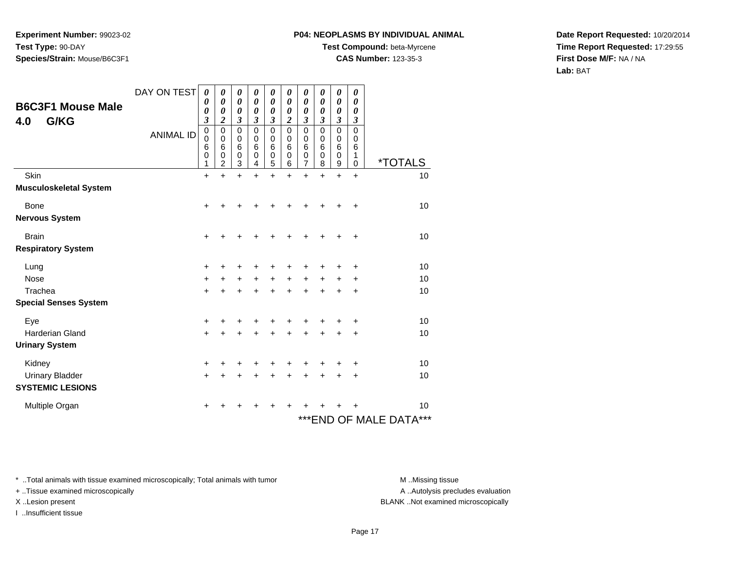#### **P04: NEOPLASMS BY INDIVIDUAL ANIMAL**

**Test Compound:** beta-Myrcene

**CAS Number:** 123-35-3

**Date Report Requested:** 10/20/2014**Time Report Requested:** 17:29:55**First Dose M/F:** NA / NA**Lab:** BAT

| <b>B6C3F1 Mouse Male</b>      | DAY ON TEST      | 0<br>$\boldsymbol{\theta}$                                    | 0<br>$\boldsymbol{\theta}$                                                                                 | 0<br>0                                              | 0<br>$\boldsymbol{\theta}$                          | 0<br>$\boldsymbol{\theta}$      | 0<br>$\boldsymbol{\theta}$                                                                     | 0<br>0                                       | 0<br>$\boldsymbol{\theta}$                             | 0<br>$\boldsymbol{\theta}$                          | $\boldsymbol{\theta}$<br>$\boldsymbol{\theta}$                          |                            |
|-------------------------------|------------------|---------------------------------------------------------------|------------------------------------------------------------------------------------------------------------|-----------------------------------------------------|-----------------------------------------------------|---------------------------------|------------------------------------------------------------------------------------------------|----------------------------------------------|--------------------------------------------------------|-----------------------------------------------------|-------------------------------------------------------------------------|----------------------------|
| G/KG<br>4.0                   | <b>ANIMAL ID</b> | $\boldsymbol{\theta}$<br>3<br>$\mathbf 0$<br>0<br>6<br>0<br>1 | $\boldsymbol{\theta}$<br>$\overline{\mathbf{2}}$<br>$\mathbf 0$<br>$\mathbf 0$<br>6<br>0<br>$\overline{2}$ | 0<br>3<br>$\mathbf 0$<br>0<br>6<br>$\mathbf 0$<br>3 | 0<br>3<br>$\mathbf 0$<br>0<br>6<br>$\mathbf 0$<br>4 | 0<br>3<br>0<br>0<br>6<br>0<br>5 | $\boldsymbol{\theta}$<br>$\overline{2}$<br>$\mathbf 0$<br>$\mathbf 0$<br>6<br>$\mathbf 0$<br>6 | 0<br>$\mathfrak{z}$<br>0<br>0<br>6<br>0<br>7 | 0<br>$\mathfrak{z}$<br>0<br>0<br>6<br>$\mathbf 0$<br>8 | $\boldsymbol{\theta}$<br>3<br>0<br>0<br>6<br>0<br>9 | $\boldsymbol{\theta}$<br>3<br>$\mathbf 0$<br>0<br>6<br>1<br>$\mathbf 0$ | <i><b>*TOTALS</b></i>      |
| Skin                          |                  | $\ddot{}$                                                     | $\ddot{}$                                                                                                  | $\ddot{}$                                           | $\ddot{}$                                           | $\ddot{}$                       | $\ddot{}$                                                                                      | $\ddot{}$                                    | $\ddot{}$                                              | $\ddot{}$                                           | $\ddot{}$                                                               | 10                         |
| <b>Musculoskeletal System</b> |                  |                                                               |                                                                                                            |                                                     |                                                     |                                 |                                                                                                |                                              |                                                        |                                                     |                                                                         |                            |
| Bone<br><b>Nervous System</b> |                  | +                                                             |                                                                                                            |                                                     |                                                     |                                 |                                                                                                |                                              |                                                        |                                                     | +                                                                       | 10                         |
| <b>Brain</b>                  |                  | $\ddot{}$                                                     |                                                                                                            |                                                     |                                                     |                                 | +                                                                                              | +                                            | +                                                      |                                                     | +                                                                       | 10                         |
| <b>Respiratory System</b>     |                  |                                                               |                                                                                                            |                                                     |                                                     |                                 |                                                                                                |                                              |                                                        |                                                     |                                                                         |                            |
| Lung                          |                  | +                                                             |                                                                                                            |                                                     | ٠                                                   | +                               | +                                                                                              | ٠                                            | +                                                      | +                                                   | +                                                                       | 10                         |
| <b>Nose</b>                   |                  | $\ddot{}$                                                     |                                                                                                            |                                                     | $\ddot{}$                                           | $\ddot{}$                       | $\ddot{}$                                                                                      | $\ddot{}$                                    | $\ddot{}$                                              | $\ddot{}$                                           | $\ddot{}$                                                               | 10                         |
| Trachea                       |                  | $\ddot{}$                                                     |                                                                                                            |                                                     | +                                                   | $\ddot{}$                       | $\ddot{}$                                                                                      | $\ddot{}$                                    | $\ddot{}$                                              | +                                                   | +                                                                       | 10                         |
| <b>Special Senses System</b>  |                  |                                                               |                                                                                                            |                                                     |                                                     |                                 |                                                                                                |                                              |                                                        |                                                     |                                                                         |                            |
| Eye                           |                  | $\ddot{}$                                                     |                                                                                                            | ٠                                                   | ÷                                                   | +                               | +                                                                                              | ÷                                            | +                                                      | +                                                   | +                                                                       | 10                         |
| <b>Harderian Gland</b>        |                  | $\ddot{}$                                                     |                                                                                                            |                                                     |                                                     | $\ddot{}$                       | ÷                                                                                              | $\ddot{}$                                    | $\ddot{}$                                              | ÷                                                   | +                                                                       | 10                         |
| <b>Urinary System</b>         |                  |                                                               |                                                                                                            |                                                     |                                                     |                                 |                                                                                                |                                              |                                                        |                                                     |                                                                         |                            |
| Kidney                        |                  | $\ddot{}$                                                     |                                                                                                            | +                                                   | ٠                                                   | ٠                               | +                                                                                              | +                                            | +                                                      | +                                                   | +                                                                       | 10                         |
| <b>Urinary Bladder</b>        |                  | +                                                             |                                                                                                            |                                                     | +                                                   | +                               | +                                                                                              | +                                            | +                                                      | +                                                   | +                                                                       | 10                         |
| <b>SYSTEMIC LESIONS</b>       |                  |                                                               |                                                                                                            |                                                     |                                                     |                                 |                                                                                                |                                              |                                                        |                                                     |                                                                         |                            |
| Multiple Organ                |                  | +                                                             |                                                                                                            |                                                     |                                                     |                                 | ┿                                                                                              |                                              |                                                        |                                                     |                                                                         | 10                         |
|                               |                  |                                                               |                                                                                                            |                                                     |                                                     |                                 |                                                                                                |                                              |                                                        |                                                     |                                                                         | ***<br>***END OF MALE DATA |

\* ..Total animals with tissue examined microscopically; Total animals with tumor **M** . Missing tissue M ..Missing tissue

+ ..Tissue examined microscopically

I ..Insufficient tissue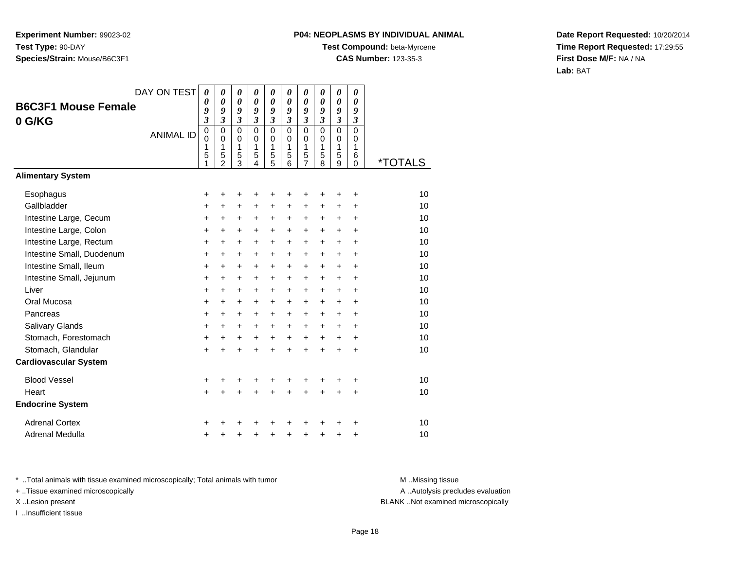# **P04: NEOPLASMS BY INDIVIDUAL ANIMAL**

**Test Compound:** beta-Myrcene

**CAS Number:** 123-35-3

**Date Report Requested:** 10/20/2014**Time Report Requested:** 17:29:55**First Dose M/F:** NA / NA**Lab:** BAT

|                              | DAY ON TEST      | 0<br>0                                     | 0<br>0                                              | 0<br>$\boldsymbol{\theta}$             | 0<br>$\boldsymbol{\theta}$             | $\pmb{\theta}$<br>0                       | 0<br>0                                 | 0<br>0                       | 0<br>0                              | 0<br>$\boldsymbol{\theta}$             | 0<br>0                                           |                       |
|------------------------------|------------------|--------------------------------------------|-----------------------------------------------------|----------------------------------------|----------------------------------------|-------------------------------------------|----------------------------------------|------------------------------|-------------------------------------|----------------------------------------|--------------------------------------------------|-----------------------|
| <b>B6C3F1 Mouse Female</b>   |                  | 9<br>$\boldsymbol{\beta}$                  | 9<br>$\mathfrak{z}$                                 | 9<br>$\mathfrak{z}$                    | 9<br>$\mathfrak{z}$                    | 9<br>3                                    | 9<br>3                                 | 9<br>$\overline{\mathbf{3}}$ | 9<br>$\mathfrak{z}$                 | 9<br>$\mathfrak{z}$                    | 9<br>3                                           |                       |
| 0 G/KG                       | <b>ANIMAL ID</b> | $\pmb{0}$<br>$\overline{0}$<br>1<br>5<br>1 | $\mathbf 0$<br>$\Omega$<br>1<br>5<br>$\mathfrak{p}$ | $\mathbf 0$<br>$\Omega$<br>1<br>5<br>3 | $\mathbf 0$<br>$\Omega$<br>1<br>5<br>4 | $\mathbf 0$<br>$\mathbf 0$<br>1<br>5<br>5 | $\mathbf 0$<br>$\Omega$<br>1<br>5<br>6 | 0<br>0<br>1<br>5<br>7        | $\Omega$<br>$\Omega$<br>1<br>5<br>8 | $\mathbf 0$<br>$\Omega$<br>1<br>5<br>9 | $\mathbf 0$<br>$\Omega$<br>1<br>6<br>$\mathbf 0$ | <i><b>*TOTALS</b></i> |
| <b>Alimentary System</b>     |                  |                                            |                                                     |                                        |                                        |                                           |                                        |                              |                                     |                                        |                                                  |                       |
| Esophagus                    |                  | +                                          | +                                                   | +                                      | +                                      | +                                         | +                                      | +                            | +                                   | +                                      | ٠                                                | 10                    |
| Gallbladder                  |                  | $\ddot{}$                                  | +                                                   | +                                      | +                                      | +                                         | +                                      | +                            | +                                   | +                                      | +                                                | 10                    |
| Intestine Large, Cecum       |                  | +                                          | $\ddot{}$                                           | +                                      | +                                      | +                                         | +                                      | +                            | $\ddot{}$                           | +                                      | +                                                | 10                    |
| Intestine Large, Colon       |                  | $\ddot{}$                                  | +                                                   | +                                      | +                                      | $\pm$                                     | $\ddot{}$                              | $\pm$                        | $\ddot{}$                           | $\pm$                                  | +                                                | 10                    |
| Intestine Large, Rectum      |                  | $\ddot{}$                                  | $\ddot{}$                                           | $\ddot{}$                              | $\ddot{}$                              | $\ddot{}$                                 | +                                      | +                            | $\ddot{}$                           | $\ddot{}$                              | $\ddot{}$                                        | 10                    |
| Intestine Small, Duodenum    |                  | $\ddot{}$                                  | $\ddot{}$                                           | $\ddot{}$                              | $\ddot{}$                              | +                                         | +                                      | +                            | $\ddot{}$                           | $\ddot{}$                              | $\ddot{}$                                        | 10                    |
| Intestine Small, Ileum       |                  | +                                          | $\ddot{}$                                           | $\ddot{}$                              | $\ddot{}$                              | $\ddot{}$                                 | +                                      | +                            | $\ddot{}$                           | $\ddot{}$                              | $\ddot{}$                                        | 10                    |
| Intestine Small, Jejunum     |                  | $\ddot{}$                                  | +                                                   | +                                      | $\ddot{}$                              | $\pm$                                     | $\ddot{}$                              | $\pm$                        | $\ddot{}$                           | $\ddot{}$                              | +                                                | 10                    |
| Liver                        |                  | $\ddot{}$                                  | $\ddot{}$                                           | $\ddot{}$                              | $\ddot{}$                              | $\ddot{}$                                 | +                                      | +                            | $\ddot{}$                           | $\ddot{}$                              | $\ddot{}$                                        | 10                    |
| Oral Mucosa                  |                  | $\ddot{}$                                  | +                                                   | +                                      | $\ddot{}$                              | +                                         | +                                      | $\ddot{}$                    | $\ddot{}$                           | +                                      | $\ddot{}$                                        | 10                    |
| Pancreas                     |                  | $\ddot{}$                                  | $\ddot{}$                                           | $\ddot{}$                              | $\ddot{}$                              | $\ddot{}$                                 | +                                      | +                            | $\ddot{}$                           | $\ddot{}$                              | $\ddot{}$                                        | 10                    |
| Salivary Glands              |                  | +                                          | +                                                   | +                                      | $\ddot{}$                              | $\pm$                                     | $\ddot{}$                              | $\pm$                        | $\ddot{}$                           | $\pm$                                  | +                                                | 10                    |
| Stomach, Forestomach         |                  | $\ddot{}$                                  | $\ddot{}$                                           | $\ddot{}$                              | $\ddot{}$                              | $\ddot{}$                                 | +                                      | +                            | $\ddot{}$                           | +                                      | $\ddot{}$                                        | 10                    |
| Stomach, Glandular           |                  | $\ddot{}$                                  | ÷                                                   | $\ddot{}$                              | $\ddot{}$                              | $\ddot{}$                                 | $\ddot{}$                              | $\ddot{}$                    | $\ddot{}$                           | $\ddot{}$                              | $\ddot{}$                                        | 10                    |
| <b>Cardiovascular System</b> |                  |                                            |                                                     |                                        |                                        |                                           |                                        |                              |                                     |                                        |                                                  |                       |
| <b>Blood Vessel</b>          |                  | +                                          | +                                                   | +                                      |                                        | +                                         |                                        | +                            |                                     |                                        | +                                                | 10                    |
| Heart                        |                  | $\ddot{}$                                  | $\ddot{}$                                           | $\ddot{}$                              | $\ddot{}$                              | $\ddot{}$                                 | $\ddot{}$                              | $\ddot{}$                    | $\ddot{}$                           | $\ddot{}$                              | $\ddot{}$                                        | 10                    |
| <b>Endocrine System</b>      |                  |                                            |                                                     |                                        |                                        |                                           |                                        |                              |                                     |                                        |                                                  |                       |
| <b>Adrenal Cortex</b>        |                  | +                                          |                                                     |                                        |                                        |                                           |                                        |                              |                                     |                                        | +                                                | 10                    |
| Adrenal Medulla              |                  | +                                          | +                                                   | +                                      | +                                      | +                                         | +                                      | +                            | +                                   | +                                      | +                                                | 10                    |

\* ..Total animals with tissue examined microscopically; Total animals with tumor **M** . Missing tissue M ..Missing tissue

+ ..Tissue examined microscopically

I ..Insufficient tissue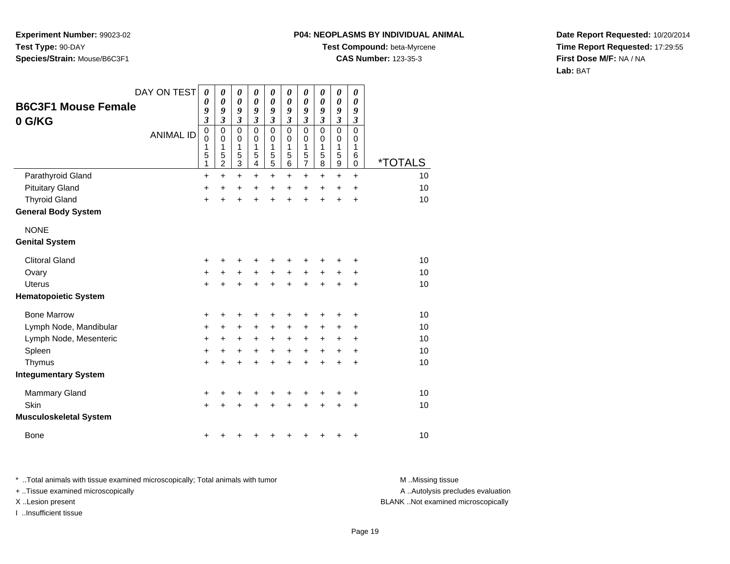### **P04: NEOPLASMS BY INDIVIDUAL ANIMAL**

**Test Compound:** beta-Myrcene

**CAS Number:** 123-35-3

**Date Report Requested:** 10/20/2014**Time Report Requested:** 17:29:55**First Dose M/F:** NA / NA**Lab:** BAT

| <b>B6C3F1 Mouse Female</b><br>0 G/KG | DAY ON TEST      | $\boldsymbol{\theta}$<br>0<br>9<br>$\mathfrak{z}$  | 0<br>$\boldsymbol{\theta}$<br>9<br>$\mathfrak{z}$      | 0<br>$\boldsymbol{\theta}$<br>9<br>$\boldsymbol{\mathfrak{z}}$ | 0<br>0<br>9<br>$\mathfrak{z}$                         | 0<br>0<br>9<br>$\mathfrak{z}$      | 0<br>$\boldsymbol{\theta}$<br>9<br>$\boldsymbol{\mathfrak{z}}$ | 0<br>$\boldsymbol{\theta}$<br>9<br>$\mathfrak{z}$ | 0<br>$\boldsymbol{\theta}$<br>9<br>$\mathfrak{z}$ | $\boldsymbol{\theta}$<br>$\boldsymbol{\theta}$<br>9<br>$\mathfrak{z}$ | 0<br>$\boldsymbol{\theta}$<br>9<br>$\boldsymbol{\beta}$ |                       |
|--------------------------------------|------------------|----------------------------------------------------|--------------------------------------------------------|----------------------------------------------------------------|-------------------------------------------------------|------------------------------------|----------------------------------------------------------------|---------------------------------------------------|---------------------------------------------------|-----------------------------------------------------------------------|---------------------------------------------------------|-----------------------|
|                                      | <b>ANIMAL ID</b> | $\pmb{0}$<br>$\mathbf 0$<br>1<br>5<br>$\mathbf{1}$ | $\mathbf 0$<br>$\mathbf 0$<br>1<br>5<br>$\overline{2}$ | $\mathsf 0$<br>0<br>1<br>5<br>$\overline{3}$                   | 0<br>$\mathbf 0$<br>1<br>5<br>$\overline{\mathbf{4}}$ | 0<br>0<br>1<br>5<br>$\overline{5}$ | $\mathbf 0$<br>0<br>1<br>5<br>6                                | $\mathbf 0$<br>0<br>1<br>5<br>$\overline{7}$      | $\mathbf 0$<br>0<br>1<br>5<br>8                   | $\mathbf 0$<br>0<br>1<br>5<br>$\boldsymbol{9}$                        | $\Omega$<br>0<br>1<br>6<br>$\mathbf 0$                  | <i><b>*TOTALS</b></i> |
| Parathyroid Gland                    |                  | $\ddot{}$                                          | $\ddot{}$                                              | $\ddot{}$                                                      | $\ddot{}$                                             | $\ddot{}$                          | $\ddot{}$                                                      | $+$                                               | $\ddot{}$                                         | $\ddot{}$                                                             | $\ddot{}$                                               | 10                    |
| <b>Pituitary Gland</b>               |                  | $\ddot{}$                                          | $\ddot{}$                                              | +                                                              | $\ddot{}$                                             | $\ddot{}$                          | $\ddot{}$                                                      | $\ddot{}$                                         | $\ddot{}$                                         | $\ddot{}$                                                             | $\ddot{}$                                               | 10                    |
| <b>Thyroid Gland</b>                 |                  | $\ddot{}$                                          | $\ddot{}$                                              | $\ddot{}$                                                      | $\ddot{}$                                             | $\ddot{}$                          | $\ddot{}$                                                      | $\ddot{}$                                         | $\ddot{}$                                         | $\ddot{}$                                                             | +                                                       | 10                    |
| <b>General Body System</b>           |                  |                                                    |                                                        |                                                                |                                                       |                                    |                                                                |                                                   |                                                   |                                                                       |                                                         |                       |
| <b>NONE</b>                          |                  |                                                    |                                                        |                                                                |                                                       |                                    |                                                                |                                                   |                                                   |                                                                       |                                                         |                       |
| <b>Genital System</b>                |                  |                                                    |                                                        |                                                                |                                                       |                                    |                                                                |                                                   |                                                   |                                                                       |                                                         |                       |
| <b>Clitoral Gland</b>                |                  | +                                                  | +                                                      |                                                                |                                                       |                                    |                                                                |                                                   |                                                   |                                                                       | +                                                       | 10                    |
| Ovary                                |                  | $\ddot{}$                                          | +                                                      | +                                                              | +                                                     | $\pmb{+}$                          | $\ddot{}$                                                      | +                                                 | +                                                 | +                                                                     | +                                                       | 10                    |
| <b>Uterus</b>                        |                  | $\ddot{}$                                          | $\ddot{}$                                              | $\ddot{}$                                                      | $\ddot{}$                                             | $\ddot{}$                          | $\ddot{}$                                                      | $\ddot{}$                                         | $\ddot{}$                                         | +                                                                     | +                                                       | 10                    |
| <b>Hematopoietic System</b>          |                  |                                                    |                                                        |                                                                |                                                       |                                    |                                                                |                                                   |                                                   |                                                                       |                                                         |                       |
| <b>Bone Marrow</b>                   |                  | +                                                  | +                                                      | +                                                              | +                                                     | +                                  | +                                                              |                                                   | ٠                                                 | +                                                                     | +                                                       | 10                    |
| Lymph Node, Mandibular               |                  | $\ddot{}$                                          | +                                                      | $\ddot{}$                                                      | +                                                     | $\ddot{}$                          | +                                                              | $\ddot{}$                                         | +                                                 | +                                                                     | +                                                       | 10                    |
| Lymph Node, Mesenteric               |                  | $\ddot{}$                                          | +                                                      | +                                                              | +                                                     | +                                  | $\ddot{}$                                                      | +                                                 | +                                                 | +                                                                     | +                                                       | 10                    |
| Spleen                               |                  | $\ddot{}$                                          | +                                                      | +                                                              | +                                                     | $\ddot{}$                          | $\ddot{}$                                                      | +                                                 | $\ddot{}$                                         | +                                                                     | +                                                       | 10                    |
| Thymus                               |                  | $\ddot{}$                                          | $\ddot{}$                                              | $\ddot{}$                                                      | +                                                     | +                                  | $\ddot{}$                                                      | +                                                 | $\ddot{}$                                         | +                                                                     | +                                                       | 10                    |
| <b>Integumentary System</b>          |                  |                                                    |                                                        |                                                                |                                                       |                                    |                                                                |                                                   |                                                   |                                                                       |                                                         |                       |
| <b>Mammary Gland</b>                 |                  | +                                                  | +                                                      | +                                                              | +                                                     | +                                  | +                                                              |                                                   | +                                                 | +                                                                     | +                                                       | 10                    |
| Skin                                 |                  | $\ddot{}$                                          |                                                        | +                                                              |                                                       |                                    |                                                                |                                                   |                                                   | +                                                                     | +                                                       | 10                    |
| <b>Musculoskeletal System</b>        |                  |                                                    |                                                        |                                                                |                                                       |                                    |                                                                |                                                   |                                                   |                                                                       |                                                         |                       |
| <b>Bone</b>                          |                  | +                                                  |                                                        |                                                                |                                                       |                                    |                                                                |                                                   |                                                   | +                                                                     | +                                                       | 10                    |

\* ..Total animals with tissue examined microscopically; Total animals with tumor **M** . Missing tissue M ..Missing tissue A ..Autolysis precludes evaluation + ..Tissue examined microscopically X ..Lesion present BLANK ..Not examined microscopicallyI ..Insufficient tissue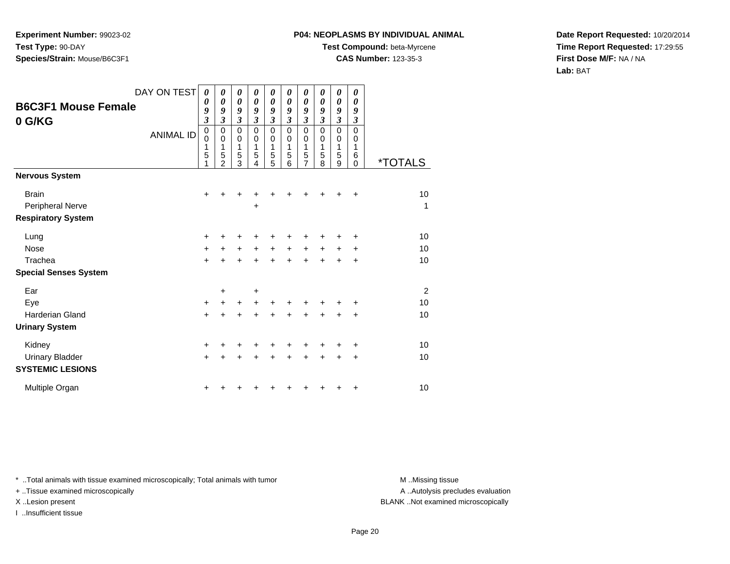## **P04: NEOPLASMS BY INDIVIDUAL ANIMAL**

**Test Compound:** beta-Myrcene

**CAS Number:** 123-35-3

**Date Report Requested:** 10/20/2014**Time Report Requested:** 17:29:55**First Dose M/F:** NA / NA**Lab:** BAT

| <b>B6C3F1 Mouse Female</b><br>0 G/KG                          | DAY ON TEST<br><b>ANIMAL ID</b> | 0<br>0<br>9<br>$\mathfrak{z}$<br>$\pmb{0}$<br>$\mathbf 0$<br>1<br>5<br>1 | 0<br>0<br>9<br>3<br>0<br>$\mathbf 0$<br>1<br>5<br>$\overline{2}$ | 0<br>0<br>9<br>$\overline{\mathbf{3}}$<br>0<br>0<br>1<br>5<br>3 | 0<br>$\boldsymbol{\theta}$<br>9<br>3<br>$\mathbf 0$<br>$\mathbf 0$<br>1<br>5<br>4 | 0<br>0<br>9<br>$\mathfrak{z}$<br>$\mathbf 0$<br>$\mathbf 0$<br>1<br>5<br>5 | 0<br>0<br>9<br>$\mathfrak{z}$<br>$\mathbf 0$<br>0<br>1<br>5<br>6 | 0<br>0<br>9<br>3<br>$\mathbf 0$<br>0<br>1<br>5<br>7 | $\theta$<br>0<br>9<br>$\overline{\mathbf{3}}$<br>$\mathbf 0$<br>0<br>1<br>5<br>8 | 0<br>0<br>9<br>$\boldsymbol{\beta}$<br>0<br>0<br>1<br>5<br>9 | 0<br>0<br>9<br>$\boldsymbol{\mathfrak{z}}$<br>$\mathbf 0$<br>0<br>1<br>6<br>$\mathbf 0$ | <i><b>*TOTALS</b></i> |
|---------------------------------------------------------------|---------------------------------|--------------------------------------------------------------------------|------------------------------------------------------------------|-----------------------------------------------------------------|-----------------------------------------------------------------------------------|----------------------------------------------------------------------------|------------------------------------------------------------------|-----------------------------------------------------|----------------------------------------------------------------------------------|--------------------------------------------------------------|-----------------------------------------------------------------------------------------|-----------------------|
| <b>Nervous System</b>                                         |                                 |                                                                          |                                                                  |                                                                 |                                                                                   |                                                                            |                                                                  |                                                     |                                                                                  |                                                              |                                                                                         |                       |
| <b>Brain</b><br>Peripheral Nerve<br><b>Respiratory System</b> |                                 | $\ddot{}$                                                                |                                                                  |                                                                 | +                                                                                 |                                                                            |                                                                  |                                                     | +                                                                                | +                                                            | $\ddot{}$                                                                               | 10<br>1               |
| Lung                                                          |                                 | +                                                                        |                                                                  |                                                                 |                                                                                   |                                                                            |                                                                  |                                                     |                                                                                  |                                                              | ٠                                                                                       | 10                    |
| Nose                                                          |                                 | $\ddot{}$                                                                | +                                                                | +                                                               | +                                                                                 | $\ddot{}$                                                                  | $\ddot{}$                                                        | $\ddot{}$                                           | +                                                                                | +                                                            | ÷                                                                                       | 10                    |
| Trachea                                                       |                                 | $\ddot{}$                                                                | $\ddot{}$                                                        | $\ddot{}$                                                       | $\ddot{}$                                                                         | $+$                                                                        | ÷                                                                | $\ddot{}$                                           | $\ddot{}$                                                                        | $\ddot{}$                                                    | $\ddot{}$                                                                               | 10                    |
| <b>Special Senses System</b>                                  |                                 |                                                                          |                                                                  |                                                                 |                                                                                   |                                                                            |                                                                  |                                                     |                                                                                  |                                                              |                                                                                         |                       |
| Ear                                                           |                                 |                                                                          | ٠                                                                |                                                                 | +                                                                                 |                                                                            |                                                                  |                                                     |                                                                                  |                                                              |                                                                                         | $\overline{c}$        |
| Eye                                                           |                                 | $+$                                                                      |                                                                  | +                                                               |                                                                                   |                                                                            |                                                                  |                                                     | +                                                                                |                                                              | ÷                                                                                       | 10                    |
| <b>Harderian Gland</b>                                        |                                 | $\ddot{}$                                                                | +                                                                | +                                                               |                                                                                   |                                                                            |                                                                  | +                                                   | +                                                                                | +                                                            | +                                                                                       | 10                    |
| <b>Urinary System</b>                                         |                                 |                                                                          |                                                                  |                                                                 |                                                                                   |                                                                            |                                                                  |                                                     |                                                                                  |                                                              |                                                                                         |                       |
| Kidney                                                        |                                 | +                                                                        |                                                                  |                                                                 |                                                                                   |                                                                            |                                                                  |                                                     | +                                                                                |                                                              | +                                                                                       | 10                    |
| <b>Urinary Bladder</b><br><b>SYSTEMIC LESIONS</b>             |                                 | $\ddot{}$                                                                |                                                                  |                                                                 |                                                                                   |                                                                            | +                                                                | +                                                   | +                                                                                | +                                                            | $\ddot{}$                                                                               | 10                    |
| Multiple Organ                                                |                                 |                                                                          |                                                                  |                                                                 |                                                                                   |                                                                            |                                                                  |                                                     |                                                                                  | +                                                            | +                                                                                       | 10                    |

\* ..Total animals with tissue examined microscopically; Total animals with tumor **M** . Missing tissue M ..Missing tissue

+ ..Tissue examined microscopically

I ..Insufficient tissue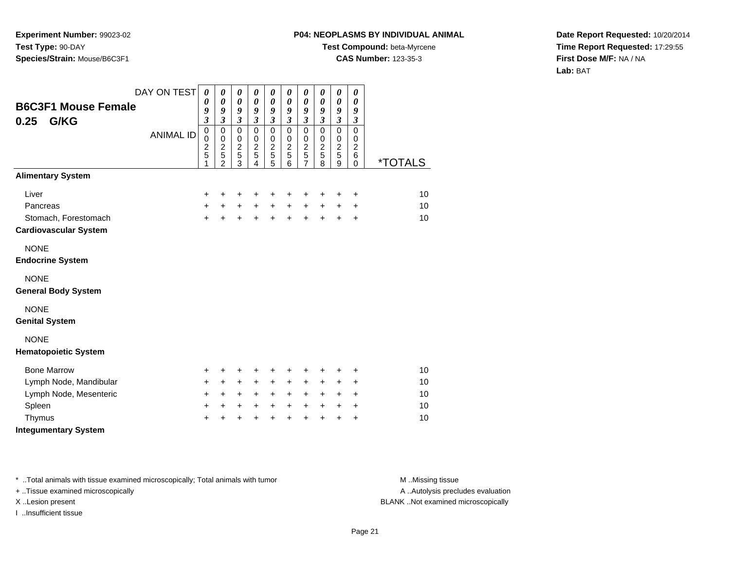# **P04: NEOPLASMS BY INDIVIDUAL ANIMAL**

**Test Compound:** beta-Myrcene

**CAS Number:** 123-35-3

**Date Report Requested:** 10/20/2014**Time Report Requested:** 17:29:55**First Dose M/F:** NA / NA**Lab:** BAT

| <b>B6C3F1 Mouse Female</b><br>G/KG<br>0.25 | DAY ON TEST<br><b>ANIMAL ID</b> | $\boldsymbol{\theta}$<br>0<br>9<br>$\mathfrak{z}$<br>$\pmb{0}$ | 0<br>$\boldsymbol{\theta}$<br>9<br>$\mathfrak{z}$<br>$\mathbf 0$ | 0<br>$\boldsymbol{\theta}$<br>9<br>$\mathfrak{z}$<br>$\pmb{0}$ | 0<br>0<br>9<br>$\mathfrak{z}$<br>0      | $\boldsymbol{\theta}$<br>$\boldsymbol{\theta}$<br>9<br>$\mathfrak{z}$<br>$\pmb{0}$ | 0<br>$\boldsymbol{\theta}$<br>9<br>$\boldsymbol{\mathfrak{z}}$<br>$\mathbf 0$ | 0<br>$\boldsymbol{\theta}$<br>9<br>$\boldsymbol{\beta}$<br>$\pmb{0}$ | 0<br>$\boldsymbol{\theta}$<br>9<br>$\boldsymbol{\beta}$<br>$\pmb{0}$ | 0<br>$\boldsymbol{\theta}$<br>9<br>$\mathfrak{z}$<br>$\pmb{0}$ | 0<br>$\boldsymbol{\theta}$<br>9<br>$\boldsymbol{\beta}$<br>$\mathbf 0$ |                       |
|--------------------------------------------|---------------------------------|----------------------------------------------------------------|------------------------------------------------------------------|----------------------------------------------------------------|-----------------------------------------|------------------------------------------------------------------------------------|-------------------------------------------------------------------------------|----------------------------------------------------------------------|----------------------------------------------------------------------|----------------------------------------------------------------|------------------------------------------------------------------------|-----------------------|
|                                            |                                 | $\mathbf 0$<br>$\overline{\mathbf{c}}$<br>5<br>1               | $\mathbf 0$<br>$\boldsymbol{2}$<br>5<br>$\overline{2}$           | $\pmb{0}$<br>$\frac{2}{5}$<br>$\overline{3}$                   | $\mathbf 0$<br>$\overline{c}$<br>5<br>4 | $\mathbf 0$<br>$\overline{2}$<br>5<br>5                                            | $\mathbf 0$<br>$\overline{2}$<br>5<br>6                                       | $\pmb{0}$<br>$\boldsymbol{2}$<br>5<br>$\overline{7}$                 | $\,0\,$<br>$\overline{c}$<br>$\overline{5}$<br>8                     | $\,0\,$<br>$\boldsymbol{2}$<br>5<br>9                          | 0<br>$\overline{c}$<br>6<br>$\mathbf 0$                                | <i><b>*TOTALS</b></i> |
| <b>Alimentary System</b>                   |                                 |                                                                |                                                                  |                                                                |                                         |                                                                                    |                                                                               |                                                                      |                                                                      |                                                                |                                                                        |                       |
| Liver                                      |                                 | +                                                              | +                                                                | +                                                              | +                                       | +                                                                                  | +                                                                             | +                                                                    | +                                                                    | +                                                              | +                                                                      | 10                    |
| Pancreas                                   |                                 | $+$                                                            | +                                                                | $\ddot{}$                                                      | $+$                                     | $+$                                                                                | $\ddot{}$                                                                     | $+$                                                                  | $\ddot{}$                                                            | $\ddot{}$                                                      | $\ddot{}$                                                              | 10                    |
| Stomach, Forestomach                       |                                 | $+$                                                            | $\ddot{}$                                                        | $\ddot{}$                                                      | $\ddot{}$                               | $\ddot{}$                                                                          | $\ddot{}$                                                                     | $\ddot{}$                                                            | $\ddot{}$                                                            | $\ddot{}$                                                      | $\ddot{}$                                                              | 10                    |
| <b>Cardiovascular System</b>               |                                 |                                                                |                                                                  |                                                                |                                         |                                                                                    |                                                                               |                                                                      |                                                                      |                                                                |                                                                        |                       |
| <b>NONE</b>                                |                                 |                                                                |                                                                  |                                                                |                                         |                                                                                    |                                                                               |                                                                      |                                                                      |                                                                |                                                                        |                       |
| <b>Endocrine System</b>                    |                                 |                                                                |                                                                  |                                                                |                                         |                                                                                    |                                                                               |                                                                      |                                                                      |                                                                |                                                                        |                       |
| <b>NONE</b><br><b>General Body System</b>  |                                 |                                                                |                                                                  |                                                                |                                         |                                                                                    |                                                                               |                                                                      |                                                                      |                                                                |                                                                        |                       |
| <b>NONE</b><br><b>Genital System</b>       |                                 |                                                                |                                                                  |                                                                |                                         |                                                                                    |                                                                               |                                                                      |                                                                      |                                                                |                                                                        |                       |
| <b>NONE</b><br><b>Hematopoietic System</b> |                                 |                                                                |                                                                  |                                                                |                                         |                                                                                    |                                                                               |                                                                      |                                                                      |                                                                |                                                                        |                       |
| <b>Bone Marrow</b>                         |                                 | $\ddot{}$                                                      | +                                                                | +                                                              | +                                       | +                                                                                  | +                                                                             | +                                                                    | +                                                                    | +                                                              | +                                                                      | 10                    |
| Lymph Node, Mandibular                     |                                 | $\ddot{}$                                                      | +                                                                | $\ddot{}$                                                      | $\ddot{}$                               | $\ddot{}$                                                                          | $\ddot{}$                                                                     | $\ddot{}$                                                            | +                                                                    | $\ddot{}$                                                      | +                                                                      | 10                    |
| Lymph Node, Mesenteric                     |                                 | $\ddot{}$                                                      | +                                                                | $\ddot{}$                                                      | $\ddot{}$                               | $+$                                                                                | $\ddot{}$                                                                     | $+$                                                                  | $\ddot{}$                                                            | $\ddot{}$                                                      | $\ddot{}$                                                              | 10                    |
| Spleen                                     |                                 | $\ddot{}$                                                      | +                                                                | $\ddot{}$                                                      | $\ddot{}$                               | $\ddot{}$                                                                          | $\ddot{}$                                                                     | $\ddot{}$                                                            | $\ddot{}$                                                            | $\ddot{}$                                                      | +                                                                      | 10                    |
| Thymus                                     |                                 | $\ddot{}$                                                      | Ŧ.                                                               | $\ddot{}$                                                      | $\ddot{}$                               | $\ddot{}$                                                                          | $\ddot{}$                                                                     | $\ddot{}$                                                            | $\ddot{}$                                                            | $\ddot{}$                                                      | $\ddot{}$                                                              | 10                    |
| <b>Integumentary System</b>                |                                 |                                                                |                                                                  |                                                                |                                         |                                                                                    |                                                                               |                                                                      |                                                                      |                                                                |                                                                        |                       |

\* ..Total animals with tissue examined microscopically; Total animals with tumor **M** . Missing tissue M ..Missing tissue

+ ..Tissue examined microscopically

I ..Insufficient tissue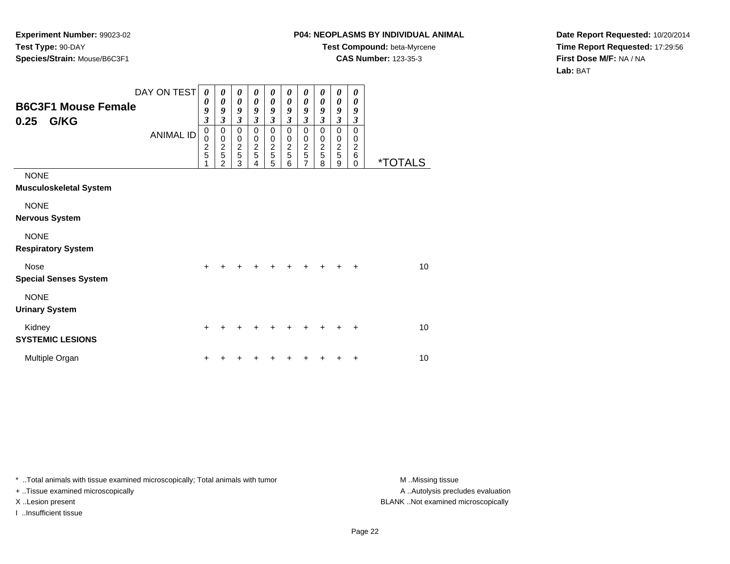## **P04: NEOPLASMS BY INDIVIDUAL ANIMAL**

**Test Compound:** beta-Myrcene

**CAS Number:** 123-35-3

**Date Report Requested:** 10/20/2014**Time Report Requested:** 17:29:56**First Dose M/F:** NA / NA**Lab:** BAT

| <b>B6C3F1 Mouse Female</b><br>G/KG<br>0.25   | DAY ON TEST<br><b>ANIMAL ID</b> | 0<br>0<br>9<br>$\boldsymbol{\beta}$<br>$\pmb{0}$<br>$\mathbf 0$<br>$\frac{2}{5}$<br>1 | 0<br>0<br>9<br>3<br>$\pmb{0}$<br>$\pmb{0}$<br>$\frac{2}{5}$<br>$\overline{2}$ | 0<br>$\boldsymbol{\theta}$<br>9<br>$\mathfrak{z}$<br>$\mathbf 0$<br>$\mathbf 0$<br>$\frac{2}{5}$<br>3 | 0<br>0<br>9<br>$\mathfrak{z}$<br>$\mathbf 0$<br>$\pmb{0}$<br>$\frac{2}{5}$<br>4 | 0<br>0<br>9<br>$\mathfrak{z}$<br>$\mathbf 0$<br>0<br>$\frac{2}{5}$<br>5 | 0<br>0<br>9<br>$\mathfrak{z}$<br>$\mathbf 0$<br>$\mathbf 0$<br>$rac{2}{5}$<br>6 | 0<br>0<br>9<br>$\overline{\mathbf{3}}$<br>0<br>0<br>$\frac{2}{5}$<br>$\overline{7}$ | 0<br>0<br>9<br>$\overline{\mathbf{3}}$<br>$\mathbf 0$<br>0<br>$\frac{2}{5}$<br>8 | 0<br>$\boldsymbol{\theta}$<br>9<br>$\mathfrak{z}$<br>$\mathbf 0$<br>$\pmb{0}$<br>$rac{2}{5}$<br>9 | 0<br>0<br>9<br>$\boldsymbol{\beta}$<br>$\mathbf 0$<br>$\mathbf 0$<br>$\boldsymbol{2}$<br>6<br>$\Omega$ | <i><b>*TOTALS</b></i> |
|----------------------------------------------|---------------------------------|---------------------------------------------------------------------------------------|-------------------------------------------------------------------------------|-------------------------------------------------------------------------------------------------------|---------------------------------------------------------------------------------|-------------------------------------------------------------------------|---------------------------------------------------------------------------------|-------------------------------------------------------------------------------------|----------------------------------------------------------------------------------|---------------------------------------------------------------------------------------------------|--------------------------------------------------------------------------------------------------------|-----------------------|
| <b>NONE</b><br><b>Musculoskeletal System</b> |                                 |                                                                                       |                                                                               |                                                                                                       |                                                                                 |                                                                         |                                                                                 |                                                                                     |                                                                                  |                                                                                                   |                                                                                                        |                       |
| <b>NONE</b><br><b>Nervous System</b>         |                                 |                                                                                       |                                                                               |                                                                                                       |                                                                                 |                                                                         |                                                                                 |                                                                                     |                                                                                  |                                                                                                   |                                                                                                        |                       |
| <b>NONE</b><br><b>Respiratory System</b>     |                                 |                                                                                       |                                                                               |                                                                                                       |                                                                                 |                                                                         |                                                                                 |                                                                                     |                                                                                  |                                                                                                   |                                                                                                        |                       |
| <b>Nose</b><br><b>Special Senses System</b>  |                                 | $\ddot{}$                                                                             |                                                                               |                                                                                                       |                                                                                 |                                                                         |                                                                                 |                                                                                     |                                                                                  |                                                                                                   | $\ddot{}$                                                                                              | 10                    |
| <b>NONE</b><br><b>Urinary System</b>         |                                 |                                                                                       |                                                                               |                                                                                                       |                                                                                 |                                                                         |                                                                                 |                                                                                     |                                                                                  |                                                                                                   |                                                                                                        |                       |
| Kidney<br><b>SYSTEMIC LESIONS</b>            |                                 | $\ddot{}$                                                                             |                                                                               |                                                                                                       |                                                                                 | ٠                                                                       |                                                                                 |                                                                                     |                                                                                  |                                                                                                   | ÷                                                                                                      | 10                    |
| Multiple Organ                               |                                 | +                                                                                     |                                                                               |                                                                                                       |                                                                                 |                                                                         |                                                                                 |                                                                                     |                                                                                  |                                                                                                   | ÷                                                                                                      | 10                    |

\* ..Total animals with tissue examined microscopically; Total animals with tumor **M** . Missing tissue M ..Missing tissue

+ ..Tissue examined microscopically

I ..Insufficient tissue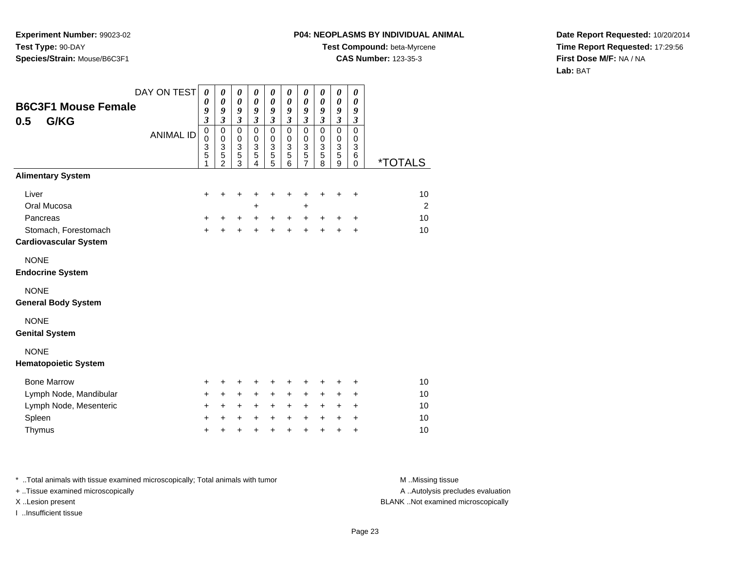# **P04: NEOPLASMS BY INDIVIDUAL ANIMAL**

**Test Compound:** beta-Myrcene

**CAS Number:** 123-35-3

**Date Report Requested:** 10/20/2014**Time Report Requested:** 17:29:56**First Dose M/F:** NA / NA**Lab:** BAT

|                              | DAY ON TEST      | 0                           | 0                          | $\pmb{\theta}$              | 0                          | 0                       | $\boldsymbol{\theta}$      | 0                          | 0                          | 0                          | 0                          |                       |
|------------------------------|------------------|-----------------------------|----------------------------|-----------------------------|----------------------------|-------------------------|----------------------------|----------------------------|----------------------------|----------------------------|----------------------------|-----------------------|
| <b>B6C3F1 Mouse Female</b>   |                  | 0<br>9                      | 0<br>9                     | $\boldsymbol{\theta}$<br>9  | $\boldsymbol{\theta}$<br>9 | 0<br>9                  | $\boldsymbol{\theta}$<br>9 | 0<br>9                     | $\boldsymbol{\theta}$<br>9 | $\boldsymbol{\theta}$<br>9 | $\boldsymbol{\theta}$<br>9 |                       |
| G/KG<br>0.5                  |                  | $\boldsymbol{\mathfrak{z}}$ | $\mathfrak{z}$             | $\boldsymbol{\mathfrak{z}}$ | $\mathfrak{z}$             | $\overline{\mathbf{3}}$ | $\mathfrak{z}$             | $\mathfrak{z}$             | $\mathfrak{z}$             | $\mathfrak{z}$             | $\boldsymbol{\beta}$       |                       |
|                              | <b>ANIMAL ID</b> | $\mathbf 0$<br>$\pmb{0}$    | $\mathbf 0$<br>$\mathbf 0$ | $\pmb{0}$<br>$\pmb{0}$      | $\mathbf 0$<br>$\pmb{0}$   | 0<br>0                  | $\mathbf 0$<br>$\mathbf 0$ | $\mathbf 0$<br>$\mathbf 0$ | $\mathbf 0$<br>$\pmb{0}$   | $\mathbf 0$<br>$\mathbf 0$ | $\mathbf 0$<br>$\mathbf 0$ |                       |
|                              |                  | 3                           | $\sqrt{3}$                 | $\frac{3}{5}$               | $\mathbf{3}$               | 3                       | 3                          | 3                          | $\mathbf{3}$               | $\sqrt{3}$                 | $\mathbf{3}$               |                       |
|                              |                  | 5                           | 5<br>$\overline{2}$        | 3                           | 5<br>$\overline{4}$        | 5<br>5                  | $\sqrt{5}$<br>6            | 5<br>7                     | 5<br>8                     | 5<br>9                     | 6<br>$\mathbf 0$           | <i><b>*TOTALS</b></i> |
| <b>Alimentary System</b>     |                  |                             |                            |                             |                            |                         |                            |                            |                            |                            |                            |                       |
| Liver                        |                  | $\ddot{}$                   | $\ddot{}$                  | +                           | ٠                          | +                       | ٠                          | +                          | +                          | +                          | $\ddot{}$                  | 10                    |
| Oral Mucosa                  |                  |                             |                            |                             | +                          |                         |                            | +                          |                            |                            |                            | 2                     |
| Pancreas                     |                  | $\ddot{}$                   | +                          | $\ddot{}$                   | $\ddot{}$                  | +                       | $\ddot{}$                  | $\ddot{}$                  | +                          | +                          | $\ddot{}$                  | 10                    |
| Stomach, Forestomach         |                  | $+$                         | $\ddot{}$                  | $\ddot{}$                   | $\ddot{}$                  | $\ddot{}$               | $\ddot{}$                  | $\ddot{}$                  | $\ddot{}$                  | $\ddot{}$                  | $\ddot{}$                  | 10                    |
| <b>Cardiovascular System</b> |                  |                             |                            |                             |                            |                         |                            |                            |                            |                            |                            |                       |
| <b>NONE</b>                  |                  |                             |                            |                             |                            |                         |                            |                            |                            |                            |                            |                       |
| <b>Endocrine System</b>      |                  |                             |                            |                             |                            |                         |                            |                            |                            |                            |                            |                       |
| <b>NONE</b>                  |                  |                             |                            |                             |                            |                         |                            |                            |                            |                            |                            |                       |
| <b>General Body System</b>   |                  |                             |                            |                             |                            |                         |                            |                            |                            |                            |                            |                       |
| <b>NONE</b>                  |                  |                             |                            |                             |                            |                         |                            |                            |                            |                            |                            |                       |
| <b>Genital System</b>        |                  |                             |                            |                             |                            |                         |                            |                            |                            |                            |                            |                       |
| <b>NONE</b>                  |                  |                             |                            |                             |                            |                         |                            |                            |                            |                            |                            |                       |
| <b>Hematopoietic System</b>  |                  |                             |                            |                             |                            |                         |                            |                            |                            |                            |                            |                       |
| <b>Bone Marrow</b>           |                  | +                           | +                          | +                           | +                          | +                       | +                          | +                          | +                          | +                          | $\ddot{}$                  | 10                    |
| Lymph Node, Mandibular       |                  | $+$                         | $\ddot{}$                  | $+$                         | $+$                        | $\ddot{}$               | $\ddot{}$                  | $\ddot{}$                  | $\ddot{}$                  | +                          | $\ddot{}$                  | 10                    |
| Lymph Node, Mesenteric       |                  | $\pm$                       | +                          | $\ddot{}$                   | $\ddot{}$                  | +                       | $\ddot{}$                  | $\ddot{}$                  | $\ddot{}$                  | +                          | $\ddot{}$                  | 10                    |
| Spleen                       |                  | +                           | +                          | $\ddot{}$                   | $\ddot{}$                  | $\ddot{}$               | $\ddot{}$                  | $\ddot{}$                  | $\ddot{}$                  | +                          | $\ddot{}$                  | 10                    |
| Thymus                       |                  | $\ddot{}$                   | $\ddot{}$                  | +                           | $\ddot{}$                  | $\ddot{}$               | $\ddot{}$                  | $\ddot{}$                  | $\ddot{}$                  | $\ddot{}$                  | $\ddot{}$                  | 10                    |

\* ..Total animals with tissue examined microscopically; Total animals with tumor **M** . Missing tissue M ..Missing tissue + ..Tissue examined microscopically

I ..Insufficient tissue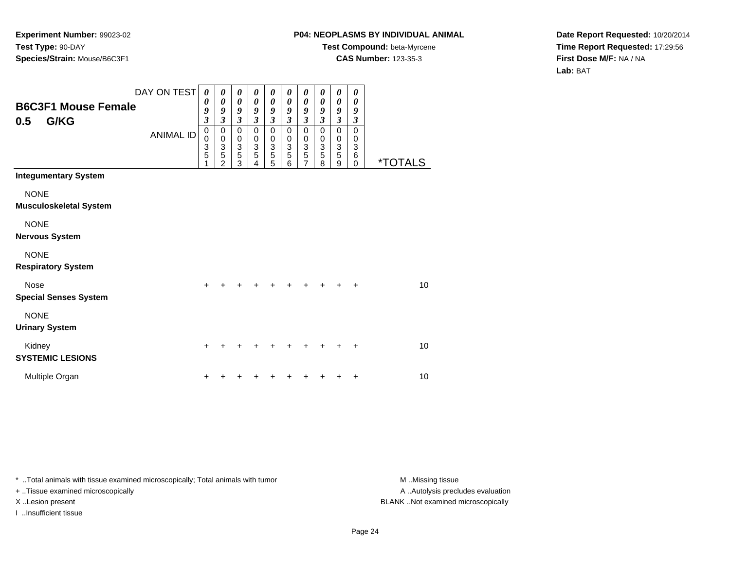## **P04: NEOPLASMS BY INDIVIDUAL ANIMAL**

**Test Compound:** beta-Myrcene**CAS Number:** 123-35-3

**Date Report Requested:** 10/20/2014**Time Report Requested:** 17:29:56**First Dose M/F:** NA / NA**Lab:** BAT

| <b>B6C3F1 Mouse Female</b><br>G/KG<br>0.5    | DAY ON TEST<br><b>ANIMAL ID</b> | $\boldsymbol{\theta}$<br>0<br>9<br>$\mathfrak{z}$<br>$\pmb{0}$<br>$\mathbf 0$<br>3<br>5<br>1 | 0<br>0<br>9<br>$\mathfrak{z}$<br>$\mathbf 0$<br>$\mathbf 0$<br>$\ensuremath{\mathsf{3}}$<br>$\overline{5}$<br>$\overline{2}$ | 0<br>$\boldsymbol{\theta}$<br>9<br>$\mathfrak{z}$<br>$\pmb{0}$<br>$\pmb{0}$<br>$\frac{3}{5}$<br>3 | 0<br>$\boldsymbol{\theta}$<br>9<br>$\overline{\mathbf{3}}$<br>0<br>0<br>$\ensuremath{\mathsf{3}}$<br>5<br>4 | 0<br>$\boldsymbol{\theta}$<br>9<br>$\mathfrak{z}$<br>$\mathbf 0$<br>0<br>$\ensuremath{\mathsf{3}}$<br>5<br>5 | 0<br>0<br>9<br>$\mathfrak{z}$<br>$\mathbf 0$<br>0<br>$\mathbf{3}$<br>5<br>6 | 0<br>0<br>9<br>$\boldsymbol{\beta}$<br>$\pmb{0}$<br>0<br>$\ensuremath{\mathsf{3}}$<br>5<br>$\overline{7}$ | 0<br>0<br>9<br>$\mathfrak{z}$<br>$\mathbf 0$<br>0<br>$\sqrt{3}$<br>$\overline{5}$<br>8 | 0<br>$\boldsymbol{\theta}$<br>9<br>$\mathfrak{z}$<br>$\mathbf 0$<br>0<br>$\frac{3}{5}$<br>9 | 0<br>$\boldsymbol{\theta}$<br>9<br>$\boldsymbol{\beta}$<br>$\mathbf 0$<br>0<br>3<br>6<br>$\Omega$ | <i><b>*TOTALS</b></i> |
|----------------------------------------------|---------------------------------|----------------------------------------------------------------------------------------------|------------------------------------------------------------------------------------------------------------------------------|---------------------------------------------------------------------------------------------------|-------------------------------------------------------------------------------------------------------------|--------------------------------------------------------------------------------------------------------------|-----------------------------------------------------------------------------|-----------------------------------------------------------------------------------------------------------|----------------------------------------------------------------------------------------|---------------------------------------------------------------------------------------------|---------------------------------------------------------------------------------------------------|-----------------------|
| <b>Integumentary System</b>                  |                                 |                                                                                              |                                                                                                                              |                                                                                                   |                                                                                                             |                                                                                                              |                                                                             |                                                                                                           |                                                                                        |                                                                                             |                                                                                                   |                       |
| <b>NONE</b><br><b>Musculoskeletal System</b> |                                 |                                                                                              |                                                                                                                              |                                                                                                   |                                                                                                             |                                                                                                              |                                                                             |                                                                                                           |                                                                                        |                                                                                             |                                                                                                   |                       |
| <b>NONE</b><br><b>Nervous System</b>         |                                 |                                                                                              |                                                                                                                              |                                                                                                   |                                                                                                             |                                                                                                              |                                                                             |                                                                                                           |                                                                                        |                                                                                             |                                                                                                   |                       |
| <b>NONE</b><br><b>Respiratory System</b>     |                                 |                                                                                              |                                                                                                                              |                                                                                                   |                                                                                                             |                                                                                                              |                                                                             |                                                                                                           |                                                                                        |                                                                                             |                                                                                                   |                       |
| Nose<br><b>Special Senses System</b>         |                                 |                                                                                              |                                                                                                                              |                                                                                                   |                                                                                                             |                                                                                                              |                                                                             |                                                                                                           |                                                                                        |                                                                                             | $\ddot{}$                                                                                         | 10                    |
| <b>NONE</b><br><b>Urinary System</b>         |                                 |                                                                                              |                                                                                                                              |                                                                                                   |                                                                                                             |                                                                                                              |                                                                             |                                                                                                           |                                                                                        |                                                                                             |                                                                                                   |                       |
| Kidney<br><b>SYSTEMIC LESIONS</b>            |                                 | $\div$                                                                                       |                                                                                                                              |                                                                                                   |                                                                                                             |                                                                                                              |                                                                             |                                                                                                           |                                                                                        |                                                                                             | $\div$                                                                                            | 10                    |
| Multiple Organ                               |                                 |                                                                                              |                                                                                                                              |                                                                                                   |                                                                                                             |                                                                                                              |                                                                             |                                                                                                           |                                                                                        |                                                                                             | +                                                                                                 | 10                    |

\* ..Total animals with tissue examined microscopically; Total animals with tumor **M** . Missing tissue M ..Missing tissue

+ ..Tissue examined microscopically

I ..Insufficient tissue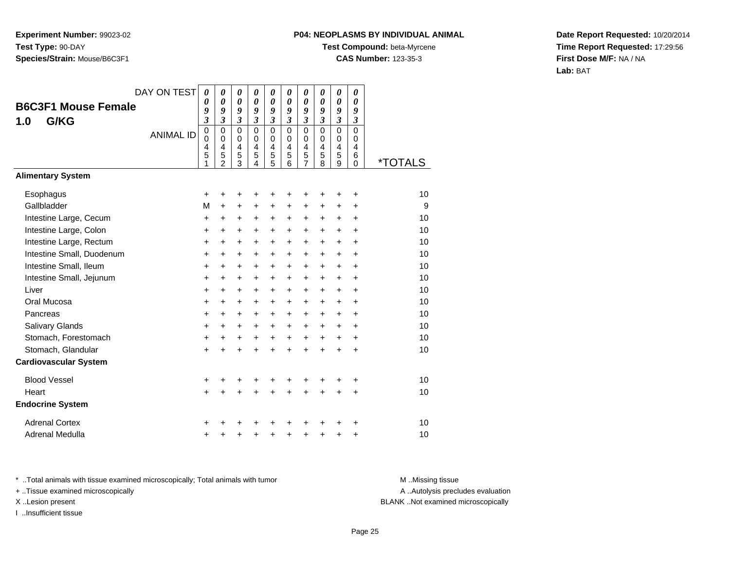# **P04: NEOPLASMS BY INDIVIDUAL ANIMAL**

**Test Compound:** beta-Myrcene

**CAS Number:** 123-35-3

**Date Report Requested:** 10/20/2014**Time Report Requested:** 17:29:56**First Dose M/F:** NA / NA**Lab:** BAT

|                              | DAY ON TEST      | 0              | 0                   | 0                                      | 0                   | 0                            | 0                       | 0                          | 0                   | 0                             | 0                          |                       |
|------------------------------|------------------|----------------|---------------------|----------------------------------------|---------------------|------------------------------|-------------------------|----------------------------|---------------------|-------------------------------|----------------------------|-----------------------|
| <b>B6C3F1 Mouse Female</b>   |                  | 0<br>9         | 0<br>9              | 0<br>9                                 | 0<br>9              | 0<br>9                       | 0<br>9                  | $\boldsymbol{\theta}$<br>9 | 0<br>9              | 0<br>9                        | 0<br>9                     |                       |
| G/KG<br>1.0                  |                  | $\mathfrak{z}$ | $\mathfrak{z}$      | $\boldsymbol{\mathfrak{z}}$            | $\mathfrak{z}$      | 3                            | $\overline{\mathbf{3}}$ | $\mathfrak{z}$             | $\mathfrak{z}$      | $\mathfrak{z}$                | $\mathfrak{z}$             |                       |
|                              | <b>ANIMAL ID</b> | $\mathbf 0$    | $\Omega$            | $\Omega$                               | $\Omega$            | $\mathbf 0$                  | $\mathbf 0$<br>$\Omega$ | $\mathbf 0$                | $\mathbf 0$         | $\mathbf 0$                   | $\Omega$                   |                       |
|                              |                  | 0<br>4         | $\Omega$<br>4       | $\mathbf 0$<br>$\overline{\mathbf{4}}$ | 0<br>$\overline{4}$ | 0<br>$\overline{\mathbf{4}}$ | 4                       | 0<br>4                     | 0<br>$\overline{4}$ | $\mathbf 0$<br>$\overline{4}$ | $\Omega$<br>$\overline{4}$ |                       |
|                              |                  | 5<br>1         | 5<br>$\mathfrak{p}$ | 5<br>$\bar{3}$                         | 5<br>4              | $\frac{5}{5}$                | 5<br>6                  | 5<br>$\overline{7}$        | 5<br>8              | 5<br>9                        | 6<br>$\mathbf 0$           | <i><b>*TOTALS</b></i> |
| <b>Alimentary System</b>     |                  |                |                     |                                        |                     |                              |                         |                            |                     |                               |                            |                       |
| Esophagus                    |                  | +              | +                   | +                                      |                     | +                            | +                       | +                          |                     | ٠                             | +                          | 10                    |
| Gallbladder                  |                  | M              | $\ddot{}$           | +                                      | +                   | +                            | +                       | +                          | +                   | +                             | +                          | 9                     |
| Intestine Large, Cecum       |                  | $\ddot{}$      | $\ddot{}$           | +                                      | $\ddot{}$           | $\ddot{}$                    | $\ddot{}$               | $\ddot{}$                  | $\ddot{}$           | $\ddot{}$                     | $\ddot{}$                  | 10                    |
| Intestine Large, Colon       |                  | $\ddot{}$      | $\ddot{}$           | $\ddot{}$                              | $\ddot{}$           | $\pm$                        | $\ddot{}$               | $\ddot{}$                  | $\ddot{}$           | $\pm$                         | $\ddot{}$                  | 10                    |
| Intestine Large, Rectum      |                  | $\ddot{}$      | $\ddot{}$           | $\ddot{}$                              | $\ddot{}$           | $\ddot{}$                    | $\ddot{}$               | $\ddot{}$                  | $+$                 | $+$                           | $\ddot{}$                  | 10                    |
| Intestine Small, Duodenum    |                  | $\ddot{}$      | +                   | +                                      | +                   | $\ddot{}$                    | +                       | +                          | $\ddot{}$           | +                             | +                          | 10                    |
| Intestine Small, Ileum       |                  | $\ddot{}$      | $\ddot{}$           | $\ddot{}$                              | $\ddot{}$           | $\ddot{}$                    | $\ddot{}$               | $\ddot{}$                  | $\ddot{}$           | $\ddot{}$                     | $\ddot{}$                  | 10                    |
| Intestine Small, Jejunum     |                  | +              | +                   | +                                      | $\ddot{}$           | $\ddot{}$                    | $\ddot{}$               | $\ddot{}$                  | $\ddot{}$           | $\ddot{}$                     | +                          | 10                    |
| Liver                        |                  | $\ddot{}$      | $\ddot{}$           | $\ddot{}$                              | $\ddot{}$           | $+$                          | $\ddot{}$               | $\ddot{}$                  | $\ddot{}$           | $+$                           | $\ddot{}$                  | 10                    |
| Oral Mucosa                  |                  | $\ddot{}$      | +                   | +                                      | +                   | $\ddot{}$                    | $\ddot{}$               | $\ddot{}$                  | +                   | $\ddot{}$                     | $\ddot{}$                  | 10                    |
| Pancreas                     |                  | $\ddot{}$      | $\ddot{}$           | $\ddot{}$                              | $\ddot{}$           | $+$                          | $\ddot{}$               | $\ddot{}$                  | $\ddot{}$           | $+$                           | $\ddot{}$                  | 10                    |
| Salivary Glands              |                  | $\ddot{}$      | $\ddot{}$           | +                                      | $\ddot{}$           | $\ddot{}$                    | $\ddot{}$               | $\ddot{}$                  | $\ddot{}$           | $\ddot{}$                     | $\ddot{}$                  | 10                    |
| Stomach, Forestomach         |                  | +              | $\ddot{}$           | $\ddot{}$                              | $\ddot{}$           | $\ddot{}$                    | $\ddot{}$               | $\ddot{}$                  | $\ddot{}$           | $\ddot{}$                     | $\ddot{}$                  | 10                    |
| Stomach, Glandular           |                  | $+$            | $\ddot{}$           | $\ddot{}$                              | $\ddot{}$           | $\ddot{}$                    | $\ddot{}$               | $\ddot{}$                  | $\ddot{}$           | $\ddot{}$                     | +                          | 10                    |
| <b>Cardiovascular System</b> |                  |                |                     |                                        |                     |                              |                         |                            |                     |                               |                            |                       |
| <b>Blood Vessel</b>          |                  | +              | +                   | +                                      |                     |                              |                         |                            |                     |                               | +                          | 10                    |
| Heart                        |                  | $+$            | $\ddot{}$           | $\ddot{}$                              | $\ddot{}$           | $\ddot{}$                    | $\ddot{}$               | $\ddot{}$                  | $\ddot{}$           | $\ddot{}$                     | $\ddot{}$                  | 10                    |
| <b>Endocrine System</b>      |                  |                |                     |                                        |                     |                              |                         |                            |                     |                               |                            |                       |
| <b>Adrenal Cortex</b>        |                  | +              |                     |                                        |                     |                              |                         |                            |                     |                               | ٠                          | 10                    |
| Adrenal Medulla              |                  | +              | +                   | +                                      | +                   | +                            | ٠                       | +                          | +                   | +                             | +                          | 10                    |

\* ..Total animals with tissue examined microscopically; Total animals with tumor **M** . Missing tissue M ..Missing tissue

+ ..Tissue examined microscopically

I ..Insufficient tissue

A ..Autolysis precludes evaluation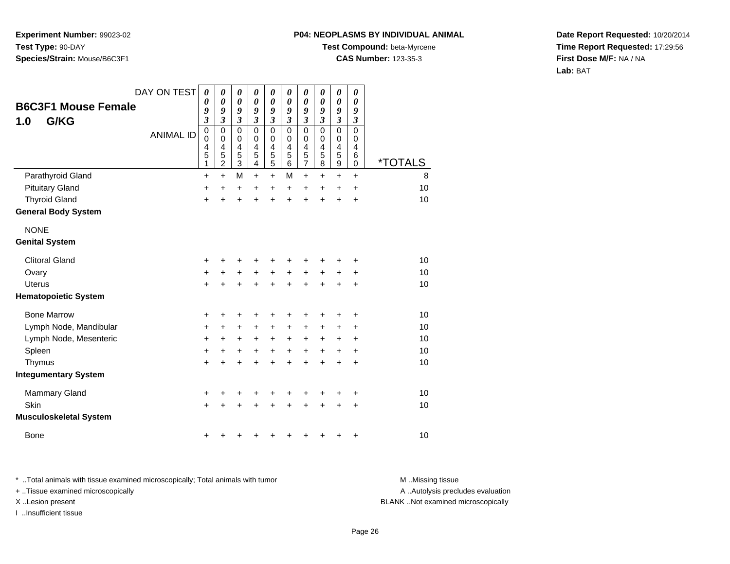#### **P04: NEOPLASMS BY INDIVIDUAL ANIMAL**

**Test Compound:** beta-Myrcene

**CAS Number:** 123-35-3

**Date Report Requested:** 10/20/2014**Time Report Requested:** 17:29:56**First Dose M/F:** NA / NA**Lab:** BAT

| <b>B6C3F1 Mouse Female</b><br>G/KG<br>1.0 | DAY ON TEST<br><b>ANIMAL ID</b> | 0<br>$\boldsymbol{\theta}$<br>9<br>$\boldsymbol{\mathfrak{z}}$<br>$\mathbf 0$<br>0<br>4<br>5<br>$\mathbf{1}$ | 0<br>0<br>9<br>$\mathfrak{z}$<br>$\mathbf 0$<br>$\mathbf 0$<br>4<br>5<br>$\overline{2}$ | 0<br>$\boldsymbol{\theta}$<br>9<br>$\overline{\mathbf{3}}$<br>$\mathbf 0$<br>$\mathbf 0$<br>4<br>5<br>$\overline{3}$ | 0<br>$\pmb{\theta}$<br>9<br>$\overline{\mathbf{3}}$<br>$\mathbf 0$<br>0<br>4<br>5<br>4 | 0<br>$\boldsymbol{\theta}$<br>9<br>3<br>$\mathbf 0$<br>$\mathbf 0$<br>4<br>5<br>5 | 0<br>$\boldsymbol{\theta}$<br>9<br>3<br>0<br>0<br>4<br>5<br>6 | 0<br>$\boldsymbol{\theta}$<br>9<br>$\mathfrak{z}$<br>$\mathbf 0$<br>0<br>4<br>5<br>7 | 0<br>0<br>9<br>$\mathfrak{z}$<br>$\mathbf 0$<br>0<br>$\overline{4}$<br>5<br>8 | 0<br>0<br>9<br>$\mathfrak{z}$<br>$\mathbf 0$<br>0<br>4<br>5<br>$\boldsymbol{9}$ | 0<br>0<br>9<br>$\boldsymbol{\beta}$<br>$\mathbf 0$<br>0<br>4<br>6<br>$\mathbf 0$ | <i><b>*TOTALS</b></i> |
|-------------------------------------------|---------------------------------|--------------------------------------------------------------------------------------------------------------|-----------------------------------------------------------------------------------------|----------------------------------------------------------------------------------------------------------------------|----------------------------------------------------------------------------------------|-----------------------------------------------------------------------------------|---------------------------------------------------------------|--------------------------------------------------------------------------------------|-------------------------------------------------------------------------------|---------------------------------------------------------------------------------|----------------------------------------------------------------------------------|-----------------------|
| Parathyroid Gland                         |                                 | $\ddot{}$                                                                                                    | $+$                                                                                     | M                                                                                                                    | $\ddot{}$                                                                              | $\ddot{}$                                                                         | M                                                             | $\ddot{}$                                                                            | $\ddot{}$                                                                     | $\ddot{}$                                                                       | $\ddot{}$                                                                        | 8                     |
| <b>Pituitary Gland</b>                    |                                 | +                                                                                                            | $\ddot{}$                                                                               | +                                                                                                                    | +                                                                                      | +                                                                                 | $\ddot{}$                                                     | +                                                                                    | $\ddot{}$                                                                     | $\ddot{}$                                                                       | +                                                                                | 10                    |
| <b>Thyroid Gland</b>                      |                                 | $\ddot{}$                                                                                                    | $\ddot{}$                                                                               | $\ddot{}$                                                                                                            | +                                                                                      | $\ddot{}$                                                                         | $\ddot{}$                                                     | $\ddot{}$                                                                            | $\ddot{}$                                                                     | $\ddot{}$                                                                       | +                                                                                | 10                    |
| <b>General Body System</b>                |                                 |                                                                                                              |                                                                                         |                                                                                                                      |                                                                                        |                                                                                   |                                                               |                                                                                      |                                                                               |                                                                                 |                                                                                  |                       |
| <b>NONE</b>                               |                                 |                                                                                                              |                                                                                         |                                                                                                                      |                                                                                        |                                                                                   |                                                               |                                                                                      |                                                                               |                                                                                 |                                                                                  |                       |
| <b>Genital System</b>                     |                                 |                                                                                                              |                                                                                         |                                                                                                                      |                                                                                        |                                                                                   |                                                               |                                                                                      |                                                                               |                                                                                 |                                                                                  |                       |
| <b>Clitoral Gland</b>                     |                                 | +                                                                                                            |                                                                                         | +                                                                                                                    | +                                                                                      | +                                                                                 |                                                               |                                                                                      |                                                                               |                                                                                 | +                                                                                | 10                    |
| Ovary                                     |                                 | $\ddot{}$                                                                                                    | +                                                                                       | +                                                                                                                    | +                                                                                      | +                                                                                 | +                                                             | +                                                                                    | +                                                                             | +                                                                               | +                                                                                | 10                    |
| Uterus                                    |                                 | $\ddot{}$                                                                                                    |                                                                                         | $\ddot{}$                                                                                                            |                                                                                        | $\ddot{}$                                                                         | $\ddot{}$                                                     | $\ddot{}$                                                                            | $\ddot{}$                                                                     | $\ddot{}$                                                                       | $\ddot{}$                                                                        | 10                    |
| <b>Hematopoietic System</b>               |                                 |                                                                                                              |                                                                                         |                                                                                                                      |                                                                                        |                                                                                   |                                                               |                                                                                      |                                                                               |                                                                                 |                                                                                  |                       |
| <b>Bone Marrow</b>                        |                                 | +                                                                                                            | ٠                                                                                       | +                                                                                                                    | +                                                                                      | +                                                                                 | +                                                             |                                                                                      | ٠                                                                             | ٠                                                                               | $\ddot{}$                                                                        | 10                    |
| Lymph Node, Mandibular                    |                                 | $\ddot{}$                                                                                                    | $\ddot{}$                                                                               | $\ddot{}$                                                                                                            | $\ddot{}$                                                                              | $\ddot{}$                                                                         | $\ddot{}$                                                     | $\ddot{}$                                                                            | $\ddot{}$                                                                     | $\ddot{}$                                                                       | +                                                                                | 10                    |
| Lymph Node, Mesenteric                    |                                 | $\ddot{}$                                                                                                    | $\ddot{}$                                                                               | +                                                                                                                    | $\ddot{}$                                                                              | +                                                                                 | $\ddot{}$                                                     | +                                                                                    | +                                                                             | +                                                                               | +                                                                                | 10                    |
| Spleen                                    |                                 | $\ddot{}$                                                                                                    | $\pm$                                                                                   | +                                                                                                                    | +                                                                                      | $\ddot{}$                                                                         | $\ddot{}$                                                     | +                                                                                    | $\ddot{}$                                                                     | +                                                                               | +                                                                                | 10                    |
| Thymus                                    |                                 | $\ddot{}$                                                                                                    | $\ddot{}$                                                                               | $\ddot{}$                                                                                                            | +                                                                                      | $\ddot{}$                                                                         | $\ddot{}$                                                     | $\ddot{}$                                                                            | $\ddot{}$                                                                     | $\ddot{}$                                                                       | $\ddot{}$                                                                        | 10                    |
| <b>Integumentary System</b>               |                                 |                                                                                                              |                                                                                         |                                                                                                                      |                                                                                        |                                                                                   |                                                               |                                                                                      |                                                                               |                                                                                 |                                                                                  |                       |
| <b>Mammary Gland</b>                      |                                 | +                                                                                                            | +                                                                                       | +                                                                                                                    | +                                                                                      | +                                                                                 | +                                                             |                                                                                      | +                                                                             | +                                                                               | +                                                                                | 10                    |
| Skin                                      |                                 | $\ddot{}$                                                                                                    |                                                                                         | +                                                                                                                    |                                                                                        | +                                                                                 |                                                               |                                                                                      |                                                                               | +                                                                               | +                                                                                | 10                    |
| <b>Musculoskeletal System</b>             |                                 |                                                                                                              |                                                                                         |                                                                                                                      |                                                                                        |                                                                                   |                                                               |                                                                                      |                                                                               |                                                                                 |                                                                                  |                       |
| Bone                                      |                                 | +                                                                                                            |                                                                                         |                                                                                                                      |                                                                                        |                                                                                   |                                                               |                                                                                      |                                                                               | +                                                                               | +                                                                                | 10                    |

\* ..Total animals with tissue examined microscopically; Total animals with tumor **M** . Missing tissue M ..Missing tissue A ..Autolysis precludes evaluation + ..Tissue examined microscopically X ..Lesion present BLANK ..Not examined microscopicallyI ..Insufficient tissue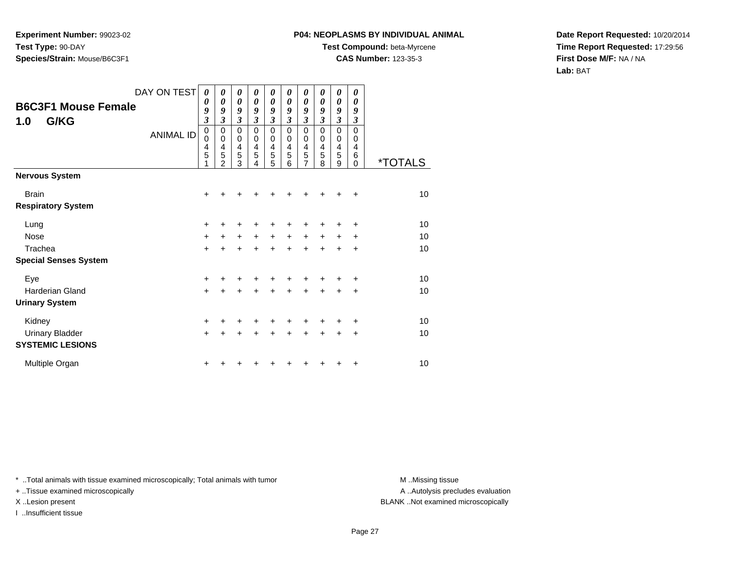## **P04: NEOPLASMS BY INDIVIDUAL ANIMAL**

**Test Compound:** beta-Myrcene

**CAS Number:** 123-35-3

**Date Report Requested:** 10/20/2014**Time Report Requested:** 17:29:56**First Dose M/F:** NA / NA**Lab:** BAT

| <b>B6C3F1 Mouse Female</b><br>G/KG<br>1.0 | DAY ON TEST      | $\boldsymbol{\theta}$<br>0<br>9<br>$\mathfrak{z}$<br>$\mathbf 0$ | 0<br>$\boldsymbol{\theta}$<br>9<br>3<br>$\mathbf 0$ | 0<br>$\boldsymbol{\theta}$<br>9<br>3<br>0 | 0<br>0<br>9<br>$\mathfrak{z}$<br>$\mathbf 0$ | 0<br>$\boldsymbol{\theta}$<br>9<br>3<br>$\mathbf 0$ | 0<br>0<br>9<br>3<br>0 | 0<br>$\theta$<br>9<br>3<br>0 | 0<br>0<br>9<br>3<br>0 | 0<br>0<br>9<br>$\mathfrak{z}$<br>$\mathbf 0$ | 0<br>0<br>9<br>3<br>$\Omega$ |                       |
|-------------------------------------------|------------------|------------------------------------------------------------------|-----------------------------------------------------|-------------------------------------------|----------------------------------------------|-----------------------------------------------------|-----------------------|------------------------------|-----------------------|----------------------------------------------|------------------------------|-----------------------|
|                                           | <b>ANIMAL ID</b> | 0<br>$\frac{4}{5}$<br>1                                          | 0<br>4<br>5<br>$\mathfrak{p}$                       | 0<br>4<br>$\overline{5}$<br>3             | 0<br>4<br>5<br>4                             | 0<br>4<br>5<br>5                                    | 0<br>4<br>5<br>6      | 0<br>4<br>5<br>7             | 0<br>4<br>5<br>8      | 0<br>4<br>5<br>9                             | 0<br>4<br>6<br>$\Omega$      | <i><b>*TOTALS</b></i> |
| <b>Nervous System</b>                     |                  |                                                                  |                                                     |                                           |                                              |                                                     |                       |                              |                       |                                              |                              |                       |
| <b>Brain</b>                              |                  | $\ddot{}$                                                        |                                                     |                                           |                                              |                                                     |                       |                              |                       |                                              | ٠                            | 10                    |
| <b>Respiratory System</b>                 |                  |                                                                  |                                                     |                                           |                                              |                                                     |                       |                              |                       |                                              |                              |                       |
| Lung                                      |                  | $\pm$                                                            |                                                     |                                           |                                              |                                                     |                       |                              |                       |                                              |                              | 10                    |
| <b>Nose</b>                               |                  | $+$                                                              | +                                                   | $\pm$                                     | $\ddot{}$                                    | +                                                   | $\ddot{}$             | +                            | +                     |                                              | ٠                            | 10                    |
| Trachea                                   |                  | $\ddot{}$                                                        |                                                     | +                                         | ÷                                            | +                                                   | $\ddot{}$             | $\ddot{}$                    | $\ddot{}$             | $\ddot{}$                                    | $\ddot{}$                    | 10                    |
| <b>Special Senses System</b>              |                  |                                                                  |                                                     |                                           |                                              |                                                     |                       |                              |                       |                                              |                              |                       |
| Eye                                       |                  | +                                                                |                                                     |                                           |                                              |                                                     |                       |                              |                       |                                              | ٠                            | 10                    |
| Harderian Gland                           |                  | $\ddot{}$                                                        | +                                                   | +                                         | +                                            | $\ddot{}$                                           | +                     | +                            | $\ddot{}$             | $\ddot{}$                                    | $\ddot{}$                    | 10                    |
| <b>Urinary System</b>                     |                  |                                                                  |                                                     |                                           |                                              |                                                     |                       |                              |                       |                                              |                              |                       |
| Kidney                                    |                  | $\ddot{}$                                                        |                                                     |                                           |                                              | +                                                   |                       | +                            |                       |                                              | ÷                            | 10                    |
| <b>Urinary Bladder</b>                    |                  | $\ddot{}$                                                        |                                                     | $\ddot{}$                                 | $\ddot{}$                                    | $\ddot{}$                                           | $\ddot{}$             | $\ddot{}$                    | $\ddot{}$             | $\ddot{}$                                    | ÷                            | 10                    |
| <b>SYSTEMIC LESIONS</b>                   |                  |                                                                  |                                                     |                                           |                                              |                                                     |                       |                              |                       |                                              |                              |                       |
| Multiple Organ                            |                  | +                                                                |                                                     |                                           |                                              |                                                     |                       |                              |                       |                                              | +                            | 10                    |

\* ..Total animals with tissue examined microscopically; Total animals with tumor **M** . Missing tissue M ..Missing tissue

+ ..Tissue examined microscopically

I ..Insufficient tissue

A ..Autolysis precludes evaluation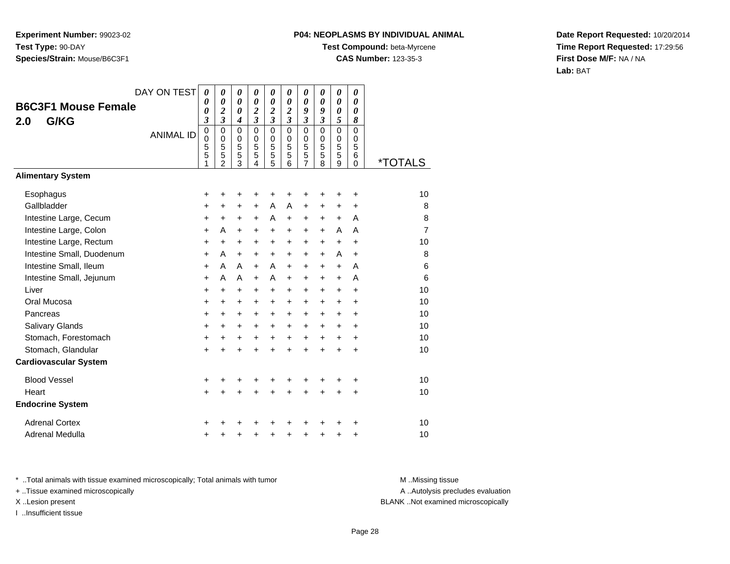# **P04: NEOPLASMS BY INDIVIDUAL ANIMAL**

**Test Compound:** beta-Myrcene

**CAS Number:** 123-35-3

**Date Report Requested:** 10/20/2014**Time Report Requested:** 17:29:56**First Dose M/F:** NA / NA**Lab:** BAT

|                              |                            | DAY ON TEST      | 0              | 0                                       | 0                                              | 0                          | 0                            | 0                                       | 0                | 0                       | 0                | 0                          |                       |
|------------------------------|----------------------------|------------------|----------------|-----------------------------------------|------------------------------------------------|----------------------------|------------------------------|-----------------------------------------|------------------|-------------------------|------------------|----------------------------|-----------------------|
|                              | <b>B6C3F1 Mouse Female</b> |                  | 0<br>0         | $\boldsymbol{\theta}$<br>$\overline{2}$ | $\boldsymbol{\theta}$<br>$\boldsymbol{\theta}$ | 0<br>$\boldsymbol{2}$      | 0<br>$\overline{\mathbf{c}}$ | $\boldsymbol{\theta}$<br>$\overline{2}$ | 0<br>9           | 0<br>9                  | 0<br>0           | 0<br>$\boldsymbol{\theta}$ |                       |
| G/KG<br>2.0                  |                            |                  | 3              | $\overline{\mathbf{3}}$                 | 4                                              | $\overline{\mathbf{3}}$    | $\overline{\mathbf{3}}$      | $\overline{\mathbf{3}}$                 | 3                | $\mathfrak{z}$          | 5                | 8                          |                       |
|                              |                            | <b>ANIMAL ID</b> | $\pmb{0}$<br>0 | $\mathbf 0$<br>$\mathbf 0$              | $\mathbf 0$<br>0                               | $\mathbf 0$<br>$\mathbf 0$ | 0<br>0                       | $\mathbf 0$<br>$\Omega$                 | $\mathbf 0$<br>0 | $\mathbf 0$<br>$\Omega$ | $\mathbf 0$<br>0 | $\Omega$<br>$\Omega$       |                       |
|                              |                            |                  | 5              | 5                                       | 5                                              | $\overline{5}$             | 5                            | 5                                       | 5                | 5                       | 5                | 5                          |                       |
|                              |                            |                  | 5              | 5<br>$\overline{2}$                     | 5<br>$\overline{3}$                            | 5<br>4                     | 5<br>$\overline{5}$          | 5<br>6                                  | 5<br>7           | 5<br>8                  | 5<br>9           | 6<br>0                     | <i><b>*TOTALS</b></i> |
| <b>Alimentary System</b>     |                            |                  |                |                                         |                                                |                            |                              |                                         |                  |                         |                  |                            |                       |
| Esophagus                    |                            |                  | +              | +                                       | +                                              | +                          | +                            | +                                       |                  |                         | +                | +                          | 10                    |
| Gallbladder                  |                            |                  | +              | +                                       | +                                              | $\ddot{}$                  | A                            | A                                       | $\ddot{}$        | $\ddot{}$               | $\pm$            | +                          | 8                     |
| Intestine Large, Cecum       |                            |                  | +              | +                                       | +                                              | $\ddot{}$                  | A                            | $\ddot{}$                               | +                | $\ddot{}$               | $\ddot{}$        | A                          | 8                     |
| Intestine Large, Colon       |                            |                  | $\ddot{}$      | A                                       | $\ddot{}$                                      | $\ddot{}$                  | +                            | $\ddot{}$                               | $\ddot{}$        | $\ddot{}$               | A                | A                          | 7                     |
| Intestine Large, Rectum      |                            |                  | $\ddot{}$      | $\ddot{}$                               | +                                              | $\ddot{}$                  | +                            | $\ddot{}$                               | $\ddot{}$        | $\ddot{}$               | $\ddot{}$        | +                          | 10                    |
|                              | Intestine Small, Duodenum  |                  | $\ddot{}$      | A                                       | $\ddot{}$                                      | $\ddot{}$                  | +                            | $\ddot{}$                               | $\ddot{}$        | $\ddot{}$               | A                | $\ddot{}$                  | 8                     |
| Intestine Small, Ileum       |                            |                  | $\ddot{}$      | A                                       | A                                              | $\ddot{}$                  | A                            | $\ddot{}$                               | $\ddot{}$        | $\ddot{}$               | $\ddot{}$        | A                          | 6                     |
| Intestine Small, Jejunum     |                            |                  | $\ddot{}$      | A                                       | A                                              | $\ddot{}$                  | A                            | $\ddot{}$                               | $\ddot{}$        | $+$                     | $\ddot{}$        | A                          | 6                     |
| Liver                        |                            |                  | +              | +                                       | +                                              | +                          | +                            | +                                       | +                | +                       | +                | +                          | 10                    |
| Oral Mucosa                  |                            |                  | $\ddot{}$      | +                                       | +                                              | $\ddot{}$                  | +                            | $\ddot{}$                               | $\ddot{}$        | +                       | $\pm$            | $\ddot{}$                  | 10                    |
| Pancreas                     |                            |                  | $\ddot{}$      | $\ddot{}$                               | $\ddot{}$                                      | $\ddot{}$                  | $\ddot{}$                    | $\ddot{}$                               | $\ddot{}$        | $\ddot{}$               | $\ddot{}$        | +                          | 10                    |
| Salivary Glands              |                            |                  | $\ddot{}$      | $\ddot{}$                               | $\ddot{}$                                      | $\ddot{}$                  | $\ddot{}$                    | $\ddot{}$                               | $\ddot{}$        | $+$                     | $\ddot{}$        | $\ddot{}$                  | 10                    |
| Stomach, Forestomach         |                            |                  | +              | +                                       | +                                              | $\ddot{}$                  | +                            | $\ddot{}$                               | $\ddot{}$        | $\ddot{}$               | $\ddot{}$        | +                          | 10                    |
| Stomach, Glandular           |                            |                  | $\ddot{}$      | $\ddot{}$                               | $\ddot{}$                                      | $\ddot{}$                  | $\ddot{}$                    | $\ddot{}$                               | $\ddot{}$        | $\ddot{}$               | $\ddot{}$        | $\ddot{}$                  | 10                    |
| <b>Cardiovascular System</b> |                            |                  |                |                                         |                                                |                            |                              |                                         |                  |                         |                  |                            |                       |
| <b>Blood Vessel</b>          |                            |                  | +              | +                                       | +                                              |                            | +                            | +                                       |                  |                         |                  | +                          | 10                    |
| Heart                        |                            |                  | $\ddot{}$      | $\ddot{}$                               | $\ddot{}$                                      | $\ddot{}$                  | +                            | $\ddot{}$                               | $\ddot{}$        | $\ddot{}$               | +                | +                          | 10                    |
| <b>Endocrine System</b>      |                            |                  |                |                                         |                                                |                            |                              |                                         |                  |                         |                  |                            |                       |
| <b>Adrenal Cortex</b>        |                            |                  | +              |                                         |                                                |                            |                              |                                         |                  |                         |                  | +                          | 10                    |
| Adrenal Medulla              |                            |                  | +              | +                                       | +                                              | +                          | +                            | +                                       | +                | +                       | +                | +                          | 10                    |

\* ..Total animals with tissue examined microscopically; Total animals with tumor **M** . Missing tissue M ..Missing tissue

+ ..Tissue examined microscopically

X ..Lesion present BLANK ..Not examined microscopically

I ..Insufficient tissue

A ..Autolysis precludes evaluation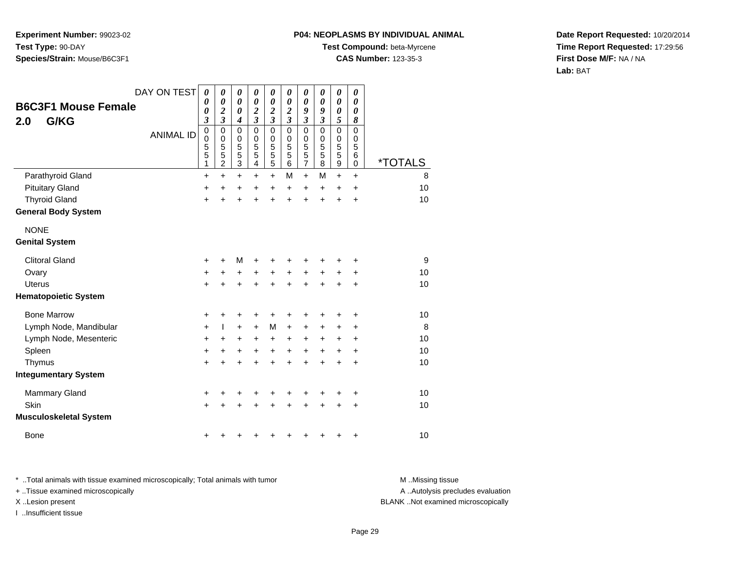#### **P04: NEOPLASMS BY INDIVIDUAL ANIMAL**

**Test Compound:** beta-Myrcene

**CAS Number:** 123-35-3

**Date Report Requested:** 10/20/2014**Time Report Requested:** 17:29:56**First Dose M/F:** NA / NA**Lab:** BAT

| <b>B6C3F1 Mouse Female</b><br>G/KG<br>2.0 | DAY ON TEST      | $\boldsymbol{\theta}$<br>0<br>$\boldsymbol{\theta}$<br>$\boldsymbol{\beta}$ | $\boldsymbol{\theta}$<br>$\boldsymbol{\theta}$<br>$\overline{\mathbf{c}}$<br>$\mathfrak{z}$ | $\pmb{\theta}$<br>$\boldsymbol{\theta}$<br>$\boldsymbol{\theta}$<br>$\boldsymbol{4}$ | 0<br>$\pmb{\theta}$<br>$\overline{\mathbf{c}}$<br>$\overline{\mathbf{3}}$ | 0<br>$\boldsymbol{\theta}$<br>$\boldsymbol{2}$<br>$\overline{\mathbf{3}}$ | 0<br>$\boldsymbol{\theta}$<br>$\boldsymbol{2}$<br>$\mathfrak{z}$ | 0<br>$\boldsymbol{\theta}$<br>9<br>$\boldsymbol{\mathfrak{z}}$ | 0<br>0<br>9<br>$\boldsymbol{\mathfrak{z}}$             | 0<br>$\boldsymbol{\theta}$<br>0<br>5                     | 0<br>0<br>$\boldsymbol{\theta}$<br>8      |                       |
|-------------------------------------------|------------------|-----------------------------------------------------------------------------|---------------------------------------------------------------------------------------------|--------------------------------------------------------------------------------------|---------------------------------------------------------------------------|---------------------------------------------------------------------------|------------------------------------------------------------------|----------------------------------------------------------------|--------------------------------------------------------|----------------------------------------------------------|-------------------------------------------|-----------------------|
|                                           | <b>ANIMAL ID</b> | $\mathbf 0$<br>$\mathbf 0$<br>$\frac{5}{5}$<br>1                            | $\mathbf 0$<br>$\pmb{0}$<br>$\frac{5}{5}$<br>$\overline{2}$                                 | $\mathsf 0$<br>0<br>$\frac{5}{3}$                                                    | $\mathbf 0$<br>0<br>5<br>5<br>4                                           | $\mathbf 0$<br>0<br>5<br>5<br>$\overline{5}$                              | $\mathbf 0$<br>$\mathbf 0$<br>5<br>5<br>6                        | $\mathbf 0$<br>$\pmb{0}$<br>$\frac{5}{5}$<br>$\overline{7}$    | $\mathbf 0$<br>$\mathbf 0$<br>5<br>$\overline{5}$<br>8 | $\mathbf 0$<br>$\mathbf 0$<br>5<br>5<br>$\boldsymbol{9}$ | $\mathbf 0$<br>$\mathbf 0$<br>5<br>6<br>0 | <i><b>*TOTALS</b></i> |
| Parathyroid Gland                         |                  | $\ddot{}$                                                                   | $\ddot{}$                                                                                   | +                                                                                    | $\ddot{}$                                                                 | $\ddot{}$                                                                 | М                                                                | $\ddot{}$                                                      | M                                                      | $\ddot{}$                                                | $\ddot{}$                                 | 8                     |
| <b>Pituitary Gland</b>                    |                  | +                                                                           | $\ddot{}$                                                                                   | +                                                                                    | +                                                                         | $\ddot{}$                                                                 | $\ddot{}$                                                        | $\ddot{}$                                                      | $\ddot{}$                                              | +                                                        | +                                         | 10                    |
| <b>Thyroid Gland</b>                      |                  | $\ddot{}$                                                                   | $\ddot{}$                                                                                   | $\ddot{}$                                                                            | +                                                                         | $\ddot{}$                                                                 | $\ddot{}$                                                        | $\ddot{}$                                                      | $\ddot{}$                                              | $\ddot{}$                                                | +                                         | 10                    |
| <b>General Body System</b>                |                  |                                                                             |                                                                                             |                                                                                      |                                                                           |                                                                           |                                                                  |                                                                |                                                        |                                                          |                                           |                       |
| <b>NONE</b>                               |                  |                                                                             |                                                                                             |                                                                                      |                                                                           |                                                                           |                                                                  |                                                                |                                                        |                                                          |                                           |                       |
| <b>Genital System</b>                     |                  |                                                                             |                                                                                             |                                                                                      |                                                                           |                                                                           |                                                                  |                                                                |                                                        |                                                          |                                           |                       |
| <b>Clitoral Gland</b>                     |                  | +                                                                           | +                                                                                           | М                                                                                    | +                                                                         |                                                                           |                                                                  |                                                                |                                                        |                                                          | +                                         | 9                     |
| Ovary                                     |                  | $\ddot{}$                                                                   | +                                                                                           | +                                                                                    | +                                                                         | +                                                                         | $\ddot{}$                                                        | $\ddot{}$                                                      | $\ddot{}$                                              | +                                                        | +                                         | 10                    |
| <b>Uterus</b>                             |                  | $\ddot{}$                                                                   | $\ddot{}$                                                                                   | $\ddot{}$                                                                            | +                                                                         | $\ddot{}$                                                                 | $\ddot{}$                                                        |                                                                | $\ddot{}$                                              | +                                                        | +                                         | 10                    |
| <b>Hematopoietic System</b>               |                  |                                                                             |                                                                                             |                                                                                      |                                                                           |                                                                           |                                                                  |                                                                |                                                        |                                                          |                                           |                       |
| <b>Bone Marrow</b>                        |                  | +                                                                           | +                                                                                           | +                                                                                    | +                                                                         | +                                                                         |                                                                  |                                                                |                                                        | +                                                        | +                                         | 10                    |
| Lymph Node, Mandibular                    |                  | $\ddot{}$                                                                   | L                                                                                           | $+$                                                                                  | $\pm$                                                                     | M                                                                         | $\ddot{}$                                                        | +                                                              | $\pm$                                                  | +                                                        | +                                         | 8                     |
| Lymph Node, Mesenteric                    |                  | +                                                                           | +                                                                                           | $\ddot{}$                                                                            | $\pm$                                                                     | +                                                                         | $\ddot{}$                                                        | $\pm$                                                          | $\ddot{}$                                              | +                                                        | +                                         | 10                    |
| Spleen                                    |                  | $\ddot{}$                                                                   | $\ddot{}$                                                                                   | $\ddot{}$                                                                            | $\ddot{}$                                                                 | $\ddot{}$                                                                 | $\ddot{}$                                                        | $\ddot{}$                                                      | $\ddot{}$                                              | +                                                        | $\ddot{}$                                 | 10                    |
| Thymus                                    |                  | $\ddot{}$                                                                   | $\ddot{}$                                                                                   | $\ddot{}$                                                                            | +                                                                         | $\ddot{}$                                                                 | $\ddot{}$                                                        | $\div$                                                         | $\ddot{}$                                              | +                                                        | $\ddot{}$                                 | 10                    |
| <b>Integumentary System</b>               |                  |                                                                             |                                                                                             |                                                                                      |                                                                           |                                                                           |                                                                  |                                                                |                                                        |                                                          |                                           |                       |
| Mammary Gland                             |                  | +                                                                           | +                                                                                           | +                                                                                    | +                                                                         | +                                                                         | +                                                                |                                                                | +                                                      | +                                                        | +                                         | 10                    |
| Skin                                      |                  | $\ddot{}$                                                                   |                                                                                             | +                                                                                    |                                                                           |                                                                           |                                                                  |                                                                |                                                        | +                                                        | +                                         | 10                    |
| <b>Musculoskeletal System</b>             |                  |                                                                             |                                                                                             |                                                                                      |                                                                           |                                                                           |                                                                  |                                                                |                                                        |                                                          |                                           |                       |
| <b>Bone</b>                               |                  | +                                                                           |                                                                                             |                                                                                      |                                                                           |                                                                           |                                                                  |                                                                |                                                        | +                                                        | +                                         | 10                    |

\* ..Total animals with tissue examined microscopically; Total animals with tumor **M** . Missing tissue M ..Missing tissue + ..Tissue examined microscopically X ..Lesion present BLANK ..Not examined microscopically

I ..Insufficient tissue

A ..Autolysis precludes evaluation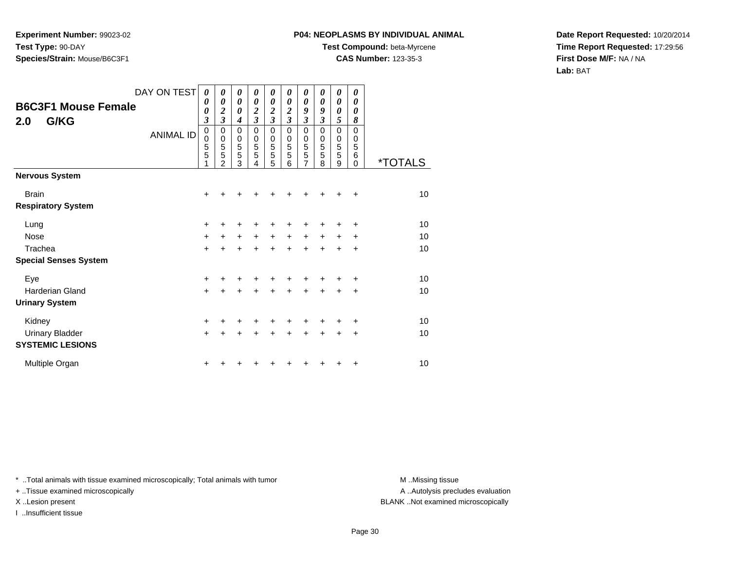## **P04: NEOPLASMS BY INDIVIDUAL ANIMAL**

**Test Compound:** beta-Myrcene

**CAS Number:** 123-35-3

**Date Report Requested:** 10/20/2014**Time Report Requested:** 17:29:56**First Dose M/F:** NA / NA**Lab:** BAT

| <b>B6C3F1 Mouse Female</b><br>2.0<br>G/KG | DAY ON TEST<br><b>ANIMAL ID</b> | $\boldsymbol{\theta}$<br>0<br>0<br>$\overline{\mathbf{3}}$<br>$\mathbf 0$<br>0<br>$\frac{5}{5}$<br>1 | 0<br>0<br>$\overline{c}$<br>$\overline{\mathbf{3}}$<br>0<br>$\pmb{0}$<br>5<br>5<br>$\mathcal{P}$ | 0<br>0<br>0<br>$\boldsymbol{4}$<br>0<br>$\begin{array}{c} 0 \\ 5 \\ 5 \end{array}$<br>3 | 0<br>0<br>$\boldsymbol{2}$<br>$\overline{\mathbf{3}}$<br>$\mathbf 0$<br>0<br>5<br>5<br>4 | 0<br>0<br>$\frac{2}{3}$<br>$\mathbf 0$<br>0<br>$\frac{5}{5}$<br>5 | 0<br>0<br>$\boldsymbol{2}$<br>$\overline{\mathbf{3}}$<br>0<br>0<br>5<br>5<br>6 | 0<br>0<br>9<br>$\overline{\mathbf{3}}$<br>$\mathbf 0$<br>$\mathbf 0$<br>5<br>5<br>7 | 0<br>0<br>9<br>$\mathfrak{z}$<br>$\mathbf 0$<br>0<br>5<br>5<br>8 | 0<br>0<br>0<br>5<br>$\mathbf 0$<br>$\mathbf 0$<br>5<br>5<br>9 | 0<br>0<br>0<br>8<br>$\mathbf{0}$<br>0<br>5<br>6<br>$\Omega$ | <i><b>*TOTALS</b></i> |
|-------------------------------------------|---------------------------------|------------------------------------------------------------------------------------------------------|--------------------------------------------------------------------------------------------------|-----------------------------------------------------------------------------------------|------------------------------------------------------------------------------------------|-------------------------------------------------------------------|--------------------------------------------------------------------------------|-------------------------------------------------------------------------------------|------------------------------------------------------------------|---------------------------------------------------------------|-------------------------------------------------------------|-----------------------|
| <b>Nervous System</b>                     |                                 |                                                                                                      |                                                                                                  |                                                                                         |                                                                                          |                                                                   |                                                                                |                                                                                     |                                                                  |                                                               |                                                             |                       |
| <b>Brain</b>                              |                                 | +                                                                                                    |                                                                                                  |                                                                                         |                                                                                          |                                                                   |                                                                                |                                                                                     |                                                                  |                                                               | +                                                           | 10                    |
| <b>Respiratory System</b>                 |                                 |                                                                                                      |                                                                                                  |                                                                                         |                                                                                          |                                                                   |                                                                                |                                                                                     |                                                                  |                                                               |                                                             |                       |
| Lung                                      |                                 | $\ddot{}$                                                                                            |                                                                                                  |                                                                                         |                                                                                          |                                                                   |                                                                                |                                                                                     |                                                                  |                                                               |                                                             | 10                    |
| <b>Nose</b>                               |                                 | $+$                                                                                                  | ٠                                                                                                | $\pm$                                                                                   | $\ddot{}$                                                                                | $\ddot{}$                                                         | +                                                                              | ٠                                                                                   | +                                                                |                                                               | ÷                                                           | 10                    |
| Trachea                                   |                                 | $\ddot{}$                                                                                            |                                                                                                  | +                                                                                       | ÷                                                                                        | +                                                                 | ÷                                                                              | $\ddot{}$                                                                           | $\ddot{}$                                                        | $\ddot{}$                                                     | $\ddot{}$                                                   | 10                    |
| <b>Special Senses System</b>              |                                 |                                                                                                      |                                                                                                  |                                                                                         |                                                                                          |                                                                   |                                                                                |                                                                                     |                                                                  |                                                               |                                                             |                       |
| Eye                                       |                                 | +                                                                                                    |                                                                                                  |                                                                                         |                                                                                          |                                                                   |                                                                                |                                                                                     |                                                                  |                                                               | +                                                           | 10                    |
| <b>Harderian Gland</b>                    |                                 | $\ddot{}$                                                                                            | +                                                                                                | $\ddot{}$                                                                               | +                                                                                        | $\ddot{}$                                                         | $\ddot{}$                                                                      | $\ddot{}$                                                                           | $\ddot{}$                                                        | $\ddot{}$                                                     | $\ddot{}$                                                   | 10                    |
| <b>Urinary System</b>                     |                                 |                                                                                                      |                                                                                                  |                                                                                         |                                                                                          |                                                                   |                                                                                |                                                                                     |                                                                  |                                                               |                                                             |                       |
| Kidney                                    |                                 | +                                                                                                    |                                                                                                  |                                                                                         |                                                                                          | +                                                                 |                                                                                |                                                                                     |                                                                  |                                                               | ÷                                                           | 10                    |
| <b>Urinary Bladder</b>                    |                                 | $\ddot{}$                                                                                            |                                                                                                  | $\ddot{}$                                                                               | $\ddot{}$                                                                                | $\ddot{}$                                                         | $\ddot{}$                                                                      | $\ddot{}$                                                                           | $\ddot{}$                                                        | $\ddot{}$                                                     | +                                                           | 10                    |
| <b>SYSTEMIC LESIONS</b>                   |                                 |                                                                                                      |                                                                                                  |                                                                                         |                                                                                          |                                                                   |                                                                                |                                                                                     |                                                                  |                                                               |                                                             |                       |
| Multiple Organ                            |                                 | +                                                                                                    |                                                                                                  |                                                                                         |                                                                                          |                                                                   |                                                                                |                                                                                     |                                                                  |                                                               | +                                                           | 10                    |

\* ..Total animals with tissue examined microscopically; Total animals with tumor **M** . Missing tissue M ..Missing tissue

+ ..Tissue examined microscopically

I ..Insufficient tissue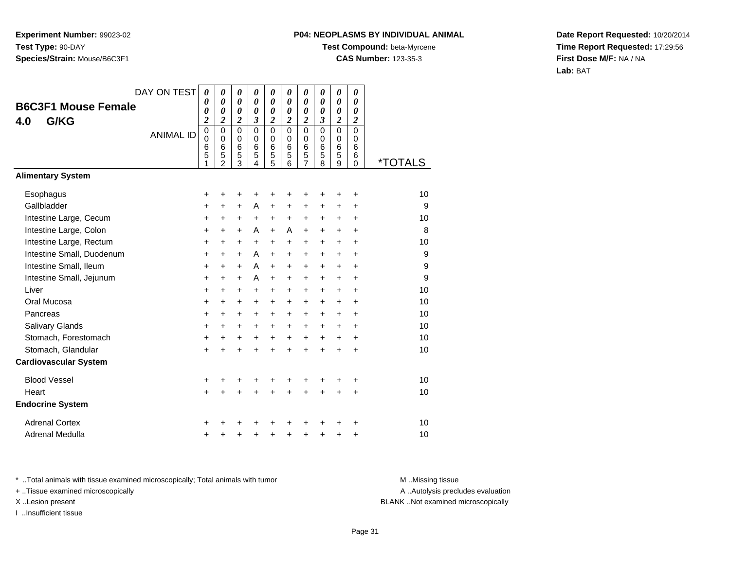# **P04: NEOPLASMS BY INDIVIDUAL ANIMAL**

**Test Compound:** beta-Myrcene

**CAS Number:** 123-35-3

**Date Report Requested:** 10/20/2014**Time Report Requested:** 17:29:56**First Dose M/F:** NA / NA**Lab:** BAT

|                              | DAY ON TEST      | 0                               | 0                                                                 | 0                                                | 0                                              | 0                               | 0                                      | 0                                              | 0                                             | 0                     | 0                                   |                       |
|------------------------------|------------------|---------------------------------|-------------------------------------------------------------------|--------------------------------------------------|------------------------------------------------|---------------------------------|----------------------------------------|------------------------------------------------|-----------------------------------------------|-----------------------|-------------------------------------|-----------------------|
| <b>B6C3F1 Mouse Female</b>   |                  | 0<br>0                          | 0<br>0                                                            | $\boldsymbol{\theta}$<br>$\boldsymbol{\theta}$   | $\boldsymbol{\theta}$<br>$\boldsymbol{\theta}$ | 0<br>0                          | 0<br>0                                 | $\boldsymbol{\theta}$<br>$\boldsymbol{\theta}$ | 0<br>0                                        | 0<br>0                | 0<br>$\boldsymbol{\theta}$          |                       |
| G/KG<br>4.0                  |                  | 2                               | 2                                                                 | 2                                                | 3                                              | 2                               | 2                                      | 2                                              | 3                                             | $\boldsymbol{2}$      | 2                                   |                       |
|                              | <b>ANIMAL ID</b> | $\mathbf 0$<br>0<br>6<br>5<br>1 | $\mathbf 0$<br>$\Omega$<br>$6\phantom{1}6$<br>5<br>$\overline{2}$ | 0<br>0<br>$6\phantom{1}6$<br>5<br>$\overline{3}$ | $\mathbf 0$<br>0<br>6<br>5<br>4                | $\mathbf 0$<br>0<br>6<br>5<br>5 | $\mathbf 0$<br>$\Omega$<br>6<br>5<br>6 | $\mathbf 0$<br>0<br>$6\phantom{1}6$<br>5<br>7  | $\mathbf 0$<br>0<br>$6\phantom{1}6$<br>5<br>8 | 0<br>0<br>6<br>5<br>9 | $\Omega$<br>$\Omega$<br>6<br>6<br>0 | <i><b>*TOTALS</b></i> |
| <b>Alimentary System</b>     |                  |                                 |                                                                   |                                                  |                                                |                                 |                                        |                                                |                                               |                       |                                     |                       |
| Esophagus                    |                  | +                               | +                                                                 | +                                                |                                                | +                               | +                                      | +                                              |                                               | +                     | +                                   | 10                    |
| Gallbladder                  |                  | +                               | +                                                                 | +                                                | A                                              | +                               | $\ddot{}$                              | +                                              | $\ddot{}$                                     | $\ddot{}$             | $\ddot{}$                           | 9                     |
| Intestine Large, Cecum       |                  | $\ddot{}$                       | +                                                                 | +                                                | $\ddot{}$                                      | $\ddot{}$                       | $\ddot{}$                              | +                                              | $\ddot{}$                                     | +                     | +                                   | 10                    |
| Intestine Large, Colon       |                  | $\ddot{}$                       | $\ddot{}$                                                         | +                                                | A                                              | $\ddot{}$                       | A                                      | $\ddot{}$                                      | $\ddot{}$                                     | $+$                   | $\ddot{}$                           | 8                     |
| Intestine Large, Rectum      |                  | $\ddot{}$                       | $\ddot{}$                                                         | +                                                | $\ddot{}$                                      | $\ddot{}$                       | $\ddot{}$                              | $\ddot{}$                                      | $\ddot{}$                                     | $+$                   | $\ddot{}$                           | 10                    |
| Intestine Small, Duodenum    |                  | $\ddot{}$                       | $\ddot{}$                                                         | $\ddot{}$                                        | A                                              | $\ddot{}$                       | $\ddot{}$                              | $\ddot{}$                                      | $\ddot{}$                                     | $\ddot{}$             | $\ddot{}$                           | 9                     |
| Intestine Small, Ileum       |                  | +                               | +                                                                 | +                                                | A                                              | $\ddot{}$                       | +                                      | +                                              | +                                             | +                     | +                                   | 9                     |
| Intestine Small, Jejunum     |                  | $\ddot{}$                       | $\ddot{}$                                                         | +                                                | A                                              | $\ddot{}$                       | $\ddot{}$                              | $\ddot{}$                                      | $\ddot{}$                                     | $+$                   | +                                   | 9                     |
| Liver                        |                  | +                               | +                                                                 | +                                                | +                                              | $\ddot{}$                       | $\ddot{}$                              | $\ddot{}$                                      | $\ddot{}$                                     | $\ddot{}$             | +                                   | 10                    |
| Oral Mucosa                  |                  | $\ddot{}$                       | +                                                                 | +                                                | $\ddot{}$                                      | $\ddot{}$                       | $\ddot{}$                              | $\ddot{}$                                      | $\ddot{}$                                     | $\ddot{}$             | $\ddot{}$                           | 10                    |
| Pancreas                     |                  | +                               | +                                                                 | +                                                | +                                              | $\ddot{}$                       | $\ddot{}$                              | $\ddot{}$                                      | $\ddot{}$                                     | $\ddot{}$             | +                                   | 10                    |
| Salivary Glands              |                  | $\ddot{}$                       | $\ddot{}$                                                         | $\ddot{}$                                        | $\ddot{}$                                      | $\ddot{}$                       | $+$                                    | $\ddot{}$                                      | $\ddot{}$                                     | $+$                   | $\ddot{}$                           | 10                    |
| Stomach, Forestomach         |                  | $\ddot{}$                       | +                                                                 | +                                                | $\ddot{}$                                      | $\ddot{}$                       | $\ddot{}$                              | $\ddot{}$                                      | $\ddot{}$                                     | $\ddot{}$             | $\ddot{}$                           | 10                    |
| Stomach, Glandular           |                  | $+$                             | ÷                                                                 | $\ddot{}$                                        | $\ddot{}$                                      | $\ddot{}$                       | $\ddot{}$                              | $\ddot{}$                                      | $\ddot{}$                                     | $\ddot{}$             | $\ddot{}$                           | 10                    |
| <b>Cardiovascular System</b> |                  |                                 |                                                                   |                                                  |                                                |                                 |                                        |                                                |                                               |                       |                                     |                       |
| <b>Blood Vessel</b>          |                  | +                               | +                                                                 | +                                                |                                                |                                 |                                        |                                                |                                               |                       | +                                   | 10                    |
| Heart                        |                  | $+$                             | $\ddot{}$                                                         | $\ddot{}$                                        | $\ddot{}$                                      | $\ddot{}$                       | +                                      | $\ddot{}$                                      | $\ddot{}$                                     | $\ddot{}$             | $\ddot{}$                           | 10                    |
| <b>Endocrine System</b>      |                  |                                 |                                                                   |                                                  |                                                |                                 |                                        |                                                |                                               |                       |                                     |                       |
| <b>Adrenal Cortex</b>        |                  | +                               |                                                                   |                                                  |                                                |                                 |                                        |                                                |                                               |                       | ٠                                   | 10                    |
| Adrenal Medulla              |                  | +                               | +                                                                 | +                                                | +                                              | +                               | ٠                                      | +                                              | +                                             | ٠                     | +                                   | 10                    |

\* ..Total animals with tissue examined microscopically; Total animals with tumor **M** . Missing tissue M ..Missing tissue

+ ..Tissue examined microscopically

I ..Insufficient tissue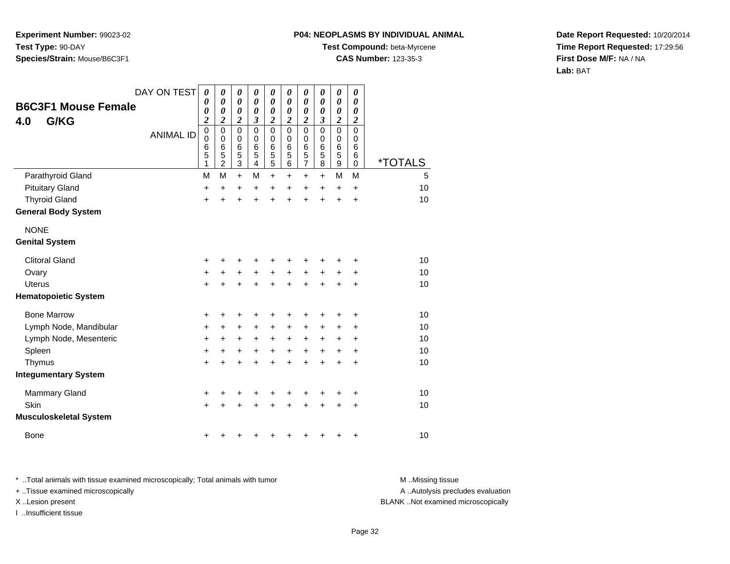#### **P04: NEOPLASMS BY INDIVIDUAL ANIMAL**

**Test Compound:** beta-Myrcene

**CAS Number:** 123-35-3

**Date Report Requested:** 10/20/2014**Time Report Requested:** 17:29:56**First Dose M/F:** NA / NA**Lab:** BAT

| <b>B6C3F1 Mouse Female</b><br>G/KG<br>4.0 | DAY ON TEST      | $\boldsymbol{\theta}$<br>0<br>0<br>$\overline{2}$ | 0<br>$\boldsymbol{\theta}$<br>$\boldsymbol{\theta}$<br>2 | 0<br>$\pmb{\theta}$<br>$\boldsymbol{\theta}$<br>$\boldsymbol{2}$ | 0<br>$\pmb{\theta}$<br>0<br>3                | 0<br>$\pmb{\theta}$<br>0<br>2                | 0<br>$\boldsymbol{\theta}$<br>0<br>2          | 0<br>$\boldsymbol{\theta}$<br>0<br>$\boldsymbol{2}$ | 0<br>0<br>0<br>$\boldsymbol{\mathfrak{z}}$ | 0<br>$\boldsymbol{\theta}$<br>0<br>2 | 0<br>0<br>0<br>2                |                       |
|-------------------------------------------|------------------|---------------------------------------------------|----------------------------------------------------------|------------------------------------------------------------------|----------------------------------------------|----------------------------------------------|-----------------------------------------------|-----------------------------------------------------|--------------------------------------------|--------------------------------------|---------------------------------|-----------------------|
|                                           | <b>ANIMAL ID</b> | $\mathbf 0$<br>$\mathbf 0$<br>6<br>5<br>1         | $\pmb{0}$<br>$\mathbf 0$<br>6<br>5<br>$\overline{2}$     | $\mathsf 0$<br>0<br>$\,6$<br>5<br>$\overline{3}$                 | $\mathbf 0$<br>0<br>6<br>5<br>$\overline{4}$ | $\mathbf 0$<br>0<br>6<br>5<br>$\overline{5}$ | $\mathbf 0$<br>0<br>$6\phantom{1}6$<br>5<br>6 | $\mathbf 0$<br>0<br>$\,6$<br>5<br>$\overline{7}$    | $\mathbf 0$<br>0<br>$\,6$<br>5<br>8        | $\mathbf 0$<br>0<br>6<br>5<br>9      | 0<br>0<br>6<br>6<br>$\mathbf 0$ | <i><b>*TOTALS</b></i> |
| Parathyroid Gland                         |                  | M                                                 | M                                                        | $\ddot{}$                                                        | М                                            | $\ddot{}$                                    | $\ddot{}$                                     | $+$                                                 | $+$                                        | M                                    | M                               | 5                     |
| <b>Pituitary Gland</b>                    |                  | +                                                 | $\ddot{}$                                                | +                                                                | +                                            | $\ddot{}$                                    | $\ddot{}$                                     | $\ddot{}$                                           | $\ddot{}$                                  | $\ddot{}$                            | $\ddot{}$                       | 10                    |
| <b>Thyroid Gland</b>                      |                  | +                                                 | $\ddot{}$                                                | $\ddot{}$                                                        | $\ddot{}$                                    | $\ddot{}$                                    | $\ddot{}$                                     | $\ddot{}$                                           | $\ddot{}$                                  | $\ddot{}$                            | +                               | 10                    |
| <b>General Body System</b>                |                  |                                                   |                                                          |                                                                  |                                              |                                              |                                               |                                                     |                                            |                                      |                                 |                       |
| <b>NONE</b>                               |                  |                                                   |                                                          |                                                                  |                                              |                                              |                                               |                                                     |                                            |                                      |                                 |                       |
| <b>Genital System</b>                     |                  |                                                   |                                                          |                                                                  |                                              |                                              |                                               |                                                     |                                            |                                      |                                 |                       |
| <b>Clitoral Gland</b>                     |                  | +                                                 |                                                          |                                                                  |                                              |                                              |                                               |                                                     |                                            |                                      | +                               | 10                    |
| Ovary                                     |                  | $\ddot{}$                                         | +                                                        | +                                                                | +                                            | $\ddot{}$                                    | $\ddot{}$                                     | +                                                   | +                                          | +                                    | +                               | 10                    |
| Uterus                                    |                  | $\ddot{}$                                         | $\ddot{}$                                                | $\ddot{}$                                                        |                                              | $\ddot{}$                                    | $\ddot{}$                                     |                                                     | $\ddot{}$                                  | $\ddot{}$                            | $\ddot{}$                       | 10                    |
| <b>Hematopoietic System</b>               |                  |                                                   |                                                          |                                                                  |                                              |                                              |                                               |                                                     |                                            |                                      |                                 |                       |
| <b>Bone Marrow</b>                        |                  | +                                                 | +                                                        | +                                                                | +                                            | +                                            | ÷                                             |                                                     | ٠                                          | ٠                                    | +                               | 10                    |
| Lymph Node, Mandibular                    |                  | $\ddot{}$                                         | $\ddot{}$                                                | $\ddot{}$                                                        | $\ddot{}$                                    | $\ddot{}$                                    | $\ddot{}$                                     | $\ddot{}$                                           | $\ddot{}$                                  | $\ddot{}$                            | +                               | 10                    |
| Lymph Node, Mesenteric                    |                  | $\ddot{}$                                         | $\ddot{}$                                                | +                                                                | +                                            | +                                            | $\ddot{}$                                     | +                                                   | +                                          | +                                    | +                               | 10                    |
| Spleen                                    |                  | $\ddot{}$                                         | $\ddot{}$                                                | +                                                                | +                                            | $\ddot{}$                                    | $\ddot{}$                                     | $\ddot{}$                                           | $\ddot{}$                                  | +                                    | +                               | 10                    |
| Thymus                                    |                  | $\ddot{}$                                         | $\ddot{}$                                                | +                                                                | +                                            | $\ddot{}$                                    | $\ddot{}$                                     | +                                                   | $\ddot{}$                                  | +                                    | +                               | 10                    |
| <b>Integumentary System</b>               |                  |                                                   |                                                          |                                                                  |                                              |                                              |                                               |                                                     |                                            |                                      |                                 |                       |
| <b>Mammary Gland</b>                      |                  | +                                                 | +                                                        | +                                                                | +                                            | +                                            | +                                             |                                                     | +                                          | +                                    | +                               | 10                    |
| Skin                                      |                  | $\ddot{}$                                         |                                                          | +                                                                |                                              |                                              |                                               |                                                     |                                            | +                                    | +                               | 10                    |
| <b>Musculoskeletal System</b>             |                  |                                                   |                                                          |                                                                  |                                              |                                              |                                               |                                                     |                                            |                                      |                                 |                       |
| <b>Bone</b>                               |                  | +                                                 | +                                                        |                                                                  |                                              |                                              |                                               |                                                     |                                            | +                                    | +                               | 10                    |

\* ..Total animals with tissue examined microscopically; Total animals with tumor **M** . Missing tissue M ..Missing tissue A ..Autolysis precludes evaluation + ..Tissue examined microscopically X ..Lesion present BLANK ..Not examined microscopicallyI ..Insufficient tissue